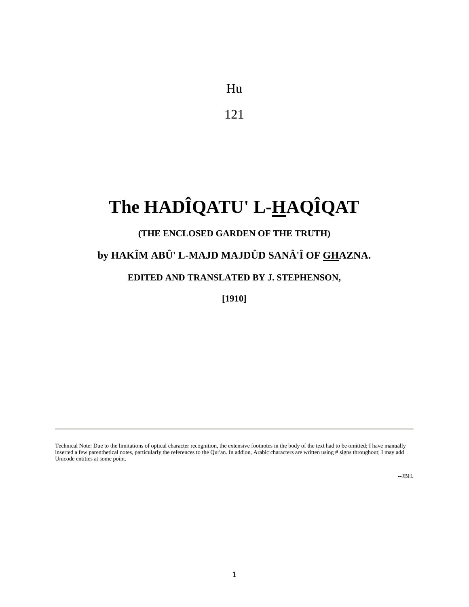Hu

121

# **The HADÎQATU' L-HAQÎQAT**

#### **(THE ENCLOSED GARDEN OF THE TRUTH)**

### **by HAKÎM ABÛ' L-MAJD MAJDÛD SANÂ'Î OF GHAZNA.**

#### **EDITED AND TRANSLATED BY J. STEPHENSON,**

**[1910]** 

Technical Note: Due to the limitations of optical character recognition, the extensive footnotes in the body of the text had to be omitted; I have manually inserted a few parenthetical notes, particularly the references to the Qur'an. In addion, Arabic characters are written using # signs throughout; I may add Unicode entities at some point.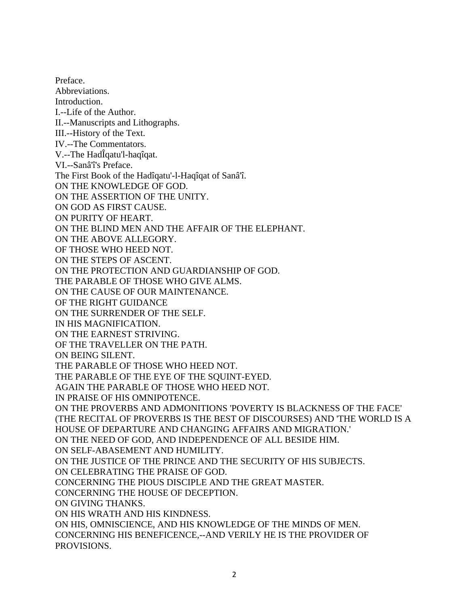Preface. Abbreviations. Introduction. I.--Life of the Author. II.--Manuscripts and Lithographs. III.--History of the Text. IV.--The Commentators. V.--The HadÎqatu'l-haqîqat. VI.--Sanâ'î's Preface. The First Book of the Hadîqatu'-l-Haqîqat of Sanâ'î. ON THE KNOWLEDGE OF GOD. ON THE ASSERTION OF THE UNITY. ON GOD AS FIRST CAUSE. ON PURITY OF HEART. ON THE BLIND MEN AND THE AFFAIR OF THE ELEPHANT. ON THE ABOVE ALLEGORY. OF THOSE WHO HEED NOT. ON THE STEPS OF ASCENT. ON THE PROTECTION AND GUARDIANSHIP OF GOD. THE PARABLE OF THOSE WHO GIVE ALMS. ON THE CAUSE OF OUR MAINTENANCE. OF THE RIGHT GUIDANCE ON THE SURRENDER OF THE SELF. IN HIS MAGNIFICATION. ON THE EARNEST STRIVING. OF THE TRAVELLER ON THE PATH. ON BEING SILENT. THE PARABLE OF THOSE WHO HEED NOT. THE PARABLE OF THE EYE OF THE SOUINT-EYED. AGAIN THE PARABLE OF THOSE WHO HEED NOT. IN PRAISE OF HIS OMNIPOTENCE. ON THE PROVERBS AND ADMONITIONS 'POVERTY IS BLACKNESS OF THE FACE' (THE RECITAL OF PROVERBS IS THE BEST OF DISCOURSES) AND 'THE WORLD IS A HOUSE OF DEPARTURE AND CHANGING AFFAIRS AND MIGRATION.' ON THE NEED OF GOD, AND INDEPENDENCE OF ALL BESIDE HIM. ON SELF-ABASEMENT AND HUMILITY. ON THE JUSTICE OF THE PRINCE AND THE SECURITY OF HIS SUBJECTS. ON CELEBRATING THE PRAISE OF GOD. CONCERNING THE PIOUS DISCIPLE AND THE GREAT MASTER. CONCERNING THE HOUSE OF DECEPTION. ON GIVING THANKS. ON HIS WRATH AND HIS KINDNESS. ON HIS, OMNISCIENCE, AND HIS KNOWLEDGE OF THE MINDS OF MEN. CONCERNING HIS BENEFICENCE,--AND VERILY HE IS THE PROVIDER OF PROVISIONS.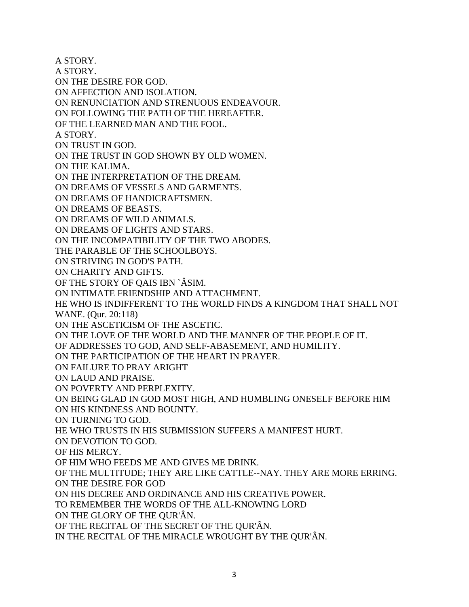A STORY. A STORY. ON THE DESIRE FOR GOD. ON AFFECTION AND ISOLATION. ON RENUNCIATION AND STRENUOUS ENDEAVOUR. ON FOLLOWING THE PATH OF THE HEREAFTER. OF THE LEARNED MAN AND THE FOOL. A STORY. ON TRUST IN GOD. ON THE TRUST IN GOD SHOWN BY OLD WOMEN. ON THE KALIMA. ON THE INTERPRETATION OF THE DREAM. ON DREAMS OF VESSELS AND GARMENTS. ON DREAMS OF HANDICRAFTSMEN. ON DREAMS OF BEASTS. ON DREAMS OF WILD ANIMALS. ON DREAMS OF LIGHTS AND STARS. ON THE INCOMPATIBILITY OF THE TWO ABODES. THE PARABLE OF THE SCHOOLBOYS. ON STRIVING IN GOD'S PATH. ON CHARITY AND GIFTS. OF THE STORY OF QAIS IBN `ÂSIM. ON INTIMATE FRIENDSHIP AND ATTACHMENT. HE WHO IS INDIFFERENT TO THE WORLD FINDS A KINGDOM THAT SHALL NOT WANE. (Qur. 20:118) ON THE ASCETICISM OF THE ASCETIC. ON THE LOVE OF THE WORLD AND THE MANNER OF THE PEOPLE OF IT. OF ADDRESSES TO GOD, AND SELF-ABASEMENT, AND HUMILITY. ON THE PARTICIPATION OF THE HEART IN PRAYER. ON FAILURE TO PRAY ARIGHT ON LAUD AND PRAISE. ON POVERTY AND PERPLEXITY. ON BEING GLAD IN GOD MOST HIGH, AND HUMBLING ONESELF BEFORE HIM ON HIS KINDNESS AND BOUNTY. ON TURNING TO GOD. HE WHO TRUSTS IN HIS SUBMISSION SUFFERS A MANIFEST HURT. ON DEVOTION TO GOD. OF HIS MERCY. OF HIM WHO FEEDS ME AND GIVES ME DRINK. OF THE MULTITUDE; THEY ARE LIKE CATTLE--NAY. THEY ARE MORE ERRING. ON THE DESIRE FOR GOD ON HIS DECREE AND ORDINANCE AND HIS CREATIVE POWER. TO REMEMBER THE WORDS OF THE ALL-KNOWING LORD ON THE GLORY OF THE QUR'ÂN. OF THE RECITAL OF THE SECRET OF THE QUR'ÂN. IN THE RECITAL OF THE MIRACLE WROUGHT BY THE QUR'ÂN.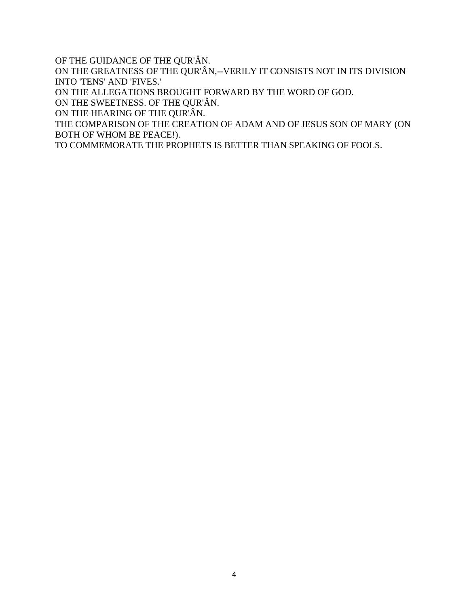OF THE GUIDANCE OF THE QUR'ÂN.

ON THE GREATNESS OF THE QUR'ÂN,--VERILY IT CONSISTS NOT IN ITS DIVISION INTO 'TENS' AND 'FIVES.'

ON THE ALLEGATIONS BROUGHT FORWARD BY THE WORD OF GOD.

ON THE SWEETNESS. OF THE QUR'ÂN.

ON THE HEARING OF THE QUR'ÂN.

THE COMPARISON OF THE CREATION OF ADAM AND OF JESUS SON OF MARY (ON BOTH OF WHOM BE PEACE!).

TO COMMEMORATE THE PROPHETS IS BETTER THAN SPEAKING OF FOOLS.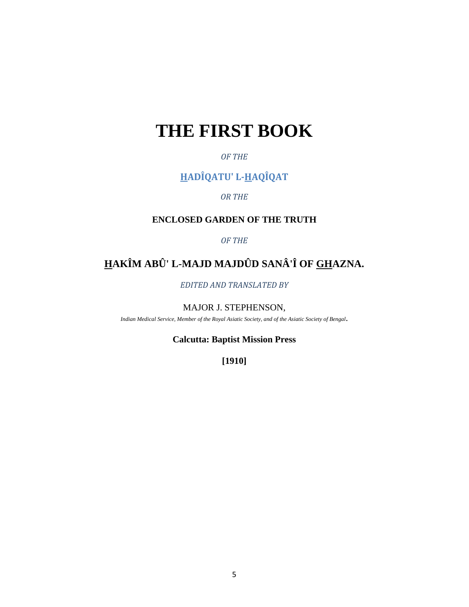### **THE FIRST BOOK**

*OF THE*

### **HADÎQATU' LHAQÎQAT**

#### *OR THE*

#### **ENCLOSED GARDEN OF THE TRUTH**

#### *OF THE*

### **HAKÎM ABÛ' L-MAJD MAJDÛD SANÂ'Î OF GHAZNA.**

*EDITED AND TRANSLATED BY*

MAJOR J. STEPHENSON,

*Indian Medical Service, Member of the Royal Asiatic Society, and of the Asiatic Society of Bengal*.

**Calcutta: Baptist Mission Press** 

**[1910]**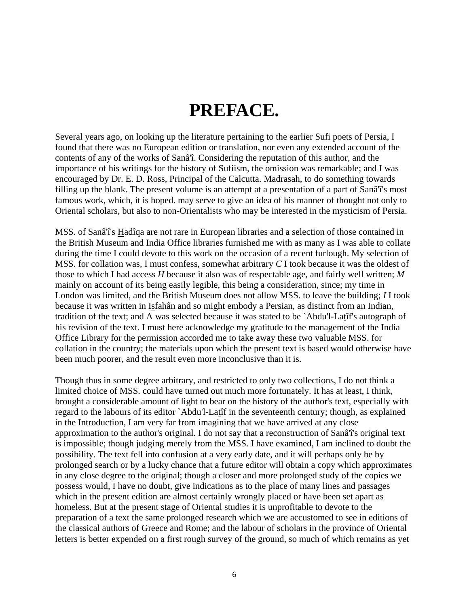### **PREFACE.**

Several years ago, on looking up the literature pertaining to the earlier Sufi poets of Persia, I found that there was no European edition or translation, nor even any extended account of the contents of any of the works of Sanâ'î. Considering the reputation of this author, and the importance of his writings for the history of Sufiism, the omission was remarkable; and I was encouraged by Dr. E. D. Ross, Principal of the Calcutta. Madrasah, to do something towards filling up the blank. The present volume is an attempt at a presentation of a part of Sanâ'î's most famous work, which, it is hoped. may serve to give an idea of his manner of thought not only to Oriental scholars, but also to non-Orientalists who may be interested in the mysticism of Persia.

MSS. of Sanâ'î's Hadîqa are not rare in European libraries and a selection of those contained in the British Museum and India Office libraries furnished me with as many as I was able to collate during the time I could devote to this work on the occasion of a recent furlough. My selection of MSS. for collation was, I must confess, somewhat arbitrary *C* I took because it was the oldest of those to which I had access *H* because it also was of respectable age, and fairly well written; *M* mainly on account of its being easily legible, this being a consideration, since; my time in London was limited, and the British Museum does not allow MSS. to leave the building; *I* I took because it was written in Isfahân and so might embody a Persian, as distinct from an Indian, tradition of the text; and A was selected because it was stated to be `Abdu'l-Latîf's autograph of his revision of the text. I must here acknowledge my gratitude to the management of the India Office Library for the permission accorded me to take away these two valuable MSS. for collation in the country; the materials upon which the present text is based would otherwise have been much poorer, and the result even more inconclusive than it is.

Though thus in some degree arbitrary, and restricted to only two collections, I do not think a limited choice of MSS. could have turned out much more fortunately. It has at least, I think, brought a considerable amount of light to bear on the history of the author's text, especially with regard to the labours of its editor `Abdu'l-Latîf in the seventeenth century; though, as explained in the Introduction, I am very far from imagining that we have arrived at any close approximation to the author's original. I do not say that a reconstruction of Sanâ'î's original text is impossible; though judging merely from the MSS. I have examined, I am inclined to doubt the possibility. The text fell into confusion at a very early date, and it will perhaps only be by prolonged search or by a lucky chance that a future editor will obtain a copy which approximates in any close degree to the original; though a closer and more prolonged study of the copies we possess would, I have no doubt, give indications as to the place of many lines and passages which in the present edition are almost certainly wrongly placed or have been set apart as homeless. But at the present stage of Oriental studies it is unprofitable to devote to the preparation of a text the same prolonged research which we are accustomed to see in editions of the classical authors of Greece and Rome; and the labour of scholars in the province of Oriental letters is better expended on a first rough survey of the ground, so much of which remains as yet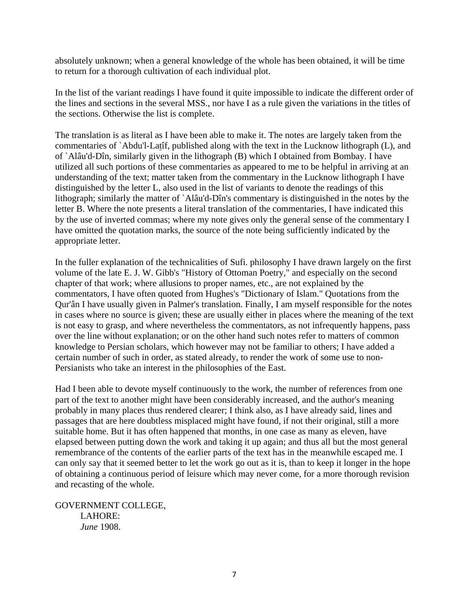absolutely unknown; when a general knowledge of the whole has been obtained, it will be time to return for a thorough cultivation of each individual plot.

In the list of the variant readings I have found it quite impossible to indicate the different order of the lines and sections in the several MSS., nor have I as a rule given the variations in the titles of the sections. Otherwise the list is complete.

The translation is as literal as I have been able to make it. The notes are largely taken from the commentaries of `Abdu'l-Latîf, published along with the text in the Lucknow lithograph (L), and of `Alâu'd-Dîn, similarly given in the lithograph (B) which I obtained from Bombay. I have utilized all such portions of these commentaries as appeared to me to be helpful in arriving at an understanding of the text; matter taken from the commentary in the Lucknow lithograph I have distinguished by the letter L, also used in the list of variants to denote the readings of this lithograph; similarly the matter of `Alâu'd-Dîn's commentary is distinguished in the notes by the letter B. Where the note presents a literal translation of the commentaries, I have indicated this by the use of inverted commas; where my note gives only the general sense of the commentary I have omitted the quotation marks, the source of the note being sufficiently indicated by the appropriate letter.

In the fuller explanation of the technicalities of Sufi. philosophy I have drawn largely on the first volume of the late E. J. W. Gibb's "History of Ottoman Poetry," and especially on the second chapter of that work; where allusions to proper names, etc., are not explained by the commentators, I have often quoted from Hughes's "Dictionary of Islam." Quotations from the Qur'ân I have usually given in Palmer's translation. Finally, I am myself responsible for the notes in cases where no source is given; these are usually either in places where the meaning of the text is not easy to grasp, and where nevertheless the commentators, as not infrequently happens, pass over the line without explanation; or on the other hand such notes refer to matters of common knowledge to Persian scholars, which however may not be familiar to others; I have added a certain number of such in order, as stated already, to render the work of some use to non-Persianists who take an interest in the philosophies of the East.

Had I been able to devote myself continuously to the work, the number of references from one part of the text to another might have been considerably increased, and the author's meaning probably in many places thus rendered clearer; I think also, as I have already said, lines and passages that are here doubtless misplaced might have found, if not their original, still a more suitable home. But it has often happened that months, in one case as many as eleven, have elapsed between putting down the work and taking it up again; and thus all but the most general remembrance of the contents of the earlier parts of the text has in the meanwhile escaped me. I can only say that it seemed better to let the work go out as it is, than to keep it longer in the hope of obtaining a continuous period of leisure which may never come, for a more thorough revision and recasting of the whole.

GOVERNMENT COLLEGE, LAHORE: *June* 1908.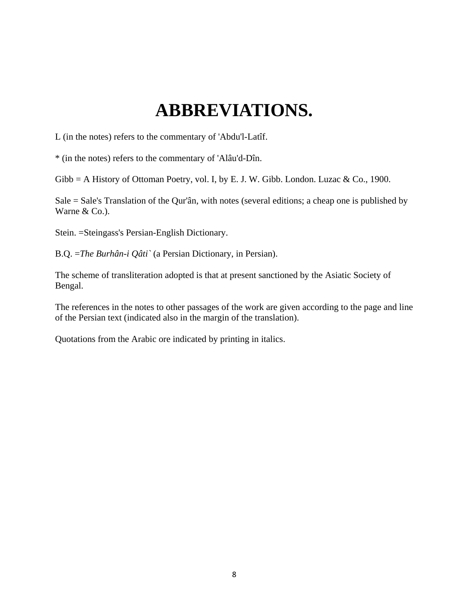### **ABBREVIATIONS.**

L (in the notes) refers to the commentary of 'Abdu'l-Latîf.

\* (in the notes) refers to the commentary of 'Alâu'd-Dîn.

Gibb = A History of Ottoman Poetry, vol. I, by E. J. W. Gibb. London. Luzac & Co., 1900.

Sale = Sale's Translation of the Qur'ân, with notes (several editions; a cheap one is published by Warne & Co.).

Stein. =Steingass's Persian-English Dictionary.

B.Q. =*The Burhân-i Qâti`* (a Persian Dictionary, in Persian).

The scheme of transliteration adopted is that at present sanctioned by the Asiatic Society of Bengal.

The references in the notes to other passages of the work are given according to the page and line of the Persian text (indicated also in the margin of the translation).

Quotations from the Arabic ore indicated by printing in italics.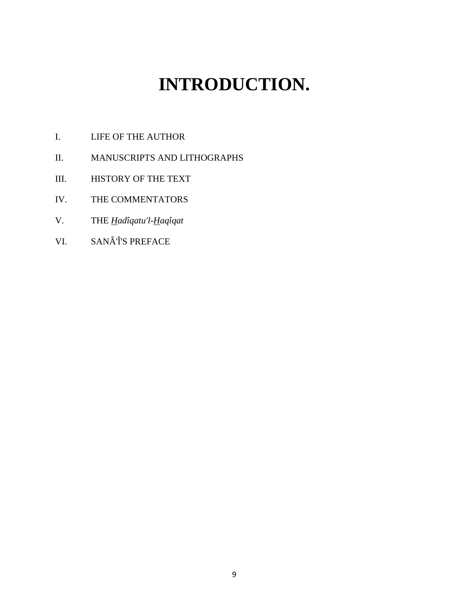## **INTRODUCTION.**

- I. LIFE OF THE AUTHOR
- II. MANUSCRIPTS AND LITHOGRAPHS
- III. HISTORY OF THE TEXT
- IV. THE COMMENTATORS
- V. THE *Hadîqatu'l-Haqîqat*
- VI. SANÂ'Î'S PREFACE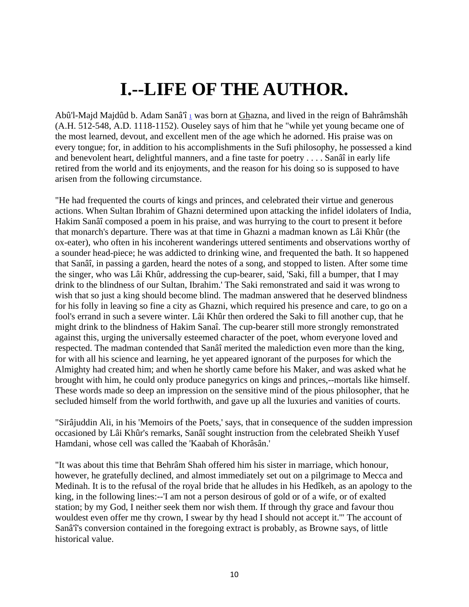## **I.--LIFE OF THE AUTHOR.**

Abû'l-Majd Majdûd b. Adam Sanâ'î 1 was born at Ghazna, and lived in the reign of Bahrâmshâh (A.H. 512-548, A.D. 1118-1152). Ouseley says of him that he "while yet young became one of the most learned, devout, and excellent men of the age which he adorned. His praise was on every tongue; for, in addition to his accomplishments in the Sufi philosophy, he possessed a kind and benevolent heart, delightful manners, and a fine taste for poetry . . . . Sanâî in early life retired from the world and its enjoyments, and the reason for his doing so is supposed to have arisen from the following circumstance.

"He had frequented the courts of kings and princes, and celebrated their virtue and generous actions. When Sultan Ibrahim of Ghazni determined upon attacking the infidel idolaters of India, Hakim Sanâî composed a poem in his praise, and was hurrying to the court to present it before that monarch's departure. There was at that time in Ghazni a madman known as Lâi Khûr (the ox-eater), who often in his incoherent wanderings uttered sentiments and observations worthy of a sounder head-piece; he was addicted to drinking wine, and frequented the bath. It so happened that Sanâî, in passing a garden, heard the notes of a song, and stopped to listen. After some time the singer, who was Lâi Khûr, addressing the cup-bearer, said, 'Saki, fill a bumper, that I may drink to the blindness of our Sultan, Ibrahim.' The Saki remonstrated and said it was wrong to wish that so just a king should become blind. The madman answered that he deserved blindness for his folly in leaving so fine a city as Ghazni, which required his presence and care, to go on a fool's errand in such a severe winter. Lâi Khûr then ordered the Saki to fill another cup, that he might drink to the blindness of Hakim Sanaî. The cup-bearer still more strongly remonstrated against this, urging the universally esteemed character of the poet, whom everyone loved and respected. The madman contended that Sanâî merited the malediction even more than the king, for with all his science and learning, he yet appeared ignorant of the purposes for which the Almighty had created him; and when he shortly came before his Maker, and was asked what he brought with him, he could only produce panegyrics on kings and princes,--mortals like himself. These words made so deep an impression on the sensitive mind of the pious philosopher, that he secluded himself from the world forthwith, and gave up all the luxuries and vanities of courts.

"Sirâjuddin Ali, in his 'Memoirs of the Poets,' says, that in consequence of the sudden impression occasioned by Lâi Khûr's remarks, Sanâî sought instruction from the celebrated Sheikh Yusef Hamdani, whose cell was called the 'Kaabah of Khorâsân.'

"It was about this time that Behrâm Shah offered him his sister in marriage, which honour, however, he gratefully declined, and almost immediately set out on a pilgrimage to Mecca and Medinah. It is to the refusal of the royal bride that he alludes in his Hedîkeh, as an apology to the king, in the following lines:--'I am not a person desirous of gold or of a wife, or of exalted station; by my God, I neither seek them nor wish them. If through thy grace and favour thou wouldest even offer me thy crown, I swear by thy head I should not accept it.'" The account of Sanâ'î's conversion contained in the foregoing extract is probably, as Browne says, of little historical value.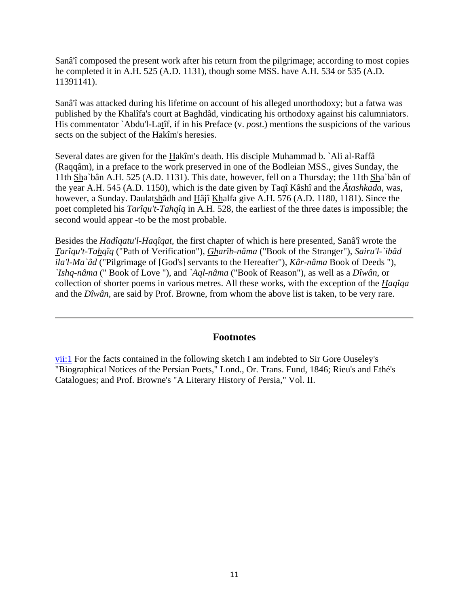Sanâ'î composed the present work after his return from the pilgrimage; according to most copies he completed it in A.H. 525 (A.D. 1131), though some MSS. have A.H. 534 or 535 (A.D. 11391141).

Sanâ'î was attacked during his lifetime on account of his alleged unorthodoxy; but a fatwa was published by the Khalîfa's court at Baghdâd, vindicating his orthodoxy against his calumniators. His commentator `Abdu'l-Latîf, if in his Preface (v. *post*.) mentions the suspicions of the various sects on the subject of the Hakîm's heresies.

Several dates are given for the Hakîm's death. His disciple Muhammad b. `Ali al-Raffâ (Raqqâm), in a preface to the work preserved in one of the Bodleian MSS., gives Sunday, the 11th Sha`bân A.H. 525 (A.D. 1131). This date, however, fell on a Thursday; the 11th Sha`bân of the year A.H. 545 (A.D. 1150), which is the date given by Taqî Kâshî and the *Âtashkada*, was, however, a Sunday. Daulatshâdh and Hâjî Khalfa give A.H. 576 (A.D. 1180, 1181). Since the poet completed his *Tarîqu't-Tahqîq* in A.H. 528, the earliest of the three dates is impossible; the second would appear -to be the most probable.

Besides the *Hadîqatu'l-Haqîqat*, the first chapter of which is here presented, Sanâ'î wrote the *Tarîqu't-Tahqîq* ("Path of Verification"), *Gharîb-nâma* ("Book of the Stranger"), *Sairu'l-`ibâd ila'l-Ma`âd* ("Pilgrimage of [God's] servants to the Hereafter"), *Kâr-nâma* Book of Deeds "), *`Ishq-nâma* (" Book of Love "), and *`Aql-nâma* ("Book of Reason"), as well as a *Dîwân*, or collection of shorter poems in various metres. All these works, with the exception of the *Haqîqa* and the *Dîwân*, are said by Prof. Browne, from whom the above list is taken, to be very rare.

#### **Footnotes**

vii:1 For the facts contained in the following sketch I am indebted to Sir Gore Ouseley's "Biographical Notices of the Persian Poets," Lond., Or. Trans. Fund, 1846; Rieu's and Ethé's Catalogues; and Prof. Browne's "A Literary History of Persia," Vol. II.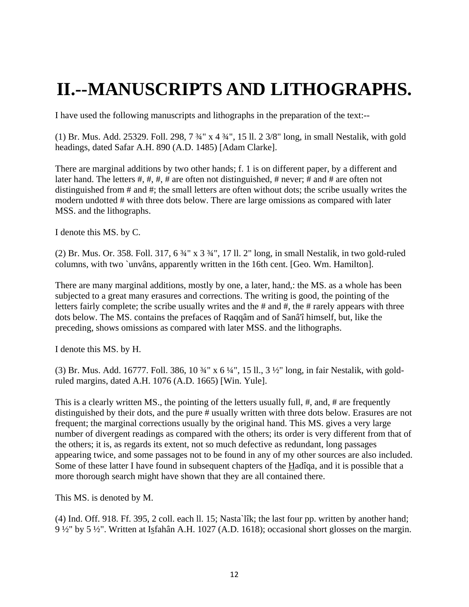## **II.--MANUSCRIPTS AND LITHOGRAPHS.**

I have used the following manuscripts and lithographs in the preparation of the text:--

(1) Br. Mus. Add. 25329. Foll. 298, 7 ¾" x 4 ¾", 15 ll. 2 3/8" long, in small Nestalik, with gold headings, dated Safar A.H. 890 (A.D. 1485) [Adam Clarke].

There are marginal additions by two other hands; f. 1 is on different paper, by a different and later hand. The letters #, #, #, # are often not distinguished, # never; # and # are often not distinguished from # and #; the small letters are often without dots; the scribe usually writes the modern undotted # with three dots below. There are large omissions as compared with later MSS. and the lithographs.

I denote this MS. by C.

(2) Br. Mus. Or. 358. Foll. 317, 6 ¾" x 3 ¾", 17 ll. 2" long, in small Nestalik, in two gold-ruled columns, with two `unvâns, apparently written in the 16th cent. [Geo. Wm. Hamilton].

There are many marginal additions, mostly by one, a later, hand,: the MS. as a whole has been subjected to a great many erasures and corrections. The writing is good, the pointing of the letters fairly complete; the scribe usually writes and the # and #, the # rarely appears with three dots below. The MS. contains the prefaces of Raqqâm and of Sanâ'î himself, but, like the preceding, shows omissions as compared with later MSS. and the lithographs.

I denote this MS. by H.

(3) Br. Mus. Add. 16777. Foll. 386, 10 ¾" x 6 ¼", 15 ll., 3 ½" long, in fair Nestalik, with goldruled margins, dated A.H. 1076 (A.D. 1665) [Win. Yule].

This is a clearly written MS., the pointing of the letters usually full, #, and, # are frequently distinguished by their dots, and the pure # usually written with three dots below. Erasures are not frequent; the marginal corrections usually by the original hand. This MS. gives a very large number of divergent readings as compared with the others; its order is very different from that of the others; it is, as regards its extent, not so much defective as redundant, long passages appearing twice, and some passages not to be found in any of my other sources are also included. Some of these latter I have found in subsequent chapters of the Hadîqa, and it is possible that a more thorough search might have shown that they are all contained there.

This MS. is denoted by M.

(4) Ind. Off. 918. Ff. 395, 2 coll. each ll. 15; Nasta`lîk; the last four pp. written by another hand; 9 ½" by 5 ½". Written at Isfahân A.H. 1027 (A.D. 1618); occasional short glosses on the margin.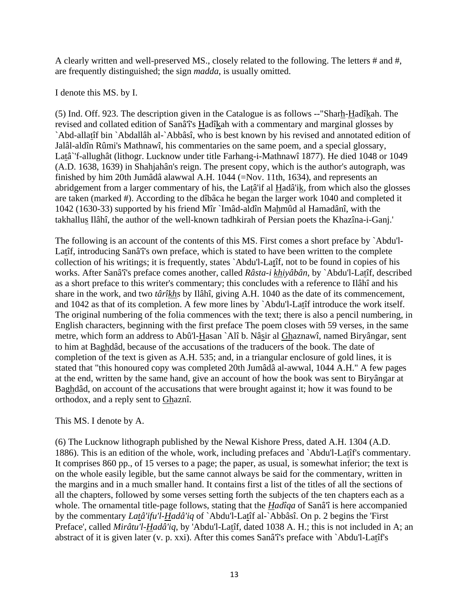A clearly written and well-preserved MS., closely related to the following. The letters # and #, are frequently distinguished; the sign *madda*, is usually omitted.

I denote this MS. by I.

(5) Ind. Off. 923. The description given in the Catalogue is as follows --"Sharh-Hadîkah. The revised and collated edition of Sanâ'î's Hadîkah with a commentary and marginal glosses by `Abd-allatîf bin `Abdallâh al-`Abbâsî, who is best known by his revised and annotated edition of Jalâl-aldîn Rûmi's Mathnawî, his commentaries on the same poem, and a special glossary, Latâ`'f-allughât (lithogr. Lucknow under title Farhang-i-Mathnawî 1877). He died 1048 or 1049 (A.D. 1638, 1639) in Shahjahân's reign. The present copy, which is the author's autograph, was finished by him 20th Jumâdâ alawwal A.H. 1044 (=Nov. 11th, 1634), and represents an abridgement from a larger commentary of his, the Latâ'if al Hadâ'ik, from which also the glosses are taken (marked #). According to the dîbâca he began the larger work 1040 and completed it 1042 (1630-33) supported by his friend Mîr `Imâd-aldîn Mahmûd al Hamadânî, with the takhallus Ilâhî, the author of the well-known tadhkirah of Persian poets the Khazîna-i-Ganj.'

The following is an account of the contents of this MS. First comes a short preface by `Abdu'l-Latîf, introducing Sanâ'î's own preface, which is stated to have been written to the complete collection of his writings; it is frequently, states `Abdu'l-Latîf, not to be found in copies of his works. After Sanâ'î's preface comes another, called *Râsta-i khiyâbân*, by `Abdu'l-Latîf, described as a short preface to this writer's commentary; this concludes with a reference to Ilâhî and his share in the work, and two *târîkhs* by Ilâhî, giving A.H. 1040 as the date of its commencement, and 1042 as that of its completion. A few more lines by `Abdu'l-Latîf introduce the work itself. The original numbering of the folia commences with the text; there is also a pencil numbering, in English characters, beginning with the first preface The poem closes with 59 verses, in the same metre, which form an address to Abû'l-Hasan `Alî b. Nâsir al Ghaznawî, named Biryângar, sent to him at Baghdâd, because of the accusations of the traducers of the book. The date of completion of the text is given as A.H. 535; and, in a triangular enclosure of gold lines, it is stated that "this honoured copy was completed 20th Jumâdâ al-awwal, 1044 A.H." A few pages at the end, written by the same hand, give an account of how the book was sent to Biryângar at Baghdâd, on account of the accusations that were brought against it; how it was found to be orthodox, and a reply sent to Ghaznî.

#### This MS. I denote by A.

(6) The Lucknow lithograph published by the Newal Kishore Press, dated A.H. 1304 (A.D. 1886). This is an edition of the whole, work, including prefaces and `Abdu'l-Latîf's commentary. It comprises 860 pp., of 15 verses to a page; the paper, as usual, is somewhat inferior; the text is on the whole easily legible, but the same cannot always be said for the commentary, written in the margins and in a much smaller hand. It contains first a list of the titles of all the sections of all the chapters, followed by some verses setting forth the subjects of the ten chapters each as a whole. The ornamental title-page follows, stating that the *Hadîqa* of Sanâ'î is here accompanied by the commentary *Latâ'ifu'l-Hadâ'iq* of `Abdu'l-Latîf al-`Abbâsî. On p. 2 begins the 'First Preface', called *Mirâtu'l-Hadâ'iq*, by 'Abdu'l-Latîf, dated 1038 A. H.; this is not included in A; an abstract of it is given later (v. p. xxi). After this comes Sanâ'î's preface with `Abdu'l-Latîf's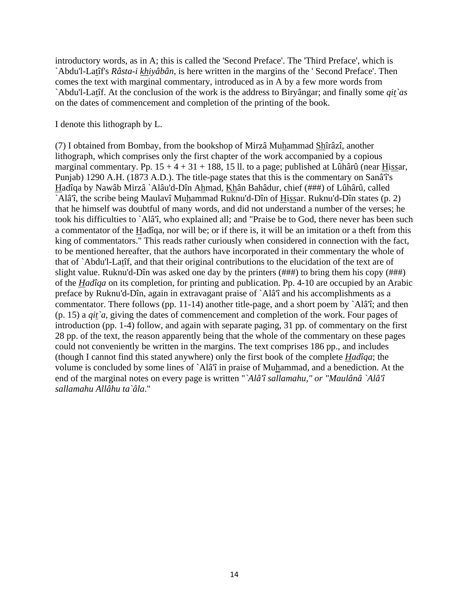introductory words, as in A; this is called the 'Second Preface'. The 'Third Preface', which is `Abdu'l-Latîf's *Râsta-i khiyâbân*, is here written in the margins of the ' Second Preface'. Then comes the text with marginal commentary, introduced as in A by a few more words from `Abdu'l-Latîf. At the conclusion of the work is the address to Biryângar; and finally some *qit`as* on the dates of commencement and completion of the printing of the book.

I denote this lithograph by L.

(7) I obtained from Bombay, from the bookshop of Mirzâ Muhammad Shîrâzî, another lithograph, which comprises only the first chapter of the work accompanied by a copious marginal commentary. Pp. 15 + 4 + 31 + 188, 15 ll. to a page; published at Lûhârû (near Hi*ss*ar, Punjab) 1290 A.H. (1873 A.D.). The title-page states that this is the commentary on Sanâ'î's Hadîqa by Nawâb Mirzâ `Alâu'd-Dîn Ahmad, Khân Bahâdur, chief (###) of Lûhârû, called `Alâ'î, the scribe being Maulavî Muhammad Ruknu'd-Dîn of Hi*ss*ar. Ruknu'd-Dîn states (p. 2) that he himself was doubtful of many words, and did not understand a number of the verses; he took his difficulties to `Alâ'î, who explained all; and "Praise be to God, there never has been such a commentator of the Hadîqa, nor will be; or if there is, it will be an imitation or a theft from this king of commentators." This reads rather curiously when considered in connection with the fact, to be mentioned hereafter, that the authors have incorporated in their commentary the whole of that of `Abdu'l-Latîf, and that their original contributions to the elucidation of the text are of slight value. Ruknu'd-Dîn was asked one day by the printers (###) to bring them his copy (###) of the *Hadîqa* on its completion, for printing and publication. Pp. 4-10 are occupied by an Arabic preface by Ruknu'd-Dîn, again in extravagant praise of `Alâ'î and his accomplishments as a commentator. There follows (pp. 11-14) another title-page, and a short poem by `Alâ'î; and then (p. 15) a *qit`a*, giving the dates of commencement and completion of the work. Four pages of introduction (pp. 1-4) follow, and again with separate paging, 31 pp. of commentary on the first 28 pp. of the text, the reason apparently being that the whole of the commentary on these pages could not conveniently be written in the margins. The text comprises 186 pp., and includes (though I cannot find this stated anywhere) only the first book of the complete *Hadîqa*; the volume is concluded by some lines of `Alâ'î in praise of Muhammad, and a benediction. At the end of the marginal notes on every page is written "*`Alâ'î sallamahu," or "Maulânâ `Alâ'î sallamahu Allâhu ta`âla*."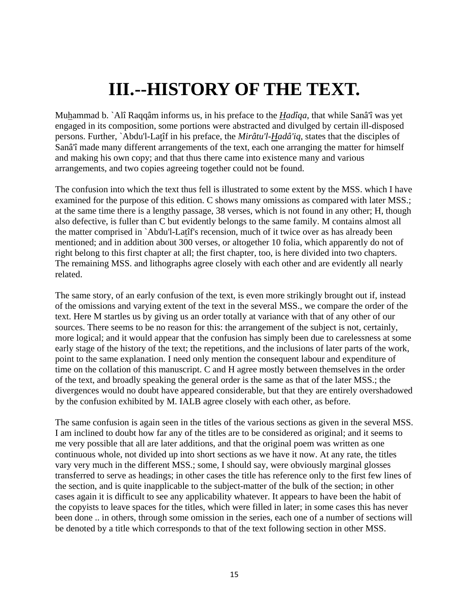## **III.--HISTORY OF THE TEXT.**

Muhammad b. `Alî Raqqâm informs us, in his preface to the *Hadîqa*, that while Sanâ'î was yet engaged in its composition, some portions were abstracted and divulged by certain ill-disposed persons. Further, `Abdu'l-Latîf in his preface, the *Mirâtu'l-Hadâ'iq*, states that the disciples of Sanâ'î made many different arrangements of the text, each one arranging the matter for himself and making his own copy; and that thus there came into existence many and various arrangements, and two copies agreeing together could not be found.

The confusion into which the text thus fell is illustrated to some extent by the MSS. which I have examined for the purpose of this edition. C shows many omissions as compared with later MSS.; at the same time there is a lengthy passage, 38 verses, which is not found in any other; H, though also defective, is fuller than C but evidently belongs to the same family. M contains almost all the matter comprised in `Abdu'l-Latîf's recension, much of it twice over as has already been mentioned; and in addition about 300 verses, or altogether 10 folia, which apparently do not of right belong to this first chapter at all; the first chapter, too, is here divided into two chapters. The remaining MSS. and lithographs agree closely with each other and are evidently all nearly related.

The same story, of an early confusion of the text, is even more strikingly brought out if, instead of the omissions and varying extent of the text in the several MSS., we compare the order of the text. Here M startles us by giving us an order totally at variance with that of any other of our sources. There seems to be no reason for this: the arrangement of the subject is not, certainly, more logical; and it would appear that the confusion has simply been due to carelessness at some early stage of the history of the text; the repetitions, and the inclusions of later parts of the work, point to the same explanation. I need only mention the consequent labour and expenditure of time on the collation of this manuscript. C and H agree mostly between themselves in the order of the text, and broadly speaking the general order is the same as that of the later MSS.; the divergences would no doubt have appeared considerable, but that they are entirely overshadowed by the confusion exhibited by M. IALB agree closely with each other, as before.

The same confusion is again seen in the titles of the various sections as given in the several MSS. I am inclined to doubt how far any of the titles are to be considered as original; and it seems to me very possible that all are later additions, and that the original poem was written as one continuous whole, not divided up into short sections as we have it now. At any rate, the titles vary very much in the different MSS.; some, I should say, were obviously marginal glosses transferred to serve as headings; in other cases the title has reference only to the first few lines of the section, and is quite inapplicable to the subject-matter of the bulk of the section; in other cases again it is difficult to see any applicability whatever. It appears to have been the habit of the copyists to leave spaces for the titles, which were filled in later; in some cases this has never been done .. in others, through some omission in the series, each one of a number of sections will be denoted by a title which corresponds to that of the text following section in other MSS.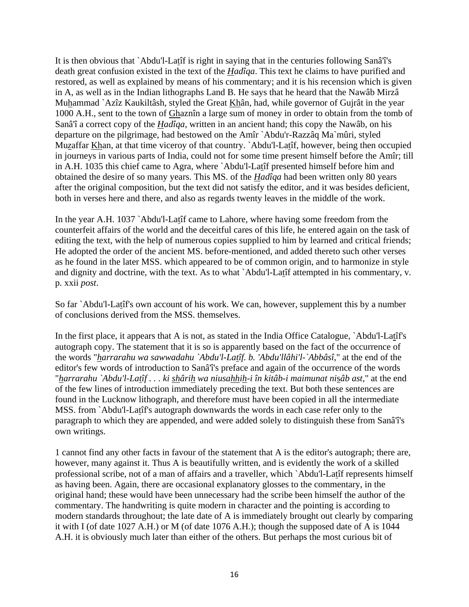It is then obvious that `Abdu'l-Latîf is right in saying that in the centuries following Sanâ'î's death great confusion existed in the text of the *Hadîqa*. This text he claims to have purified and restored, as well as explained by means of his commentary; and it is his recension which is given in A, as well as in the Indian lithographs Land B. He says that he heard that the Nawâb Mirzâ Muhammad `Azîz Kaukiltâsh, styled the Great Khân, had, while governor of Gujrât in the year 1000 A.H., sent to the town of Ghaznîn a large sum of money in order to obtain from the tomb of Sanâ'î a correct copy of the *Hadîqa*, written in an ancient hand; this copy the Nawâb, on his departure on the pilgrimage, had bestowed on the Amîr `Abdu'r-Razzâq Ma`mûri, styled Mu*z*affar Khan, at that time viceroy of that country. `Abdu'l-Latîf, however, being then occupied in journeys in various parts of India, could not for some time present himself before the Amîr; till in A.H. 1035 this chief came to Agra, where `Abdu'l-Latîf presented himself before him and obtained the desire of so many years. This MS. of the *Hadîqa* had been written only 80 years after the original composition, but the text did not satisfy the editor, and it was besides deficient, both in verses here and there, and also as regards twenty leaves in the middle of the work.

In the year A.H. 1037 `Abdu'l-Latîf came to Lahore, where having some freedom from the counterfeit affairs of the world and the deceitful cares of this life, he entered again on the task of editing the text, with the help of numerous copies supplied to him by learned and critical friends; He adopted the order of the ancient MS. before-mentioned, and added thereto such other verses as he found in the later MSS. which appeared to be of common origin, and to harmonize in style and dignity and doctrine, with the text. As to what `Abdu'l-Latîf attempted in his commentary, v. p. xxii *post*.

So far `Abdu'l-Latîf's own account of his work. We can, however, supplement this by a number of conclusions derived from the MSS. themselves.

In the first place, it appears that A is not, as stated in the India Office Catalogue, `Abdu'l-Latîf's autograph copy. The statement that it is so is apparently based on the fact of the occurrence of the words "*harrarahu wa sawwadahu `Abdu'l-Latîf. b. 'Abdu'llâhi'l-`Abbâsî*," at the end of the editor's few words of introduction to Sanâ'î's preface and again of the occurrence of the words "*harrarahu `Abdu'l-Latîf . . . ki shârih wa niusahhih-i în kitâb-i maimunat ni*s*âb ast*," at the end of the few lines of introduction immediately preceding the text. But both these sentences are found in the Lucknow lithograph, and therefore must have been copied in all the intermediate MSS. from `Abdu'l-Latîf's autograph downwards the words in each case refer only to the paragraph to which they are appended, and were added solely to distinguish these from Sanâ'î's own writings.

1 cannot find any other facts in favour of the statement that A is the editor's autograph; there are, however, many against it. Thus A is beautifully written, and is evidently the work of a skilled professional scribe, not of a man of affairs and a traveller, which `Abdu'l-Latîf represents himself as having been. Again, there are occasional explanatory glosses to the commentary, in the original hand; these would have been unnecessary had the scribe been himself the author of the commentary. The handwriting is quite modern in character and the pointing is according to modern standards throughout; the late date of A is immediately brought out clearly by comparing it with I (of date 1027 A.H.) or M (of date 1076 A.H.); though the supposed date of A is 1044 A.H. it is obviously much later than either of the others. But perhaps the most curious bit of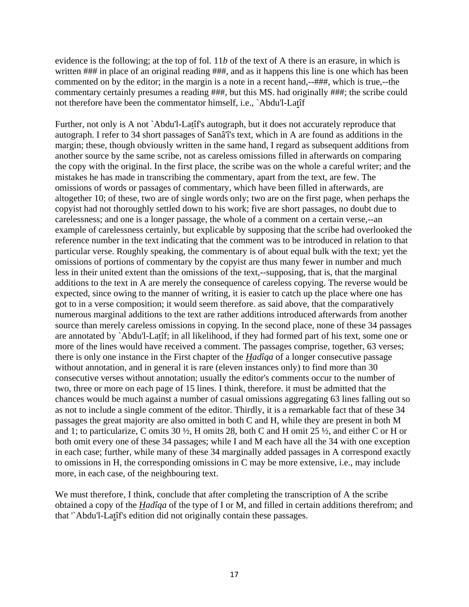evidence is the following; at the top of fol. 11*b* of the text of A there is an erasure, in which is written ### in place of an original reading ###, and as it happens this line is one which has been commented on by the editor; in the margin is a note in a recent hand,--###, which is true,--the commentary certainly presumes a reading ###, but this MS. had originally ###; the scribe could not therefore have been the commentator himself, i.e., `Abdu'l-Latîf

Further, not only is A not `Abdu'l-Latîf's autograph, but it does not accurately reproduce that autograph. I refer to 34 short passages of Sanâ'î's text, which in A are found as additions in the margin; these, though obviously written in the same hand, I regard as subsequent additions from another source by the same scribe, not as careless omissions filled in afterwards on comparing the copy with the original. In the first place, the scribe was on the whole a careful writer; and the mistakes he has made in transcribing the commentary, apart from the text, are few. The omissions of words or passages of commentary, which have been filled in afterwards, are altogether 10; of these, two are of single words only; two are on the first page, when perhaps the copyist had not thoroughly settled down to his work; five are short passages, no doubt due to carelessness; and one is a longer passage, the whole of a comment on a certain verse,--an example of carelessness certainly, but explicable by supposing that the scribe had overlooked the reference number in the text indicating that the comment was to be introduced in relation to that particular verse. Roughly speaking, the commentary is of about equal bulk with the text; yet the omissions of portions of commentary by the copyist are thus many fewer in number and much less in their united extent than the omissions of the text,--supposing, that is, that the marginal additions to the text in A are merely the consequence of careless copying. The reverse would be expected, since owing to the manner of writing, it is easier to catch up the place where one has got to in a verse composition; it would seem therefore. as said above, that the comparatively numerous marginal additions to the text are rather additions introduced afterwards from another source than merely careless omissions in copying. In the second place, none of these 34 passages are annotated by `Abdu'l-Latîf; in all likelihood, if they had formed part of his text, some one or more of the lines would have received a comment. The passages comprise, together, 63 verses; there is only one instance in the First chapter of the *Hadîqa* of a longer consecutive passage without annotation, and in general it is rare (eleven instances only) to find more than 30 consecutive verses without annotation; usually the editor's comments occur to the number of two, three or more on each page of 15 lines. I think, therefore. it must be admitted that the chances would be much against a number of casual omissions aggregating 63 lines falling out so as not to include a single comment of the editor. Thirdly, it is a remarkable fact that of these 34 passages the great majority are also omitted in both C and H, while they are present in both M and 1; to particularize, C omits 30 ½, H omits 28, both C and H omit 25 ½, and either C or H or both omit every one of these 34 passages; while I and M each have all the 34 with one exception in each case; further, while many of these 34 marginally added passages in A correspond exactly to omissions in H, the corresponding omissions in C may be more extensive, i.e., may include more, in each case, of the neighbouring text.

We must therefore, I think, conclude that after completing the transcription of A the scribe obtained a copy of the *Hadîqa* of the type of I or M, and filled in certain additions therefrom; and that '`Abdu'l-Latîf's edition did not originally contain these passages.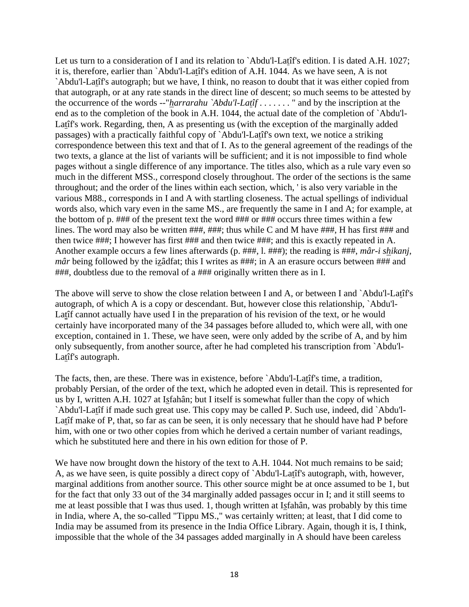Let us turn to a consideration of I and its relation to `Abdu'l-Latîf's edition. I is dated A.H. 1027; it is, therefore, earlier than `Abdu'l-Latîf's edition of A.H. 1044. As we have seen, A is not `Abdu'l-Latîf's autograph; but we have, I think, no reason to doubt that it was either copied from that autograph, or at any rate stands in the direct line of descent; so much seems to be attested by the occurrence of the words --"*harrarahu `Abdu'l-Latîf* . . . . . . . " and by the inscription at the end as to the completion of the book in A.H. 1044, the actual date of the completion of `Abdu'l-Latîf's work. Regarding, then, A as presenting us (with the exception of the marginally added passages) with a practically faithful copy of `Abdu'l-Latîf's own text, we notice a striking correspondence between this text and that of I. As to the general agreement of the readings of the two texts, a glance at the list of variants will be sufficient; and it is not impossible to find whole pages without a single difference of any importance. The titles also, which as a rule vary even so much in the different MSS., correspond closely throughout. The order of the sections is the same throughout; and the order of the lines within each section, which, ' is also very variable in the various M88., corresponds in I and A with startling closeness. The actual spellings of individual words also, which vary even in the same MS., are frequently the same in I and A; for example, at the bottom of p. ### of the present text the word ### or ### occurs three times within a few lines. The word may also be written ###, ###; thus while C and M have ###, H has first ### and then twice ###; I however has first ### and then twice ###; and this is exactly repeated in A. Another example occurs a few lines afterwards (p. ###, l. ###); the reading is ###, *mâr-i shikanj*, *mâr* being followed by the izâdfat; this I writes as ###; in A an erasure occurs between ### and ###, doubtless due to the removal of a ### originally written there as in I.

The above will serve to show the close relation between I and A, or between I and `Abdu'l-Latîf's autograph, of which A is a copy or descendant. But, however close this relationship, `Abdu'l-Latîf cannot actually have used I in the preparation of his revision of the text, or he would certainly have incorporated many of the 34 passages before alluded to, which were all, with one exception, contained in 1. These, we have seen, were only added by the scribe of A, and by him only subsequently, from another source, after he had completed his transcription from `Abdu'l-Latîf's autograph.

The facts, then, are these. There was in existence, before `Abdu'l-Latîf's time, a tradition, probably Persian, of the order of the text, which he adopted even in detail. This is represented for us by I, written A.H. 1027 at I*s*fahân; but I itself is somewhat fuller than the copy of which `Abdu'l-Latîf if made such great use. This copy may be called P. Such use, indeed, did `Abdu'l-Latîf make of P, that, so far as can be seen, it is only necessary that he should have had P before him, with one or two other copies from which he derived a certain number of variant readings, which he substituted here and there in his own edition for those of P.

We have now brought down the history of the text to A.H. 1044. Not much remains to be said; A, as we have seen, is quite possibly a direct copy of `Abdu'l-Latîf's autograph, with, however, marginal additions from another source. This other source might be at once assumed to be 1, but for the fact that only 33 out of the 34 marginally added passages occur in I; and it still seems to me at least possible that I was thus used. 1, though written at I*s*fahân, was probably by this time in India, where A, the so-called "Tippu MS.," was certainly written; at least, that I did come to India may be assumed from its presence in the India Office Library. Again, though it is, I think, impossible that the whole of the 34 passages added marginally in A should have been careless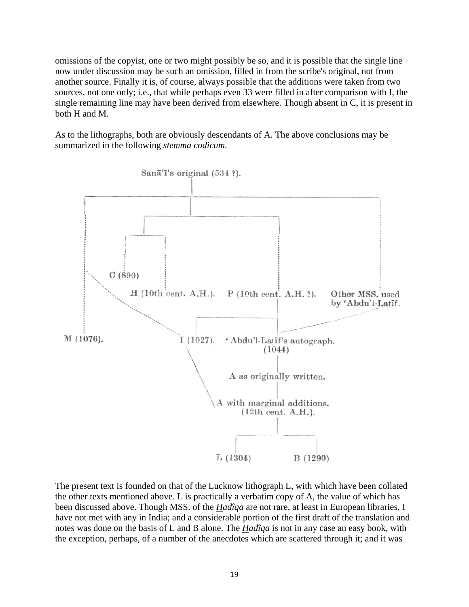omissions of the copyist, one or two might possibly be so, and it is possible that the single line now under discussion may be such an omission, filled in from the scribe's original, not from another source. Finally it is, of course, always possible that the additions were taken from two sources, not one only; i.e., that while perhaps even 33 were filled in after comparison with I, the single remaining line may have been derived from elsewhere. Though absent in C, it is present in both H and M.

As to the lithographs, both are obviously descendants of A. The above conclusions may be summarized in the following *stemma codicum*.



The present text is founded on that of the Lucknow lithograph L, with which have been collated the other texts mentioned above. L is practically a verbatim copy of A, the value of which has been discussed above. Though MSS. of the *Hadîqa* are not rare, at least in European libraries, I have not met with any in India; and a considerable portion of the first draft of the translation and notes was done on the basis of L and B alone. The *Hadîqa* is not in any case an easy book, with the exception, perhaps, of a number of the anecdotes which are scattered through it; and it was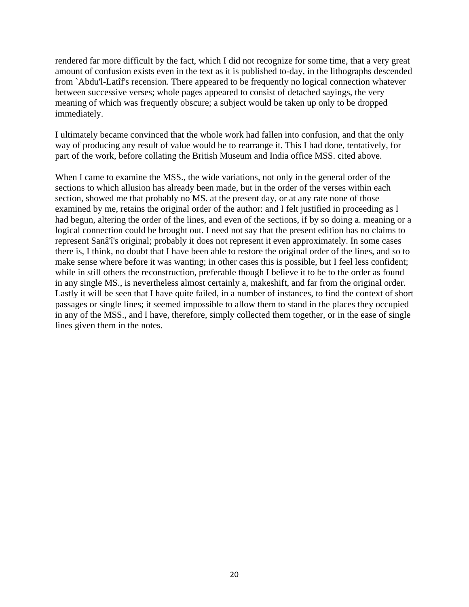rendered far more difficult by the fact, which I did not recognize for some time, that a very great amount of confusion exists even in the text as it is published to-day, in the lithographs descended from `Abdu'l-Latîf's recension. There appeared to be frequently no logical connection whatever between successive verses; whole pages appeared to consist of detached sayings, the very meaning of which was frequently obscure; a subject would be taken up only to be dropped immediately.

I ultimately became convinced that the whole work had fallen into confusion, and that the only way of producing any result of value would be to rearrange it. This I had done, tentatively, for part of the work, before collating the British Museum and India office MSS. cited above.

When I came to examine the MSS., the wide variations, not only in the general order of the sections to which allusion has already been made, but in the order of the verses within each section, showed me that probably no MS. at the present day, or at any rate none of those examined by me, retains the original order of the author: and I felt justified in proceeding as I had begun, altering the order of the lines, and even of the sections, if by so doing a. meaning or a logical connection could be brought out. I need not say that the present edition has no claims to represent Sanâ'î's original; probably it does not represent it even approximately. In some cases there is, I think, no doubt that I have been able to restore the original order of the lines, and so to make sense where before it was wanting; in other cases this is possible, but I feel less confident; while in still others the reconstruction, preferable though I believe it to be to the order as found in any single MS., is nevertheless almost certainly a, makeshift, and far from the original order. Lastly it will be seen that I have quite failed, in a number of instances, to find the context of short passages or single lines; it seemed impossible to allow them to stand in the places they occupied in any of the MSS., and I have, therefore, simply collected them together, or in the ease of single lines given them in the notes.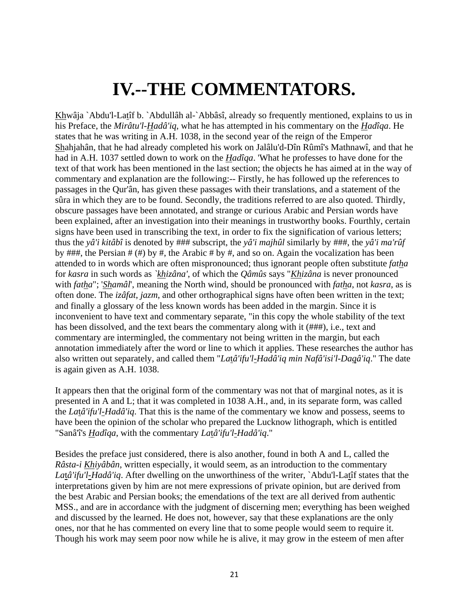## **IV.--THE COMMENTATORS.**

Khwâja `Abdu'l-Latîf b. `Abdullâh al-`Abbâsî, already so frequently mentioned, explains to us in his Preface, the *Mirâtu'l-Hadâ'iq*, what he has attempted in his commentary on the *Hadîqa*. He states that he was writing in A.H. 1038, in the second year of the reign of the Emperor Shahjahân, that he had already completed his work on Jalâlu'd-Dîn Rûmî's Mathnawî, and that he had in A.H. 1037 settled down to work on the *Hadîqa*. 'What he professes to have done for the text of that work has been mentioned in the last section; the objects he has aimed at in the way of commentary and explanation are the following:-- Firstly, he has followed up the references to passages in the Qur'ân, has given these passages with their translations, and a statement of the sûra in which they are to be found. Secondly, the traditions referred to are also quoted. Thirdly, obscure passages have been annotated, and strange or curious Arabic and Persian words have been explained, after an investigation into their meanings in trustworthy books. Fourthly, certain signs have been used in transcribing the text, in order to fix the signification of various letters; thus the *yâ'i kitâbî* is denoted by ### subscript, the *yâ'i majhûl* similarly by ###, the *yâ'i ma'rûf* by ###, the Persian # (#) by #, the Arabic # by #, and so on. Again the vocalization has been attended to in words which are often mispronounced; thus ignorant people often substitute *fatha* for *kasra* in such words as *`khizâna'*, of which the *Qâmûs* says "*Khizâna* is never pronounced with *fatha*"; '*Shamâl*', meaning the North wind, should be pronounced with *fatha*, not *kasra*, as is often done. The *izâfat*, *jazm*, and other orthographical signs have often been written in the text; and finally a glossary of the less known words has been added in the margin. Since it is inconvenient to have text and commentary separate, "in this copy the whole stability of the text has been dissolved, and the text bears the commentary along with it (###), i.e., text and commentary are intermingled, the commentary not being written in the margin, but each annotation immediately after the word or line to which it applies. These researches the author has also written out separately, and called them "*La*t*â'ifu'l-Hadâ'iq min Nafâ'isi'l-Daqâ'iq*." The date is again given as A.H. 1038.

It appears then that the original form of the commentary was not that of marginal notes, as it is presented in A and L; that it was completed in 1038 A.H., and, in its separate form, was called the *La*t*â'ifu'l-Hadâ'iq*. That this is the name of the commentary we know and possess, seems to have been the opinion of the scholar who prepared the Lucknow lithograph, which is entitled "Sanâ'î's *Hadîqa*, with the commentary *La*t*â'ifu'l-Hadâ'iq*."

Besides the preface just considered, there is also another, found in both A and L, called the *Râsta-i Khiyâbân*, written especially, it would seem, as an introduction to the commentary *La*t*â'ifu'l-Hadâ'iq*. After dwelling on the unworthiness of the writer, `Abdu'l-Latîf states that the interpretations given by him are not mere expressions of private opinion, but are derived from the best Arabic and Persian books; the emendations of the text are all derived from authentic MSS., and are in accordance with the judgment of discerning men; everything has been weighed and discussed by the learned. He does not, however, say that these explanations are the only ones, nor that he has commented on every line that to some people would seem to require it. Though his work may seem poor now while he is alive, it may grow in the esteem of men after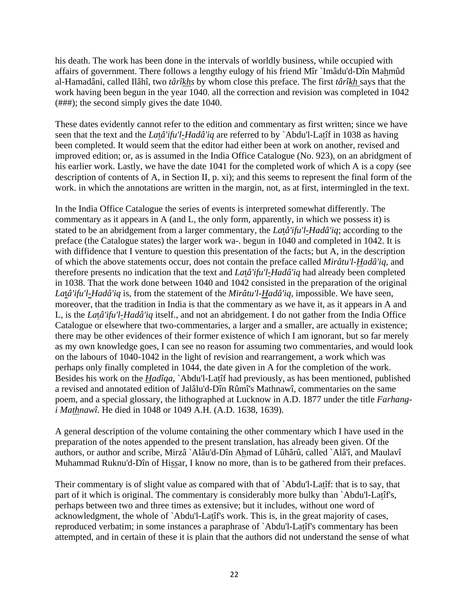his death. The work has been done in the intervals of worldly business, while occupied with affairs of government. There follows a lengthy eulogy of his friend Mîr `Imâdu'd-Dîn Mahmûd al-Hamadâni, called Ilâhî, two *târîkhs* by whom close this preface. The first *târîkh* says that the work having been begun in the year 1040. all the correction and revision was completed in 1042 (###); the second simply gives the date 1040.

These dates evidently cannot refer to the edition and commentary as first written; since we have seen that the text and the *La*t*â'ifu'l-Hadâ'iq* are referred to by `Abdu'l-Latîf in 1038 as having been completed. It would seem that the editor had either been at work on another, revised and improved edition; or, as is assumed in the India Office Catalogue (No. 923), on an abridgment of his earlier work. Lastly, we have the date 1041 for the completed work of which A is a copy (see description of contents of A, in Section II, p. xi); and this seems to represent the final form of the work. in which the annotations are written in the margin, not, as at first, intermingled in the text.

In the India Office Catalogue the series of events is interpreted somewhat differently. The commentary as it appears in A (and L, the only form, apparently, in which we possess it) is stated to be an abridgement from a larger commentary, the *La*t*â'ifu'l-Hadâ'iq*; according to the preface (the Catalogue states) the larger work wa-. begun in 1040 and completed in 1042. It is with diffidence that I venture to question this presentation of the facts; but A, in the description of which the above statements occur, does not contain the preface called *Mirâtu'l-Hadâ'iq*, and therefore presents no indication that the text and *La*t*â'ifu'l-Hadâ'iq* had already been completed in 1038. That the work done between 1040 and 1042 consisted in the preparation of the original *La*t*â'ifu'l-Hadâ'iq* is, from the statement of the *Mirâtu'l-Hadâ'iq*, impossible. We have seen, moreover, that the tradition in India is that the commentary as we have it, as it appears in A and L, is the *La*t*â'ifu'l-Hadâ'iq* itself., and not an abridgement. I do not gather from the India Office Catalogue or elsewhere that two-commentaries, a larger and a smaller, are actually in existence; there may be other evidences of their former existence of which I am ignorant, but so far merely as my own knowledge goes, I can see no reason for assuming two commentaries, and would look on the labours of 1040-1042 in the light of revision and rearrangement, a work which was perhaps only finally completed in 1044, the date given in A for the completion of the work. Besides his work on the *Hadîqa*, `Abdu'l-Latîf had previously, as has been mentioned, published a revised and annotated edition of Jalâlu'd-Dîn Rûmî's Mathnawî, commentaries on the same poem, and a special glossary, the lithographed at Lucknow in A.D. 1877 under the title *Farhangi Mathnawî*. He died in 1048 or 1049 A.H. (A.D. 1638, 1639).

A general description of the volume containing the other commentary which I have used in the preparation of the notes appended to the present translation, has already been given. Of the authors, or author and scribe, Mirzâ `Alâu'd-Dîn Ahmad of Lûhârû, called `Alâ'î, and Maulavî Muhammad Ruknu'd-Dîn of Hi*ss*ar, I know no more, than is to be gathered from their prefaces.

Their commentary is of slight value as compared with that of `Abdu'l-Latîf: that is to say, that part of it which is original. The commentary is considerably more bulky than `Abdu'l-Latîf's, perhaps between two and three times as extensive; but it includes, without one word of acknowledgment, the whole of `Abdu'l-Latîf's work. This is, in the great majority of cases, reproduced verbatim; in some instances a paraphrase of `Abdu'l-Latîf's commentary has been attempted, and in certain of these it is plain that the authors did not understand the sense of what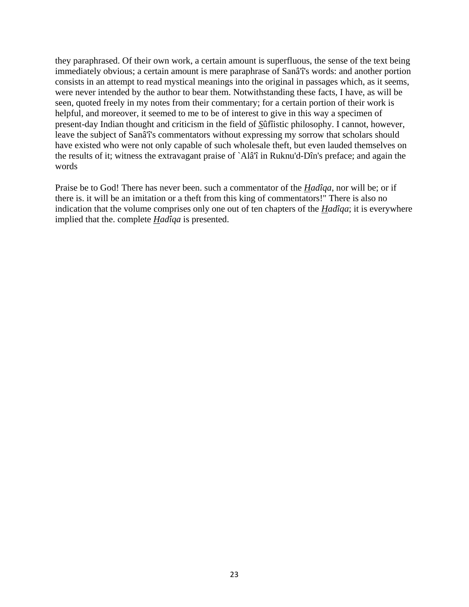they paraphrased. Of their own work, a certain amount is superfluous, the sense of the text being immediately obvious; a certain amount is mere paraphrase of Sanâ'î's words: and another portion consists in an attempt to read mystical meanings into the original in passages which, as it seems, were never intended by the author to bear them. Notwithstanding these facts, I have, as will be seen, quoted freely in my notes from their commentary; for a certain portion of their work is helpful, and moreover, it seemed to me to be of interest to give in this way a specimen of present-day Indian thought and criticism in the field of *S*ûfîistic philosophy. I cannot, however, leave the subject of Sanâ'î's commentators without expressing my sorrow that scholars should have existed who were not only capable of such wholesale theft, but even lauded themselves on the results of it; witness the extravagant praise of `Alâ'î in Ruknu'd-Dîn's preface; and again the words

Praise be to God! There has never been. such a commentator of the *Hadîqa*, nor will be; or if there is. it will be an imitation or a theft from this king of commentators!" There is also no indication that the volume comprises only one out of ten chapters of the *Hadîqa*; it is everywhere implied that the. complete *Hadîqa* is presented.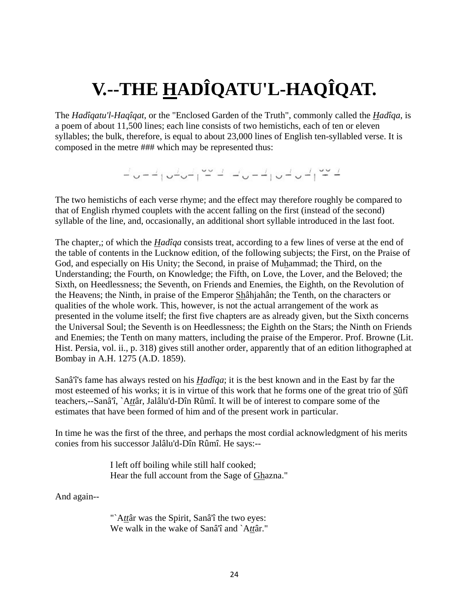# **V.--THE HADÎQATU'L-HAQÎQAT.**

The *Hadîqatu'l-Haqîqat*, or the "Enclosed Garden of the Truth", commonly called the *Hadîqa*, is a poem of about 11,500 lines; each line consists of two hemistichs, each of ten or eleven syllables; the bulk, therefore, is equal to about 23,000 lines of English ten-syllabled verse. It is composed in the metre ### which may be represented thus:

کے سے <sub>ا</sub>ک لی کا لی <sub>ا</sub>کس کے لیے سے اس کی ایک لیے ک

The two hemistichs of each verse rhyme; and the effect may therefore roughly be compared to that of English rhymed couplets with the accent falling on the first (instead of the second) syllable of the line, and, occasionally, an additional short syllable introduced in the last foot.

The chapter,; of which the *Hadîqa* consists treat, according to a few lines of verse at the end of the table of contents in the Lucknow edition, of the following subjects; the First, on the Praise of God, and especially on His Unity; the Second, in praise of Muhammad; the Third, on the Understanding; the Fourth, on Knowledge; the Fifth, on Love, the Lover, and the Beloved; the Sixth, on Heedlessness; the Seventh, on Friends and Enemies, the Eighth, on the Revolution of the Heavens; the Ninth, in praise of the Emperor Shâhjahân; the Tenth, on the characters or qualities of the whole work. This, however, is not the actual arrangement of the work as presented in the volume itself; the first five chapters are as already given, but the Sixth concerns the Universal Soul; the Seventh is on Heedlessness; the Eighth on the Stars; the Ninth on Friends and Enemies; the Tenth on many matters, including the praise of the Emperor. Prof. Browne (Lit. Hist. Persia, vol. ii., p. 318) gives still another order, apparently that of an edition lithographed at Bombay in A.H. 1275 (A.D. 1859).

Sanâ'î's fame has always rested on his *Hadîqa*; it is the best known and in the East by far the most esteemed of his works; it is in virtue of this work that he forms one of the great trio of *S*ûfî teachers,--Sanâ'î, `A*tt*âr, Jalâlu'd-Dîn Rûmî. It will be of interest to compare some of the estimates that have been formed of him and of the present work in particular.

In time he was the first of the three, and perhaps the most cordial acknowledgment of his merits conies from his successor Jalâlu'd-Dîn Rûmî. He says:--

> I left off boiling while still half cooked; Hear the full account from the Sage of Ghazna."

And again--

"`A*tt*âr was the Spirit, Sanâ'î the two eyes: We walk in the wake of Sanâ'î and `A*tt*âr."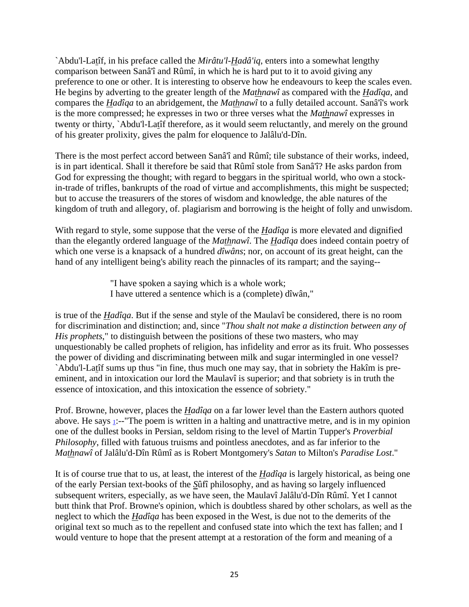`Abdu'l-Latîf, in his preface called the *Mirâtu'l-Hadâ'iq*, enters into a somewhat lengthy comparison between Sanâ'î and Rûmî, in which he is hard put to it to avoid giving any preference to one or other. It is interesting to observe how he endeavours to keep the scales even. He begins by adverting to the greater length of the *Mathnawî* as compared with the *Hadîqa*, and compares the *Hadîqa* to an abridgement, the *Mathnawî* to a fully detailed account. Sanâ'î's work is the more compressed; he expresses in two or three verses what the *Mathnawî* expresses in twenty or thirty, `Abdu'l-Latîf therefore, as it would seem reluctantly, and merely on the ground of his greater prolixity, gives the palm for eloquence to Jalâlu'd-Dîn.

There is the most perfect accord between Sanâ'î and Rûmî; tile substance of their works, indeed, is in part identical. Shall it therefore be said that Rûmî stole from Sanâ'î? He asks pardon from God for expressing the thought; with regard to beggars in the spiritual world, who own a stockin-trade of trifles, bankrupts of the road of virtue and accomplishments, this might be suspected; but to accuse the treasurers of the stores of wisdom and knowledge, the able natures of the kingdom of truth and allegory, of. plagiarism and borrowing is the height of folly and unwisdom.

With regard to style, some suppose that the verse of the *Hadîqa* is more elevated and dignified than the elegantly ordered language of the *Mathnawî*. The *Hadîqa* does indeed contain poetry of which one verse is a knapsack of a hundred *dîwâns*; nor, on account of its great height, can the hand of any intelligent being's ability reach the pinnacles of its rampart; and the saying--

> "I have spoken a saying which is a whole work; I have uttered a sentence which is a (complete) dîwân,"

is true of the *Hadîqa*. But if the sense and style of the Maulavî be considered, there is no room for discrimination and distinction; and, since "*Thou shalt not make a distinction between any of His prophets*," to distinguish between the positions of these two masters, who may unquestionably be called prophets of religion, has infidelity and error as its fruit. Who possesses the power of dividing and discriminating between milk and sugar intermingled in one vessel? `Abdu'l-Latîf sums up thus "in fine, thus much one may say, that in sobriety the Hakîm is preeminent, and in intoxication our lord the Maulavî is superior; and that sobriety is in truth the essence of intoxication, and this intoxication the essence of sobriety."

Prof. Browne, however, places the *Hadîqa* on a far lower level than the Eastern authors quoted above. He says  $\pm$ --"The poem is written in a halting and unattractive metre, and is in my opinion one of the dullest books in Persian, seldom rising to the level of Martin Tupper's *Proverbial Philosophy*, filled with fatuous truisms and pointless anecdotes, and as far inferior to the *Mathnawî* of Jalâlu'd-Dîn Rûmî as is Robert Montgomery's *Satan* to Milton's *Paradise Lost*."

It is of course true that to us, at least, the interest of the *Hadîqa* is largely historical, as being one of the early Persian text-books of the *S*ûfî philosophy, and as having so largely influenced subsequent writers, especially, as we have seen, the Maulavî Jalâlu'd-Dîn Rûmî. Yet I cannot butt think that Prof. Browne's opinion, which is doubtless shared by other scholars, as well as the neglect to which the *Hadîqa* has been exposed in the West, is due not to the demerits of the original text so much as to the repellent and confused state into which the text has fallen; and I would venture to hope that the present attempt at a restoration of the form and meaning of a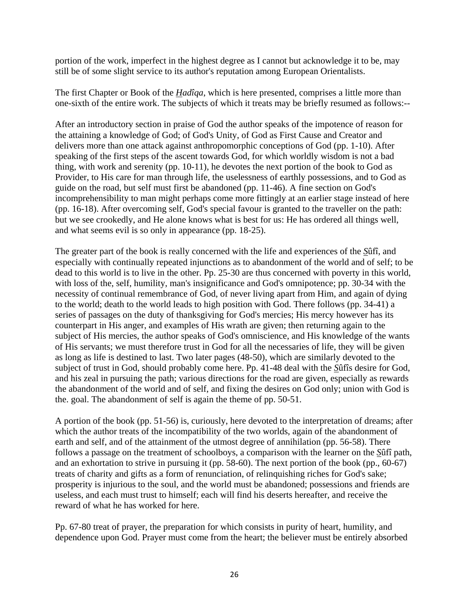portion of the work, imperfect in the highest degree as I cannot but acknowledge it to be, may still be of some slight service to its author's reputation among European Orientalists.

The first Chapter or Book of the *Hadîqa*, which is here presented, comprises a little more than one-sixth of the entire work. The subjects of which it treats may be briefly resumed as follows:--

After an introductory section in praise of God the author speaks of the impotence of reason for the attaining a knowledge of God; of God's Unity, of God as First Cause and Creator and delivers more than one attack against anthropomorphic conceptions of God (pp. 1-10). After speaking of the first steps of the ascent towards God, for which worldly wisdom is not a bad thing, with work and serenity (pp. 10-11), he devotes the next portion of the book to God as Provider, to His care for man through life, the uselessness of earthly possessions, and to God as guide on the road, but self must first be abandoned (pp. 11-46). A fine section on God's incomprehensibility to man might perhaps come more fittingly at an earlier stage instead of here (pp. 16-18). After overcoming self, God's special favour is granted to the traveller on the path: but we see crookedly, and He alone knows what is best for us: He has ordered all things well, and what seems evil is so only in appearance (pp. 18-25).

The greater part of the book is really concerned with the life and experiences of the *S*ûfî, and especially with continually repeated injunctions as to abandonment of the world and of self; to be dead to this world is to live in the other. Pp. 25-30 are thus concerned with poverty in this world, with loss of the, self, humility, man's insignificance and God's omnipotence; pp. 30-34 with the necessity of continual remembrance of God, of never living apart from Him, and again of dying to the world; death to the world leads to high position with God. There follows (pp. 34-41) a series of passages on the duty of thanksgiving for God's mercies; His mercy however has its counterpart in His anger, and examples of His wrath are given; then returning again to the subject of His mercies, the author speaks of God's omniscience, and His knowledge of the wants of His servants; we must therefore trust in God for all the necessaries of life, they will be given as long as life is destined to last. Two later pages (48-50), which are similarly devoted to the subject of trust in God, should probably come here. Pp. 41-48 deal with the *S*ûfîs desire for God, and his zeal in pursuing the path; various directions for the road are given, especially as rewards the abandonment of the world and of self, and fixing the desires on God only; union with God is the. goal. The abandonment of self is again the theme of pp. 50-51.

A portion of the book (pp. 51-56) is, curiously, here devoted to the interpretation of dreams; after which the author treats of the incompatibility of the two worlds, again of the abandonment of earth and self, and of the attainment of the utmost degree of annihilation (pp. 56-58). There follows a passage on the treatment of schoolboys, a comparison with the learner on the *S*ûfî path, and an exhortation to strive in pursuing it (pp. 58-60). The next portion of the book (pp., 60-67) treats of charity and gifts as a form of renunciation, of relinquishing riches for God's sake; prosperity is injurious to the soul, and the world must be abandoned; possessions and friends are useless, and each must trust to himself; each will find his deserts hereafter, and receive the reward of what he has worked for here.

Pp. 67-80 treat of prayer, the preparation for which consists in purity of heart, humility, and dependence upon God. Prayer must come from the heart; the believer must be entirely absorbed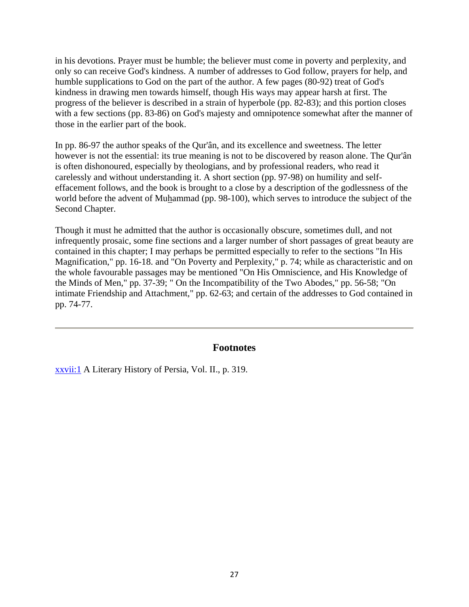in his devotions. Prayer must be humble; the believer must come in poverty and perplexity, and only so can receive God's kindness. A number of addresses to God follow, prayers for help, and humble supplications to God on the part of the author. A few pages (80-92) treat of God's kindness in drawing men towards himself, though His ways may appear harsh at first. The progress of the believer is described in a strain of hyperbole (pp. 82-83); and this portion closes with a few sections (pp. 83-86) on God's majesty and omnipotence somewhat after the manner of those in the earlier part of the book.

In pp. 86-97 the author speaks of the Qur'ân, and its excellence and sweetness. The letter however is not the essential: its true meaning is not to be discovered by reason alone. The Qur'ân is often dishonoured, especially by theologians, and by professional readers, who read it carelessly and without understanding it. A short section (pp. 97-98) on humility and selfeffacement follows, and the book is brought to a close by a description of the godlessness of the world before the advent of Muhammad (pp. 98-100), which serves to introduce the subject of the Second Chapter.

Though it must he admitted that the author is occasionally obscure, sometimes dull, and not infrequently prosaic, some fine sections and a larger number of short passages of great beauty are contained in this chapter; I may perhaps be permitted especially to refer to the sections "In His Magnification," pp. 16-18. and "On Poverty and Perplexity," p. 74; while as characteristic and on the whole favourable passages may be mentioned "On His Omniscience, and His Knowledge of the Minds of Men," pp. 37-39; " On the Incompatibility of the Two Abodes," pp. 56-58; "On intimate Friendship and Attachment," pp. 62-63; and certain of the addresses to God contained in pp. 74-77.

#### **Footnotes**

xxvii:1 A Literary History of Persia, Vol. II., p. 319.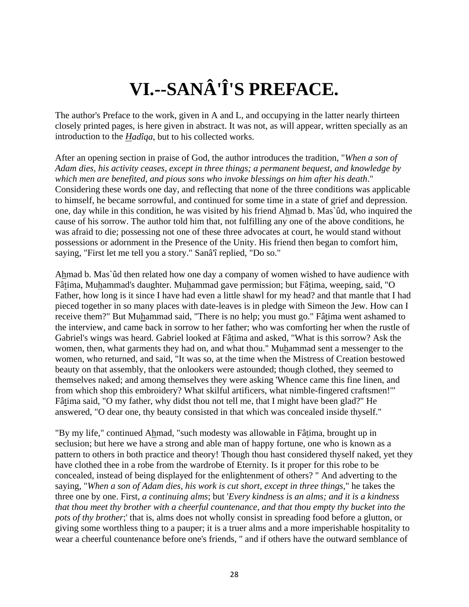# **VI.--SANÂ'Î'S PREFACE.**

The author's Preface to the work, given in A and L, and occupying in the latter nearly thirteen closely printed pages, is here given in abstract. It was not, as will appear, written specially as an introduction to the *Hadîqa*, but to his collected works.

After an opening section in praise of God, the author introduces the tradition, "*When a son of Adam dies, his activity ceases, except in three things; a permanent bequest, and knowledge by which men are benefited, and pious sons who invoke blessings on him after his death*." Considering these words one day, and reflecting that none of the three conditions was applicable to himself, he became sorrowful, and continued for some time in a state of grief and depression. one, day while in this condition, he was visited by his friend Ahmad b. Mas`ûd, who inquired the cause of his sorrow. The author told him that, not fulfilling any one of the above conditions, he was afraid to die; possessing not one of these three advocates at court, he would stand without possessions or adornment in the Presence of the Unity. His friend then began to comfort him, saying, "First let me tell you a story." Sanâ'î replied, "Do so."

Ahmad b. Mas`ûd then related how one day a company of women wished to have audience with Fâtima, Muhammad's daughter. Muhammad gave permission; but Fâtima, weeping, said, "O Father, how long is it since I have had even a little shawl for my head? and that mantle that I had pieced together in so many places with date-leaves is in pledge with Simeon the Jew. How can I receive them?" But Muhammad said, "There is no help; you must go." Fâtima went ashamed to the interview, and came back in sorrow to her father; who was comforting her when the rustle of Gabriel's wings was heard. Gabriel looked at Fâtima and asked, "What is this sorrow? Ask the women, then, what garments they had on, and what thou." Muhammad sent a messenger to the women, who returned, and said, "It was so, at the time when the Mistress of Creation bestowed beauty on that assembly, that the onlookers were astounded; though clothed, they seemed to themselves naked; and among themselves they were asking 'Whence came this fine linen, and from which shop this embroidery? What skilful artificers, what nimble-fingered craftsmen!'" Fâtima said, "O my father, why didst thou not tell me, that I might have been glad?" He answered, "O dear one, thy beauty consisted in that which was concealed inside thyself."

"By my life," continued Ahmad, "such modesty was allowable in Fâtima, brought up in seclusion; but here we have a strong and able man of happy fortune, one who is known as a pattern to others in both practice and theory! Though thou hast considered thyself naked, yet they have clothed thee in a robe from the wardrobe of Eternity. Is it proper for this robe to be concealed, instead of being displayed for the enlightenment of others? " And adverting to the saying, "*When a son of Adam dies, his work is cut short, except in three things*," he takes the three one by one. First, *a continuing alms*; but '*Every kindness is an alms; and it is a kindness that thou meet thy brother with a cheerful countenance, and that thou empty thy bucket into the pots of thy brother*;' that is, alms does not wholly consist in spreading food before a glutton, or giving some worthless thing to a pauper; it is a truer alms and a more imperishable hospitality to wear a cheerful countenance before one's friends, " and if others have the outward semblance of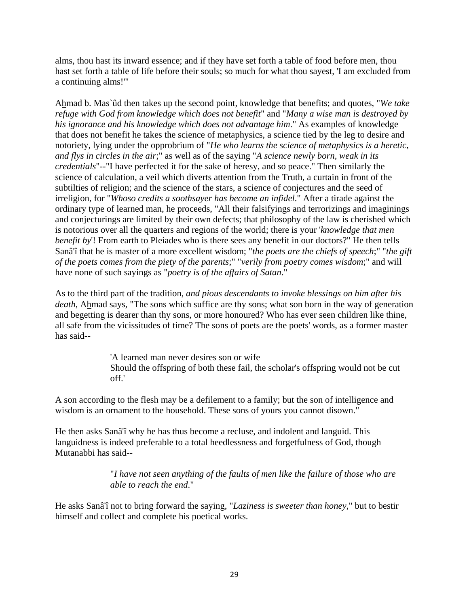alms, thou hast its inward essence; and if they have set forth a table of food before men, thou hast set forth a table of life before their souls; so much for what thou sayest, 'I am excluded from a continuing alms!'"

Ahmad b. Mas`ûd then takes up the second point, knowledge that benefits; and quotes, "*We take refuge with God from knowledge which does not benefit*" and "*Many a wise man is destroyed by his ignorance and his knowledge which does not advantage him*." As examples of knowledge that does not benefit he takes the science of metaphysics, a science tied by the leg to desire and notoriety, lying under the opprobrium of "*He who learns the science of metaphysics is a heretic, and flys in circles in the air*;" as well as of the saying "*A science newly born, weak in its credentials*"--"I have perfected it for the sake of heresy, and so peace." Then similarly the science of calculation, a veil which diverts attention from the Truth, a curtain in front of the subtilties of religion; and the science of the stars, a science of conjectures and the seed of irreligion, for "*Whoso credits a soothsayer has become an infidel*." After a tirade against the ordinary type of learned man, he proceeds, "All their falsifyings and terrorizings and imaginings and conjecturings are limited by their own defects; that philosophy of the law is cherished which is notorious over all the quarters and regions of the world; there is your '*knowledge that men benefit by*'! From earth to Pleiades who is there sees any benefit in our doctors?" He then tells Sanâ'î that he is master of a more excellent wisdom; "*the poets are the chiefs of speech*;" "*the gift of the poets comes from the piety of the parents*;" "*verily from poetry comes wisdom*;" and will have none of such sayings as "*poetry is of the affairs of Satan*."

As to the third part of the tradition, *and pious descendants to invoke blessings on him after his death*, Ahmad says, "The sons which suffice are thy sons; what son born in the way of generation and begetting is dearer than thy sons, or more honoured? Who has ever seen children like thine, all safe from the vicissitudes of time? The sons of poets are the poets' words, as a former master has said--

> 'A learned man never desires son or wife Should the offspring of both these fail, the scholar's offspring would not be cut off.'

A son according to the flesh may be a defilement to a family; but the son of intelligence and wisdom is an ornament to the household. These sons of yours you cannot disown."

He then asks Sanâ'î why he has thus become a recluse, and indolent and languid. This languidness is indeed preferable to a total heedlessness and forgetfulness of God, though Mutanabbi has said--

> "*I have not seen anything of the faults of men like the failure of those who are able to reach the end*."

He asks Sanâ'î not to bring forward the saying, "*Laziness is sweeter than honey*," but to bestir himself and collect and complete his poetical works.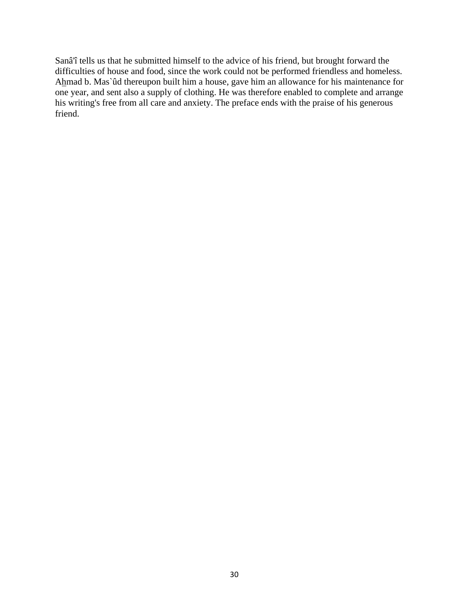Sanâ'î tells us that he submitted himself to the advice of his friend, but brought forward the difficulties of house and food, since the work could not be performed friendless and homeless. Ahmad b. Mas`ûd thereupon built him a house, gave him an allowance for his maintenance for one year, and sent also a supply of clothing. He was therefore enabled to complete and arrange his writing's free from all care and anxiety. The preface ends with the praise of his generous friend.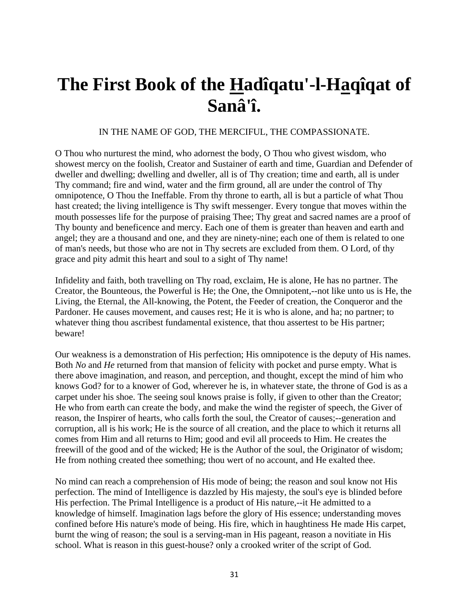### **The First Book of the Hadîqatu'-l-Haqîqat of Sanâ'î.**

#### IN THE NAME OF GOD, THE MERCIFUL, THE COMPASSIONATE.

O Thou who nurturest the mind, who adornest the body, O Thou who givest wisdom, who showest mercy on the foolish, Creator and Sustainer of earth and time, Guardian and Defender of dweller and dwelling; dwelling and dweller, all is of Thy creation; time and earth, all is under Thy command; fire and wind, water and the firm ground, all are under the control of Thy omnipotence, O Thou the Ineffable. From thy throne to earth, all is but a particle of what Thou hast created; the living intelligence is Thy swift messenger. Every tongue that moves within the mouth possesses life for the purpose of praising Thee; Thy great and sacred names are a proof of Thy bounty and beneficence and mercy. Each one of them is greater than heaven and earth and angel; they are a thousand and one, and they are ninety-nine; each one of them is related to one of man's needs, but those who are not in Thy secrets are excluded from them. O Lord, of thy grace and pity admit this heart and soul to a sight of Thy name!

Infidelity and faith, both travelling on Thy road, exclaim, He is alone, He has no partner. The Creator, the Bounteous, the Powerful is He; the One, the Omnipotent,--not like unto us is He, the Living, the Eternal, the All-knowing, the Potent, the Feeder of creation, the Conqueror and the Pardoner. He causes movement, and causes rest; He it is who is alone, and ha; no partner; to whatever thing thou ascribest fundamental existence, that thou assertest to be His partner; beware!

Our weakness is a demonstration of His perfection; His omnipotence is the deputy of His names. Both *No* and *He* returned from that mansion of felicity with pocket and purse empty. What is there above imagination, and reason, and perception, and thought, except the mind of him who knows God? for to a knower of God, wherever he is, in whatever state, the throne of God is as a carpet under his shoe. The seeing soul knows praise is folly, if given to other than the Creator; He who from earth can create the body, and make the wind the register of speech, the Giver of reason, the Inspirer of hearts, who calls forth the soul, the Creator of causes;--generation and corruption, all is his work; He is the source of all creation, and the place to which it returns all comes from Him and all returns to Him; good and evil all proceeds to Him. He creates the freewill of the good and of the wicked; He is the Author of the soul, the Originator of wisdom; He from nothing created thee something; thou wert of no account, and He exalted thee.

No mind can reach a comprehension of His mode of being; the reason and soul know not His perfection. The mind of Intelligence is dazzled by His majesty, the soul's eye is blinded before His perfection. The Primal Intelligence is a product of His nature,--it He admitted to a knowledge of himself. Imagination lags before the glory of His essence; understanding moves confined before His nature's mode of being. His fire, which in haughtiness He made His carpet, burnt the wing of reason; the soul is a serving-man in His pageant, reason a novitiate in His school. What is reason in this guest-house? only a crooked writer of the script of God.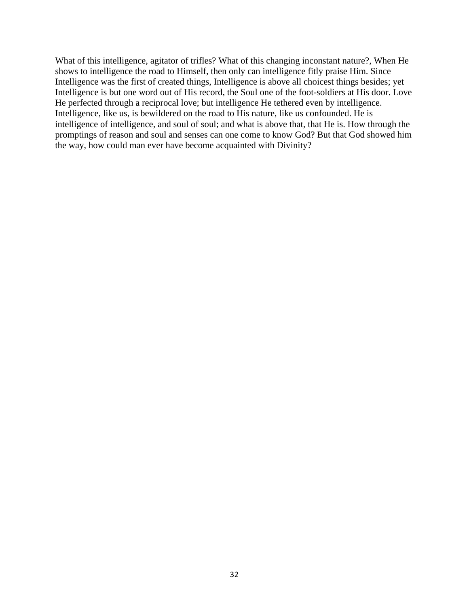What of this intelligence, agitator of trifles? What of this changing inconstant nature?, When He shows to intelligence the road to Himself, then only can intelligence fitly praise Him. Since Intelligence was the first of created things, Intelligence is above all choicest things besides; yet Intelligence is but one word out of His record, the Soul one of the foot-soldiers at His door. Love He perfected through a reciprocal love; but intelligence He tethered even by intelligence. Intelligence, like us, is bewildered on the road to His nature, like us confounded. He is intelligence of intelligence, and soul of soul; and what is above that, that He is. How through the promptings of reason and soul and senses can one come to know God? But that God showed him the way, how could man ever have become acquainted with Divinity?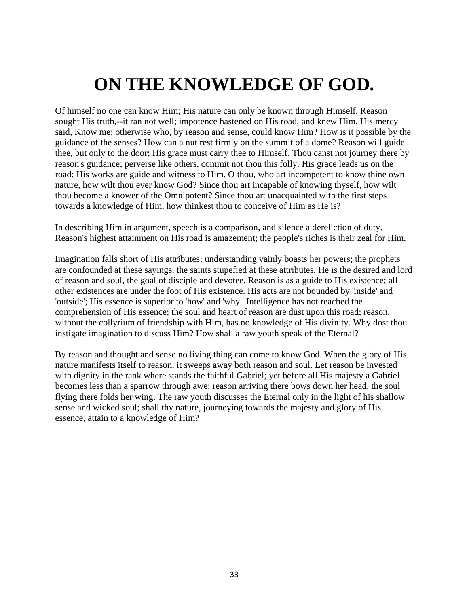## **ON THE KNOWLEDGE OF GOD.**

Of himself no one can know Him; His nature can only be known through Himself. Reason sought His truth,--it ran not well; impotence hastened on His road, and knew Him. His mercy said, Know me; otherwise who, by reason and sense, could know Him? How is it possible by the guidance of the senses? How can a nut rest firmly on the summit of a dome? Reason will guide thee, but only to the door; His grace must carry thee to Himself. Thou canst not journey there by reason's guidance; perverse like others, commit not thou this folly. His grace leads us on the road; His works are guide and witness to Him. O thou, who art incompetent to know thine own nature, how wilt thou ever know God? Since thou art incapable of knowing thyself, how wilt thou become a knower of the Omnipotent? Since thou art unacquainted with the first steps towards a knowledge of Him, how thinkest thou to conceive of Him as He is?

In describing Him in argument, speech is a comparison, and silence a dereliction of duty. Reason's highest attainment on His road is amazement; the people's riches is their zeal for Him.

Imagination falls short of His attributes; understanding vainly boasts her powers; the prophets are confounded at these sayings, the saints stupefied at these attributes. He is the desired and lord of reason and soul, the goal of disciple and devotee. Reason is as a guide to His existence; all other existences are under the foot of His existence. His acts are not bounded by 'inside' and 'outside'; His essence is superior to 'how' and 'why.' Intelligence has not reached the comprehension of His essence; the soul and heart of reason are dust upon this road; reason, without the collyrium of friendship with Him, has no knowledge of His divinity. Why dost thou instigate imagination to discuss Him? How shall a raw youth speak of the Eternal?

By reason and thought and sense no living thing can come to know God. When the glory of His nature manifests itself to reason, it sweeps away both reason and soul. Let reason be invested with dignity in the rank where stands the faithful Gabriel; yet before all His majesty a Gabriel becomes less than a sparrow through awe; reason arriving there bows down her head, the soul flying there folds her wing. The raw youth discusses the Eternal only in the light of his shallow sense and wicked soul; shall thy nature, journeying towards the majesty and glory of His essence, attain to a knowledge of Him?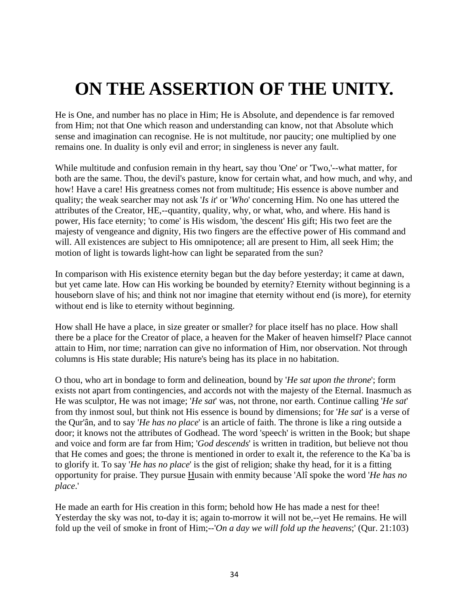## **ON THE ASSERTION OF THE UNITY.**

He is One, and number has no place in Him; He is Absolute, and dependence is far removed from Him; not that One which reason and understanding can know, not that Absolute which sense and imagination can recognise. He is not multitude, nor paucity; one multiplied by one remains one. In duality is only evil and error; in singleness is never any fault.

While multitude and confusion remain in thy heart, say thou 'One' or 'Two,'--what matter, for both are the same. Thou, the devil's pasture, know for certain what, and how much, and why, and how! Have a care! His greatness comes not from multitude; His essence is above number and quality; the weak searcher may not ask '*Is it*' or '*Who*' concerning Him. No one has uttered the attributes of the Creator, HE,--quantity, quality, why, or what, who, and where. His hand is power, His face eternity; 'to come' is His wisdom, 'the descent' His gift; His two feet are the majesty of vengeance and dignity, His two fingers are the effective power of His command and will. All existences are subject to His omnipotence; all are present to Him, all seek Him; the motion of light is towards light-how can light be separated from the sun?

In comparison with His existence eternity began but the day before yesterday; it came at dawn, but yet came late. How can His working be bounded by eternity? Eternity without beginning is a houseborn slave of his; and think not nor imagine that eternity without end (is more), for eternity without end is like to eternity without beginning.

How shall He have a place, in size greater or smaller? for place itself has no place. How shall there be a place for the Creator of place, a heaven for the Maker of heaven himself? Place cannot attain to Him, nor time; narration can give no information of Him, nor observation. Not through columns is His state durable; His nature's being has its place in no habitation.

O thou, who art in bondage to form and delineation, bound by '*He sat upon the throne*'; form exists not apart from contingencies, and accords not with the majesty of the Eternal. Inasmuch as He was sculptor, He was not image; '*He sat*' was, not throne, nor earth. Continue calling '*He sat*' from thy inmost soul, but think not His essence is bound by dimensions; for '*He sat*' is a verse of the Qur'ân, and to say '*He has no place*' is an article of faith. The throne is like a ring outside a door; it knows not the attributes of Godhead. The word 'speech' is written in the Book; but shape and voice and form are far from Him; '*God descends*' is written in tradition, but believe not thou that He comes and goes; the throne is mentioned in order to exalt it, the reference to the Ka`ba is to glorify it. To say '*He has no place*' is the gist of religion; shake thy head, for it is a fitting opportunity for praise. They pursue Husain with enmity because 'Alî spoke the word '*He has no place*.'

He made an earth for His creation in this form; behold how He has made a nest for thee! Yesterday the sky was not, to-day it is; again to-morrow it will not be,--yet He remains. He will fold up the veil of smoke in front of Him;--'*On a day we will fold up the heavens*;' (Qur. 21:103)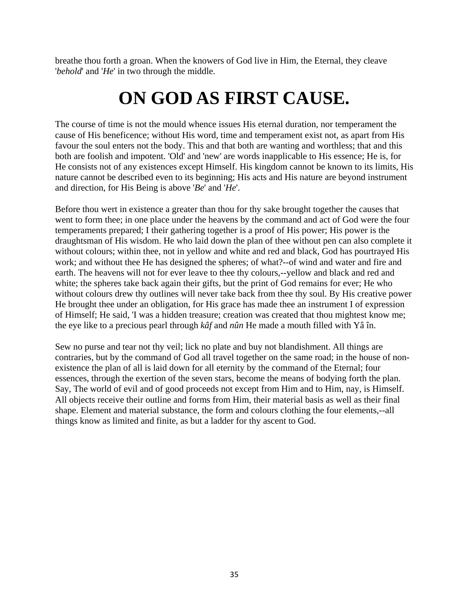breathe thou forth a groan. When the knowers of God live in Him, the Eternal, they cleave '*behold*' and '*He*' in two through the middle.

## **ON GOD AS FIRST CAUSE.**

The course of time is not the mould whence issues His eternal duration, nor temperament the cause of His beneficence; without His word, time and temperament exist not, as apart from His favour the soul enters not the body. This and that both are wanting and worthless; that and this both are foolish and impotent. 'Old' and 'new' are words inapplicable to His essence; He is, for He consists not of any existences except Himself. His kingdom cannot be known to its limits, His nature cannot be described even to its beginning; His acts and His nature are beyond instrument and direction, for His Being is above '*Be*' and '*He*'.

Before thou wert in existence a greater than thou for thy sake brought together the causes that went to form thee; in one place under the heavens by the command and act of God were the four temperaments prepared; I their gathering together is a proof of His power; His power is the draughtsman of His wisdom. He who laid down the plan of thee without pen can also complete it without colours; within thee, not in yellow and white and red and black, God has pourtrayed His work; and without thee He has designed the spheres; of what?--of wind and water and fire and earth. The heavens will not for ever leave to thee thy colours,--yellow and black and red and white; the spheres take back again their gifts, but the print of God remains for ever; He who without colours drew thy outlines will never take back from thee thy soul. By His creative power He brought thee under an obligation, for His grace has made thee an instrument I of expression of Himself; He said, 'I was a hidden treasure; creation was created that thou mightest know me; the eye like to a precious pearl through *kâf* and *nûn* He made a mouth filled with Yâ în.

Sew no purse and tear not thy veil; lick no plate and buy not blandishment. All things are contraries, but by the command of God all travel together on the same road; in the house of nonexistence the plan of all is laid down for all eternity by the command of the Eternal; four essences, through the exertion of the seven stars, become the means of bodying forth the plan. Say, The world of evil and of good proceeds not except from Him and to Him, nay, is Himself. All objects receive their outline and forms from Him, their material basis as well as their final shape. Element and material substance, the form and colours clothing the four elements,--all things know as limited and finite, as but a ladder for thy ascent to God.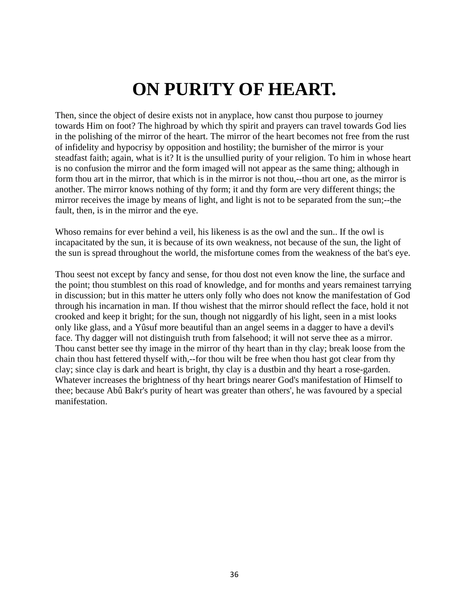## **ON PURITY OF HEART.**

Then, since the object of desire exists not in anyplace, how canst thou purpose to journey towards Him on foot? The highroad by which thy spirit and prayers can travel towards God lies in the polishing of the mirror of the heart. The mirror of the heart becomes not free from the rust of infidelity and hypocrisy by opposition and hostility; the burnisher of the mirror is your steadfast faith; again, what is it? It is the unsullied purity of your religion. To him in whose heart is no confusion the mirror and the form imaged will not appear as the same thing; although in form thou art in the mirror, that which is in the mirror is not thou,--thou art one, as the mirror is another. The mirror knows nothing of thy form; it and thy form are very different things; the mirror receives the image by means of light, and light is not to be separated from the sun;--the fault, then, is in the mirror and the eye.

Whoso remains for ever behind a veil, his likeness is as the owl and the sun.. If the owl is incapacitated by the sun, it is because of its own weakness, not because of the sun, the light of the sun is spread throughout the world, the misfortune comes from the weakness of the bat's eye.

Thou seest not except by fancy and sense, for thou dost not even know the line, the surface and the point; thou stumblest on this road of knowledge, and for months and years remainest tarrying in discussion; but in this matter he utters only folly who does not know the manifestation of God through his incarnation in man. If thou wishest that the mirror should reflect the face, hold it not crooked and keep it bright; for the sun, though not niggardly of his light, seen in a mist looks only like glass, and a Yûsuf more beautiful than an angel seems in a dagger to have a devil's face. Thy dagger will not distinguish truth from falsehood; it will not serve thee as a mirror. Thou canst better see thy image in the mirror of thy heart than in thy clay; break loose from the chain thou hast fettered thyself with,--for thou wilt be free when thou hast got clear from thy clay; since clay is dark and heart is bright, thy clay is a dustbin and thy heart a rose-garden. Whatever increases the brightness of thy heart brings nearer God's manifestation of Himself to thee; because Abû Bakr's purity of heart was greater than others', he was favoured by a special manifestation.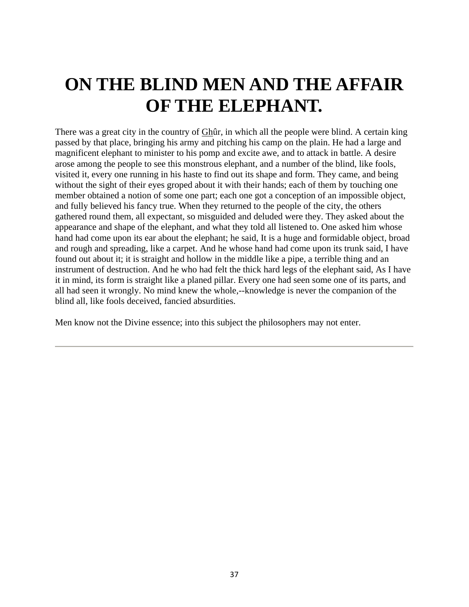### **ON THE BLIND MEN AND THE AFFAIR OF THE ELEPHANT.**

There was a great city in the country of Ghûr, in which all the people were blind. A certain king passed by that place, bringing his army and pitching his camp on the plain. He had a large and magnificent elephant to minister to his pomp and excite awe, and to attack in battle. A desire arose among the people to see this monstrous elephant, and a number of the blind, like fools, visited it, every one running in his haste to find out its shape and form. They came, and being without the sight of their eyes groped about it with their hands; each of them by touching one member obtained a notion of some one part; each one got a conception of an impossible object, and fully believed his fancy true. When they returned to the people of the city, the others gathered round them, all expectant, so misguided and deluded were they. They asked about the appearance and shape of the elephant, and what they told all listened to. One asked him whose hand had come upon its ear about the elephant; he said, It is a huge and formidable object, broad and rough and spreading, like a carpet. And he whose hand had come upon its trunk said, I have found out about it; it is straight and hollow in the middle like a pipe, a terrible thing and an instrument of destruction. And he who had felt the thick hard legs of the elephant said, As I have it in mind, its form is straight like a planed pillar. Every one had seen some one of its parts, and all had seen it wrongly. No mind knew the whole,--knowledge is never the companion of the blind all, like fools deceived, fancied absurdities.

Men know not the Divine essence; into this subject the philosophers may not enter.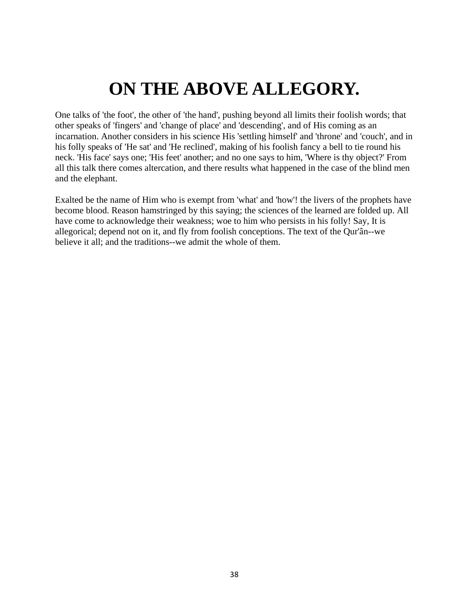## **ON THE ABOVE ALLEGORY.**

One talks of 'the foot', the other of 'the hand', pushing beyond all limits their foolish words; that other speaks of 'fingers' and 'change of place' and 'descending', and of His coming as an incarnation. Another considers in his science His 'settling himself' and 'throne' and 'couch', and in his folly speaks of 'He sat' and 'He reclined', making of his foolish fancy a bell to tie round his neck. 'His face' says one; 'His feet' another; and no one says to him, 'Where is thy object?' From all this talk there comes altercation, and there results what happened in the case of the blind men and the elephant.

Exalted be the name of Him who is exempt from 'what' and 'how'! the livers of the prophets have become blood. Reason hamstringed by this saying; the sciences of the learned are folded up. All have come to acknowledge their weakness; woe to him who persists in his folly! Say, It is allegorical; depend not on it, and fly from foolish conceptions. The text of the Qur'ân--we believe it all; and the traditions--we admit the whole of them.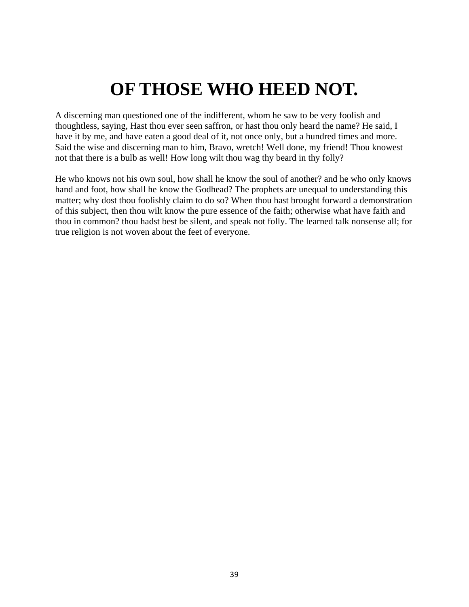## **OF THOSE WHO HEED NOT.**

A discerning man questioned one of the indifferent, whom he saw to be very foolish and thoughtless, saying, Hast thou ever seen saffron, or hast thou only heard the name? He said, I have it by me, and have eaten a good deal of it, not once only, but a hundred times and more. Said the wise and discerning man to him, Bravo, wretch! Well done, my friend! Thou knowest not that there is a bulb as well! How long wilt thou wag thy beard in thy folly?

He who knows not his own soul, how shall he know the soul of another? and he who only knows hand and foot, how shall he know the Godhead? The prophets are unequal to understanding this matter; why dost thou foolishly claim to do so? When thou hast brought forward a demonstration of this subject, then thou wilt know the pure essence of the faith; otherwise what have faith and thou in common? thou hadst best be silent, and speak not folly. The learned talk nonsense all; for true religion is not woven about the feet of everyone.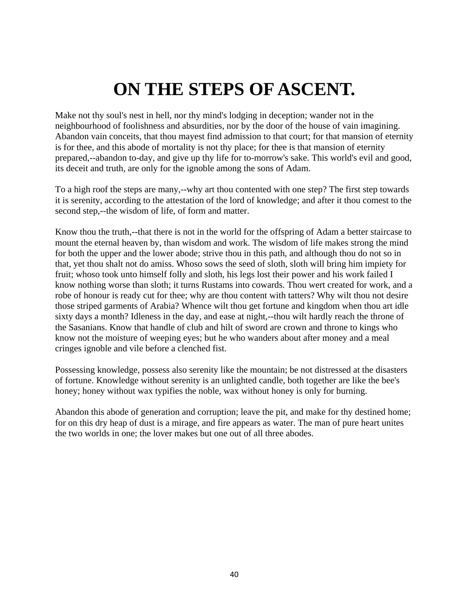## **ON THE STEPS OF ASCENT.**

Make not thy soul's nest in hell, nor thy mind's lodging in deception; wander not in the neighbourhood of foolishness and absurdities, nor by the door of the house of vain imagining. Abandon vain conceits, that thou mayest find admission to that court; for that mansion of eternity is for thee, and this abode of mortality is not thy place; for thee is that mansion of eternity prepared,--abandon to-day, and give up thy life for to-morrow's sake. This world's evil and good, its deceit and truth, are only for the ignoble among the sons of Adam.

To a high roof the steps are many,--why art thou contented with one step? The first step towards it is serenity, according to the attestation of the lord of knowledge; and after it thou comest to the second step,--the wisdom of life, of form and matter.

Know thou the truth,--that there is not in the world for the offspring of Adam a better staircase to mount the eternal heaven by, than wisdom and work. The wisdom of life makes strong the mind for both the upper and the lower abode; strive thou in this path, and although thou do not so in that, yet thou shalt not do amiss. Whoso sows the seed of sloth, sloth will bring him impiety for fruit; whoso took unto himself folly and sloth, his legs lost their power and his work failed I know nothing worse than sloth; it turns Rustams into cowards. Thou wert created for work, and a robe of honour is ready cut for thee; why are thou content with tatters? Why wilt thou not desire those striped garments of Arabia? Whence wilt thou get fortune and kingdom when thou art idle sixty days a month? Idleness in the day, and ease at night,--thou wilt hardly reach the throne of the Sasanians. Know that handle of club and hilt of sword are crown and throne to kings who know not the moisture of weeping eyes; but he who wanders about after money and a meal cringes ignoble and vile before a clenched fist.

Possessing knowledge, possess also serenity like the mountain; be not distressed at the disasters of fortune. Knowledge without serenity is an unlighted candle, both together are like the bee's honey; honey without wax typifies the noble, wax without honey is only for burning.

Abandon this abode of generation and corruption; leave the pit, and make for thy destined home; for on this dry heap of dust is a mirage, and fire appears as water. The man of pure heart unites the two worlds in one; the lover makes but one out of all three abodes.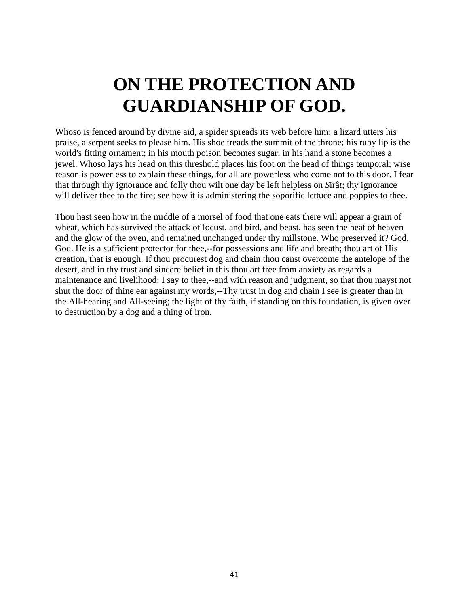### **ON THE PROTECTION AND GUARDIANSHIP OF GOD.**

Whoso is fenced around by divine aid, a spider spreads its web before him; a lizard utters his praise, a serpent seeks to please him. His shoe treads the summit of the throne; his ruby lip is the world's fitting ornament; in his mouth poison becomes sugar; in his hand a stone becomes a jewel. Whoso lays his head on this threshold places his foot on the head of things temporal; wise reason is powerless to explain these things, for all are powerless who come not to this door. I fear that through thy ignorance and folly thou wilt one day be left helpless on *S*irâ*t*; thy ignorance will deliver thee to the fire; see how it is administering the soporific lettuce and poppies to thee.

Thou hast seen how in the middle of a morsel of food that one eats there will appear a grain of wheat, which has survived the attack of locust, and bird, and beast, has seen the heat of heaven and the glow of the oven, and remained unchanged under thy millstone. Who preserved it? God, God. He is a sufficient protector for thee,--for possessions and life and breath; thou art of His creation, that is enough. If thou procurest dog and chain thou canst overcome the antelope of the desert, and in thy trust and sincere belief in this thou art free from anxiety as regards a maintenance and livelihood: I say to thee,--and with reason and judgment, so that thou mayst not shut the door of thine ear against my words,--Thy trust in dog and chain I see is greater than in the All-hearing and All-seeing; the light of thy faith, if standing on this foundation, is given over to destruction by a dog and a thing of iron.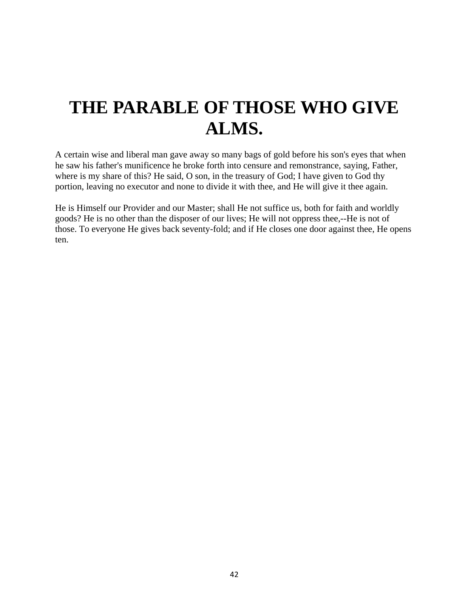### **THE PARABLE OF THOSE WHO GIVE ALMS.**

A certain wise and liberal man gave away so many bags of gold before his son's eyes that when he saw his father's munificence he broke forth into censure and remonstrance, saying, Father, where is my share of this? He said, O son, in the treasury of God; I have given to God thy portion, leaving no executor and none to divide it with thee, and He will give it thee again.

He is Himself our Provider and our Master; shall He not suffice us, both for faith and worldly goods? He is no other than the disposer of our lives; He will not oppress thee,--He is not of those. To everyone He gives back seventy-fold; and if He closes one door against thee, He opens ten.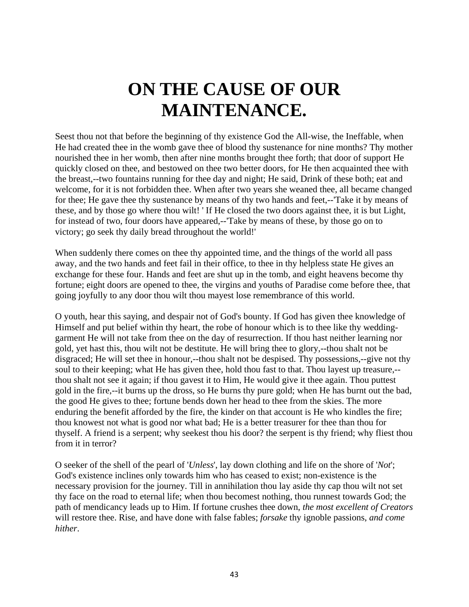### **ON THE CAUSE OF OUR MAINTENANCE.**

Seest thou not that before the beginning of thy existence God the All-wise, the Ineffable, when He had created thee in the womb gave thee of blood thy sustenance for nine months? Thy mother nourished thee in her womb, then after nine months brought thee forth; that door of support He quickly closed on thee, and bestowed on thee two better doors, for He then acquainted thee with the breast,--two fountains running for thee day and night; He said, Drink of these both; eat and welcome, for it is not forbidden thee. When after two years she weaned thee, all became changed for thee; He gave thee thy sustenance by means of thy two hands and feet,--'Take it by means of these, and by those go where thou wilt! ' If He closed the two doors against thee, it is but Light, for instead of two, four doors have appeared,--'Take by means of these, by those go on to victory; go seek thy daily bread throughout the world!'

When suddenly there comes on thee thy appointed time, and the things of the world all pass away, and the two hands and feet fail in their office, to thee in thy helpless state He gives an exchange for these four. Hands and feet are shut up in the tomb, and eight heavens become thy fortune; eight doors are opened to thee, the virgins and youths of Paradise come before thee, that going joyfully to any door thou wilt thou mayest lose remembrance of this world.

O youth, hear this saying, and despair not of God's bounty. If God has given thee knowledge of Himself and put belief within thy heart, the robe of honour which is to thee like thy weddinggarment He will not take from thee on the day of resurrection. If thou hast neither learning nor gold, yet hast this, thou wilt not be destitute. He will bring thee to glory,--thou shalt not be disgraced; He will set thee in honour,--thou shalt not be despised. Thy possessions,--give not thy soul to their keeping; what He has given thee, hold thou fast to that. Thou layest up treasure,- thou shalt not see it again; if thou gavest it to Him, He would give it thee again. Thou puttest gold in the fire,--it burns up the dross, so He burns thy pure gold; when He has burnt out the bad, the good He gives to thee; fortune bends down her head to thee from the skies. The more enduring the benefit afforded by the fire, the kinder on that account is He who kindles the fire; thou knowest not what is good nor what bad; He is a better treasurer for thee than thou for thyself. A friend is a serpent; why seekest thou his door? the serpent is thy friend; why fliest thou from it in terror?

O seeker of the shell of the pearl of '*Unless*', lay down clothing and life on the shore of '*Not*'; God's existence inclines only towards him who has ceased to exist; non-existence is the necessary provision for the journey. Till in annihilation thou lay aside thy cap thou wilt not set thy face on the road to eternal life; when thou becomest nothing, thou runnest towards God; the path of mendicancy leads up to Him. If fortune crushes thee down, *the most excellent of Creators* will restore thee. Rise, and have done with false fables; *forsake* thy ignoble passions, *and come hither*.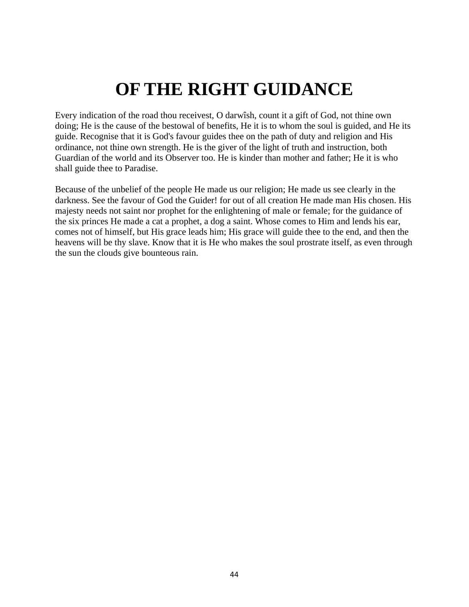# **OF THE RIGHT GUIDANCE**

Every indication of the road thou receivest, O darwîsh, count it a gift of God, not thine own doing; He is the cause of the bestowal of benefits, He it is to whom the soul is guided, and He its guide. Recognise that it is God's favour guides thee on the path of duty and religion and His ordinance, not thine own strength. He is the giver of the light of truth and instruction, both Guardian of the world and its Observer too. He is kinder than mother and father; He it is who shall guide thee to Paradise.

Because of the unbelief of the people He made us our religion; He made us see clearly in the darkness. See the favour of God the Guider! for out of all creation He made man His chosen. His majesty needs not saint nor prophet for the enlightening of male or female; for the guidance of the six princes He made a cat a prophet, a dog a saint. Whose comes to Him and lends his ear, comes not of himself, but His grace leads him; His grace will guide thee to the end, and then the heavens will be thy slave. Know that it is He who makes the soul prostrate itself, as even through the sun the clouds give bounteous rain.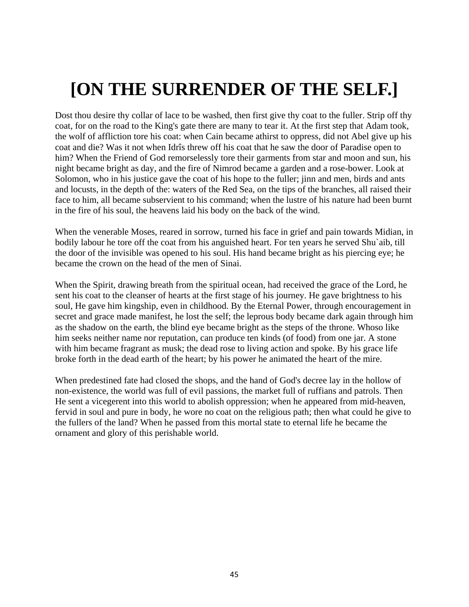# **[ON THE SURRENDER OF THE SELF.]**

Dost thou desire thy collar of lace to be washed, then first give thy coat to the fuller. Strip off thy coat, for on the road to the King's gate there are many to tear it. At the first step that Adam took, the wolf of affliction tore his coat: when Cain became athirst to oppress, did not Abel give up his coat and die? Was it not when Idrîs threw off his coat that he saw the door of Paradise open to him? When the Friend of God remorselessly tore their garments from star and moon and sun, his night became bright as day, and the fire of Nimrod became a garden and a rose-bower. Look at Solomon, who in his justice gave the coat of his hope to the fuller; jinn and men, birds and ants and locusts, in the depth of the: waters of the Red Sea, on the tips of the branches, all raised their face to him, all became subservient to his command; when the lustre of his nature had been burnt in the fire of his soul, the heavens laid his body on the back of the wind.

When the venerable Moses, reared in sorrow, turned his face in grief and pain towards Midian, in bodily labour he tore off the coat from his anguished heart. For ten years he served Shu`aib, till the door of the invisible was opened to his soul. His hand became bright as his piercing eye; he became the crown on the head of the men of Sinai.

When the Spirit, drawing breath from the spiritual ocean, had received the grace of the Lord, he sent his coat to the cleanser of hearts at the first stage of his journey. He gave brightness to his soul, He gave him kingship, even in childhood. By the Eternal Power, through encouragement in secret and grace made manifest, he lost the self; the leprous body became dark again through him as the shadow on the earth, the blind eye became bright as the steps of the throne. Whoso like him seeks neither name nor reputation, can produce ten kinds (of food) from one jar. A stone with him became fragrant as musk; the dead rose to living action and spoke. By his grace life broke forth in the dead earth of the heart; by his power he animated the heart of the mire.

When predestined fate had closed the shops, and the hand of God's decree lay in the hollow of non-existence, the world was full of evil passions, the market full of ruffians and patrols. Then He sent a vicegerent into this world to abolish oppression; when he appeared from mid-heaven, fervid in soul and pure in body, he wore no coat on the religious path; then what could he give to the fullers of the land? When he passed from this mortal state to eternal life he became the ornament and glory of this perishable world.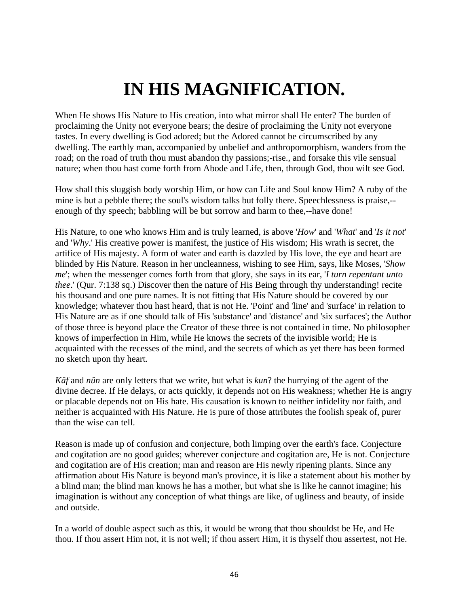# **IN HIS MAGNIFICATION.**

When He shows His Nature to His creation, into what mirror shall He enter? The burden of proclaiming the Unity not everyone bears; the desire of proclaiming the Unity not everyone tastes. In every dwelling is God adored; but the Adored cannot be circumscribed by any dwelling. The earthly man, accompanied by unbelief and anthropomorphism, wanders from the road; on the road of truth thou must abandon thy passions;-rise., and forsake this vile sensual nature; when thou hast come forth from Abode and Life, then, through God, thou wilt see God.

How shall this sluggish body worship Him, or how can Life and Soul know Him? A ruby of the mine is but a pebble there; the soul's wisdom talks but folly there. Speechlessness is praise,- enough of thy speech; babbling will be but sorrow and harm to thee,--have done!

His Nature, to one who knows Him and is truly learned, is above '*How*' and '*What*' and '*Is it not*' and '*Why*.' His creative power is manifest, the justice of His wisdom; His wrath is secret, the artifice of His majesty. A form of water and earth is dazzled by His love, the eye and heart are blinded by His Nature. Reason in her uncleanness, wishing to see Him, says, like Moses, '*Show me*'; when the messenger comes forth from that glory, she says in its ear, '*I turn repentant unto thee*.' (Qur. 7:138 sq.) Discover then the nature of His Being through thy understanding! recite his thousand and one pure names. It is not fitting that His Nature should be covered by our knowledge; whatever thou hast heard, that is not He. 'Point' and 'line' and 'surface' in relation to His Nature are as if one should talk of His 'substance' and 'distance' and 'six surfaces'; the Author of those three is beyond place the Creator of these three is not contained in time. No philosopher knows of imperfection in Him, while He knows the secrets of the invisible world; He is acquainted with the recesses of the mind, and the secrets of which as yet there has been formed no sketch upon thy heart.

*Kâf* and *nûn* are only letters that we write, but what is *kun*? the hurrying of the agent of the divine decree. If He delays, or acts quickly, it depends not on His weakness; whether He is angry or placable depends not on His hate. His causation is known to neither infidelity nor faith, and neither is acquainted with His Nature. He is pure of those attributes the foolish speak of, purer than the wise can tell.

Reason is made up of confusion and conjecture, both limping over the earth's face. Conjecture and cogitation are no good guides; wherever conjecture and cogitation are, He is not. Conjecture and cogitation are of His creation; man and reason are His newly ripening plants. Since any affirmation about His Nature is beyond man's province, it is like a statement about his mother by a blind man; the blind man knows he has a mother, but what she is like he cannot imagine; his imagination is without any conception of what things are like, of ugliness and beauty, of inside and outside.

In a world of double aspect such as this, it would be wrong that thou shouldst be He, and He thou. If thou assert Him not, it is not well; if thou assert Him, it is thyself thou assertest, not He.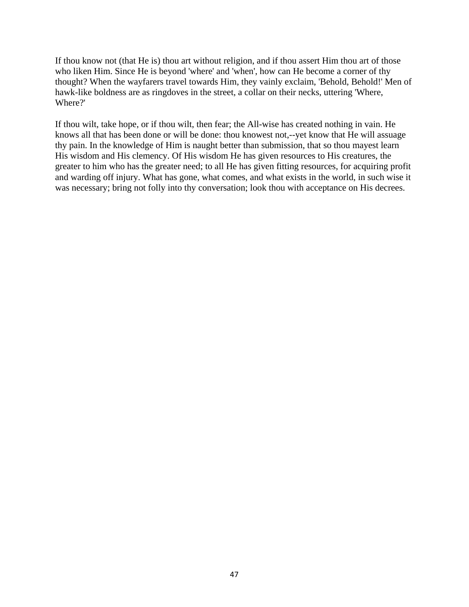If thou know not (that He is) thou art without religion, and if thou assert Him thou art of those who liken Him. Since He is beyond 'where' and 'when', how can He become a corner of thy thought? When the wayfarers travel towards Him, they vainly exclaim, 'Behold, Behold!' Men of hawk-like boldness are as ringdoves in the street, a collar on their necks, uttering 'Where, Where?'

If thou wilt, take hope, or if thou wilt, then fear; the All-wise has created nothing in vain. He knows all that has been done or will be done: thou knowest not,--yet know that He will assuage thy pain. In the knowledge of Him is naught better than submission, that so thou mayest learn His wisdom and His clemency. Of His wisdom He has given resources to His creatures, the greater to him who has the greater need; to all He has given fitting resources, for acquiring profit and warding off injury. What has gone, what comes, and what exists in the world, in such wise it was necessary; bring not folly into thy conversation; look thou with acceptance on His decrees.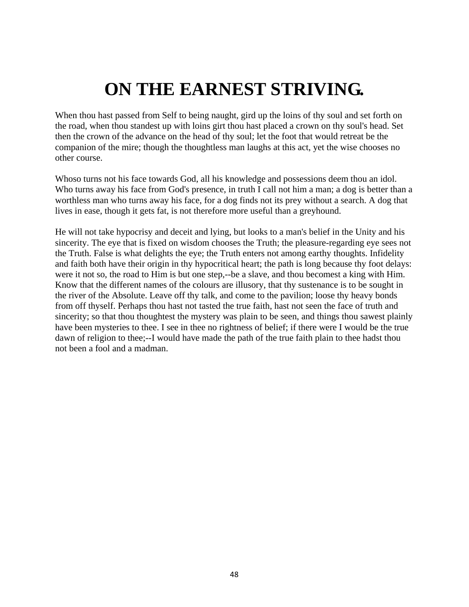## **ON THE EARNEST STRIVING.**

When thou hast passed from Self to being naught, gird up the loins of thy soul and set forth on the road, when thou standest up with loins girt thou hast placed a crown on thy soul's head. Set then the crown of the advance on the head of thy soul; let the foot that would retreat be the companion of the mire; though the thoughtless man laughs at this act, yet the wise chooses no other course.

Whoso turns not his face towards God, all his knowledge and possessions deem thou an idol. Who turns away his face from God's presence, in truth I call not him a man; a dog is better than a worthless man who turns away his face, for a dog finds not its prey without a search. A dog that lives in ease, though it gets fat, is not therefore more useful than a greyhound.

He will not take hypocrisy and deceit and lying, but looks to a man's belief in the Unity and his sincerity. The eye that is fixed on wisdom chooses the Truth; the pleasure-regarding eye sees not the Truth. False is what delights the eye; the Truth enters not among earthy thoughts. Infidelity and faith both have their origin in thy hypocritical heart; the path is long because thy foot delays: were it not so, the road to Him is but one step,--be a slave, and thou becomest a king with Him. Know that the different names of the colours are illusory, that thy sustenance is to be sought in the river of the Absolute. Leave off thy talk, and come to the pavilion; loose thy heavy bonds from off thyself. Perhaps thou hast not tasted the true faith, hast not seen the face of truth and sincerity; so that thou thoughtest the mystery was plain to be seen, and things thou sawest plainly have been mysteries to thee. I see in thee no rightness of belief; if there were I would be the true dawn of religion to thee;--I would have made the path of the true faith plain to thee hadst thou not been a fool and a madman.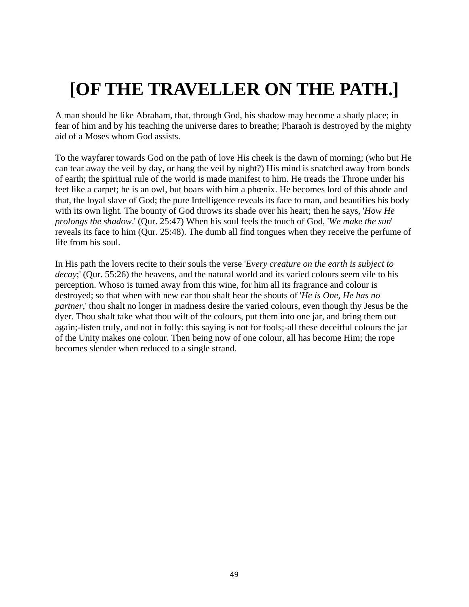# **[OF THE TRAVELLER ON THE PATH.]**

A man should be like Abraham, that, through God, his shadow may become a shady place; in fear of him and by his teaching the universe dares to breathe; Pharaoh is destroyed by the mighty aid of a Moses whom God assists.

To the wayfarer towards God on the path of love His cheek is the dawn of morning; (who but He can tear away the veil by day, or hang the veil by night?) His mind is snatched away from bonds of earth; the spiritual rule of the world is made manifest to him. He treads the Throne under his feet like a carpet; he is an owl, but boars with him a phœnix. He becomes lord of this abode and that, the loyal slave of God; the pure Intelligence reveals its face to man, and beautifies his body with its own light. The bounty of God throws its shade over his heart; then he says, '*How He prolongs the shadow*.' (Qur. 25:47) When his soul feels the touch of God, '*We make the sun*' reveals its face to him (Qur. 25:48). The dumb all find tongues when they receive the perfume of life from his soul.

In His path the lovers recite to their souls the verse '*Every creature on the earth is subject to decay*;' (Qur. 55:26) the heavens, and the natural world and its varied colours seem vile to his perception. Whoso is turned away from this wine, for him all its fragrance and colour is destroyed; so that when with new ear thou shalt hear the shouts of '*He is One, He has no partner*,' thou shalt no longer in madness desire the varied colours, even though thy Jesus be the dyer. Thou shalt take what thou wilt of the colours, put them into one jar, and bring them out again;-listen truly, and not in folly: this saying is not for fools;-all these deceitful colours the jar of the Unity makes one colour. Then being now of one colour, all has become Him; the rope becomes slender when reduced to a single strand.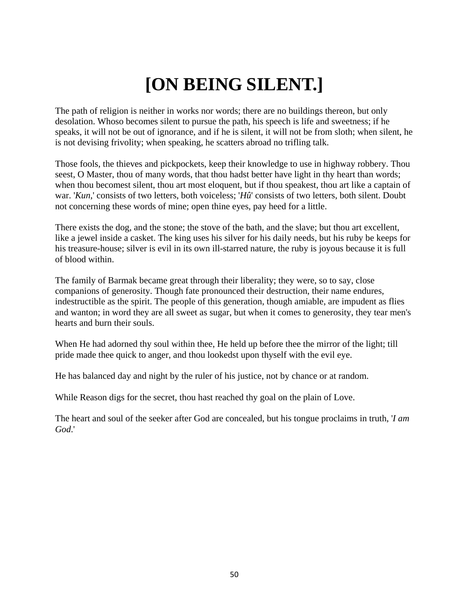# **[ON BEING SILENT.]**

The path of religion is neither in works nor words; there are no buildings thereon, but only desolation. Whoso becomes silent to pursue the path, his speech is life and sweetness; if he speaks, it will not be out of ignorance, and if he is silent, it will not be from sloth; when silent, he is not devising frivolity; when speaking, he scatters abroad no trifling talk.

Those fools, the thieves and pickpockets, keep their knowledge to use in highway robbery. Thou seest, O Master, thou of many words, that thou hadst better have light in thy heart than words; when thou becomest silent, thou art most eloquent, but if thou speakest, thou art like a captain of war. '*Kun*,' consists of two letters, both voiceless; '*Hû*' consists of two letters, both silent. Doubt not concerning these words of mine; open thine eyes, pay heed for a little.

There exists the dog, and the stone; the stove of the bath, and the slave; but thou art excellent, like a jewel inside a casket. The king uses his silver for his daily needs, but his ruby be keeps for his treasure-house; silver is evil in its own ill-starred nature, the ruby is joyous because it is full of blood within.

The family of Barmak became great through their liberality; they were, so to say, close companions of generosity. Though fate pronounced their destruction, their name endures, indestructible as the spirit. The people of this generation, though amiable, are impudent as flies and wanton; in word they are all sweet as sugar, but when it comes to generosity, they tear men's hearts and burn their souls.

When He had adorned thy soul within thee, He held up before thee the mirror of the light; till pride made thee quick to anger, and thou lookedst upon thyself with the evil eye.

He has balanced day and night by the ruler of his justice, not by chance or at random.

While Reason digs for the secret, thou hast reached thy goal on the plain of Love.

The heart and soul of the seeker after God are concealed, but his tongue proclaims in truth, '*I am God*.'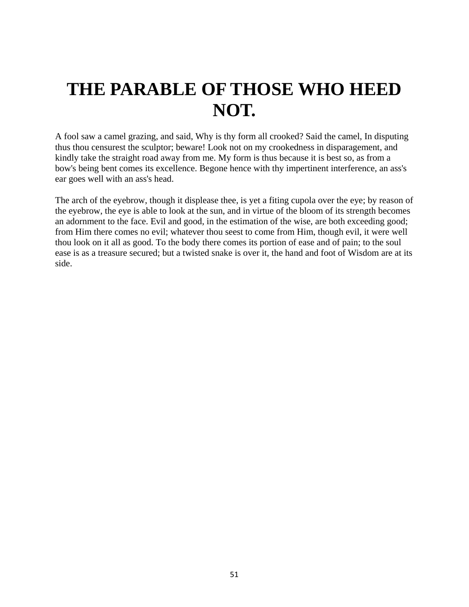#### **THE PARABLE OF THOSE WHO HEED NOT.**

A fool saw a camel grazing, and said, Why is thy form all crooked? Said the camel, In disputing thus thou censurest the sculptor; beware! Look not on my crookedness in disparagement, and kindly take the straight road away from me. My form is thus because it is best so, as from a bow's being bent comes its excellence. Begone hence with thy impertinent interference, an ass's ear goes well with an ass's head.

The arch of the eyebrow, though it displease thee, is yet a fiting cupola over the eye; by reason of the eyebrow, the eye is able to look at the sun, and in virtue of the bloom of its strength becomes an adornment to the face. Evil and good, in the estimation of the wise, are both exceeding good; from Him there comes no evil; whatever thou seest to come from Him, though evil, it were well thou look on it all as good. To the body there comes its portion of ease and of pain; to the soul ease is as a treasure secured; but a twisted snake is over it, the hand and foot of Wisdom are at its side.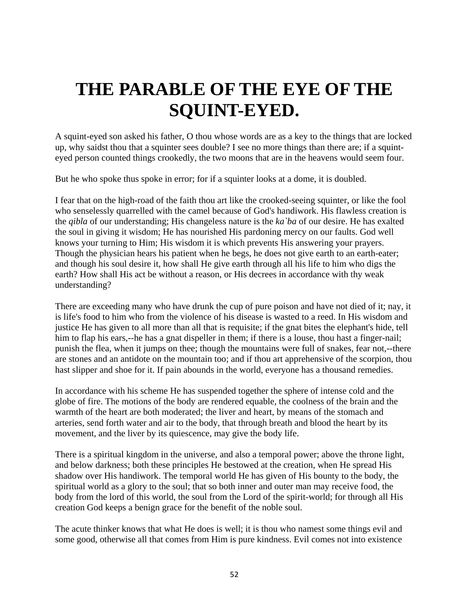### **THE PARABLE OF THE EYE OF THE SQUINT-EYED.**

A squint-eyed son asked his father, O thou whose words are as a key to the things that are locked up, why saidst thou that a squinter sees double? I see no more things than there are; if a squinteyed person counted things crookedly, the two moons that are in the heavens would seem four.

But he who spoke thus spoke in error; for if a squinter looks at a dome, it is doubled.

I fear that on the high-road of the faith thou art like the crooked-seeing squinter, or like the fool who senselessly quarrelled with the camel because of God's handiwork. His flawless creation is the *qibla* of our understanding; His changeless nature is the *ka`ba* of our desire. He has exalted the soul in giving it wisdom; He has nourished His pardoning mercy on our faults. God well knows your turning to Him; His wisdom it is which prevents His answering your prayers. Though the physician hears his patient when he begs, he does not give earth to an earth-eater; and though his soul desire it, how shall He give earth through all his life to him who digs the earth? How shall His act be without a reason, or His decrees in accordance with thy weak understanding?

There are exceeding many who have drunk the cup of pure poison and have not died of it; nay, it is life's food to him who from the violence of his disease is wasted to a reed. In His wisdom and justice He has given to all more than all that is requisite; if the gnat bites the elephant's hide, tell him to flap his ears,--he has a gnat dispeller in them; if there is a louse, thou hast a finger-nail; punish the flea, when it jumps on thee; though the mountains were full of snakes, fear not,--there are stones and an antidote on the mountain too; and if thou art apprehensive of the scorpion, thou hast slipper and shoe for it. If pain abounds in the world, everyone has a thousand remedies.

In accordance with his scheme He has suspended together the sphere of intense cold and the globe of fire. The motions of the body are rendered equable, the coolness of the brain and the warmth of the heart are both moderated; the liver and heart, by means of the stomach and arteries, send forth water and air to the body, that through breath and blood the heart by its movement, and the liver by its quiescence, may give the body life.

There is a spiritual kingdom in the universe, and also a temporal power; above the throne light, and below darkness; both these principles He bestowed at the creation, when He spread His shadow over His handiwork. The temporal world He has given of His bounty to the body, the spiritual world as a glory to the soul; that so both inner and outer man may receive food, the body from the lord of this world, the soul from the Lord of the spirit-world; for through all His creation God keeps a benign grace for the benefit of the noble soul.

The acute thinker knows that what He does is well; it is thou who namest some things evil and some good, otherwise all that comes from Him is pure kindness. Evil comes not into existence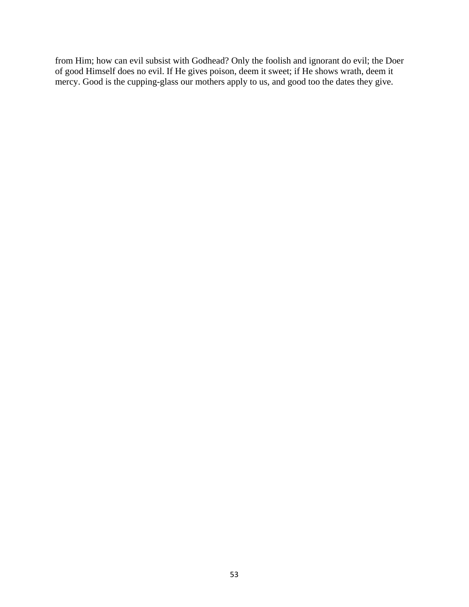from Him; how can evil subsist with Godhead? Only the foolish and ignorant do evil; the Doer of good Himself does no evil. If He gives poison, deem it sweet; if He shows wrath, deem it mercy. Good is the cupping-glass our mothers apply to us, and good too the dates they give.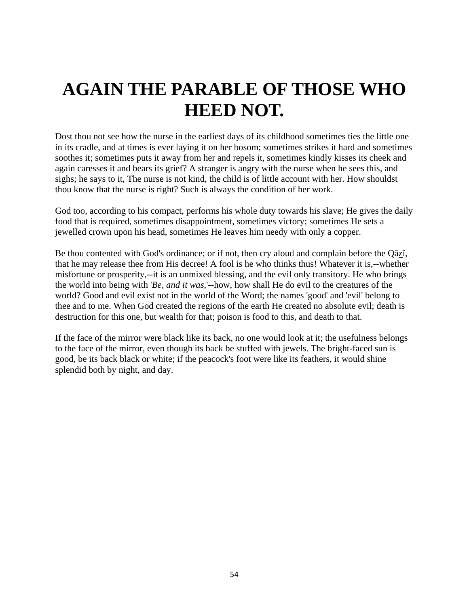### **AGAIN THE PARABLE OF THOSE WHO HEED NOT.**

Dost thou not see how the nurse in the earliest days of its childhood sometimes ties the little one in its cradle, and at times is ever laying it on her bosom; sometimes strikes it hard and sometimes soothes it; sometimes puts it away from her and repels it, sometimes kindly kisses its cheek and again caresses it and bears its grief? A stranger is angry with the nurse when he sees this, and sighs; he says to it, The nurse is not kind, the child is of little account with her. How shouldst thou know that the nurse is right? Such is always the condition of her work.

God too, according to his compact, performs his whole duty towards his slave; He gives the daily food that is required, sometimes disappointment, sometimes victory; sometimes He sets a jewelled crown upon his head, sometimes He leaves him needy with only a copper.

Be thou contented with God's ordinance; or if not, then cry aloud and complain before the Qâzî, that he may release thee from His decree! A fool is he who thinks thus! Whatever it is,--whether misfortune or prosperity,--it is an unmixed blessing, and the evil only transitory. He who brings the world into being with '*Be, and it was*,'--how, how shall He do evil to the creatures of the world? Good and evil exist not in the world of the Word; the names 'good' and 'evil' belong to thee and to me. When God created the regions of the earth He created no absolute evil; death is destruction for this one, but wealth for that; poison is food to this, and death to that.

If the face of the mirror were black like its back, no one would look at it; the usefulness belongs to the face of the mirror, even though its back be stuffed with jewels. The bright-faced sun is good, be its back black or white; if the peacock's foot were like its feathers, it would shine splendid both by night, and day.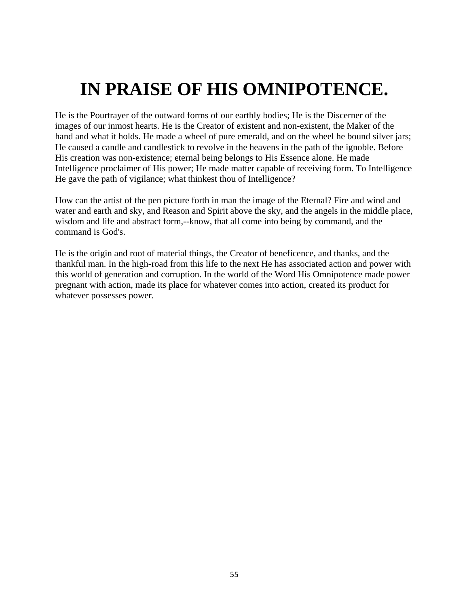# **IN PRAISE OF HIS OMNIPOTENCE.**

He is the Pourtrayer of the outward forms of our earthly bodies; He is the Discerner of the images of our inmost hearts. He is the Creator of existent and non-existent, the Maker of the hand and what it holds. He made a wheel of pure emerald, and on the wheel he bound silver jars; He caused a candle and candlestick to revolve in the heavens in the path of the ignoble. Before His creation was non-existence; eternal being belongs to His Essence alone. He made Intelligence proclaimer of His power; He made matter capable of receiving form. To Intelligence He gave the path of vigilance; what thinkest thou of Intelligence?

How can the artist of the pen picture forth in man the image of the Eternal? Fire and wind and water and earth and sky, and Reason and Spirit above the sky, and the angels in the middle place, wisdom and life and abstract form,--know, that all come into being by command, and the command is God's.

He is the origin and root of material things, the Creator of beneficence, and thanks, and the thankful man. In the high-road from this life to the next He has associated action and power with this world of generation and corruption. In the world of the Word His Omnipotence made power pregnant with action, made its place for whatever comes into action, created its product for whatever possesses power.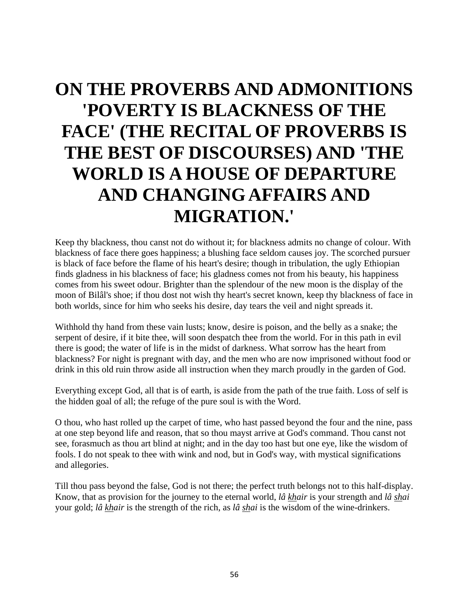### **ON THE PROVERBS AND ADMONITIONS 'POVERTY IS BLACKNESS OF THE FACE' (THE RECITAL OF PROVERBS IS THE BEST OF DISCOURSES) AND 'THE WORLD IS A HOUSE OF DEPARTURE AND CHANGING AFFAIRS AND MIGRATION.'**

Keep thy blackness, thou canst not do without it; for blackness admits no change of colour. With blackness of face there goes happiness; a blushing face seldom causes joy. The scorched pursuer is black of face before the flame of his heart's desire; though in tribulation, the ugly Ethiopian finds gladness in his blackness of face; his gladness comes not from his beauty, his happiness comes from his sweet odour. Brighter than the splendour of the new moon is the display of the moon of Bilâl's shoe; if thou dost not wish thy heart's secret known, keep thy blackness of face in both worlds, since for him who seeks his desire, day tears the veil and night spreads it.

Withhold thy hand from these vain lusts; know, desire is poison, and the belly as a snake; the serpent of desire, if it bite thee, will soon despatch thee from the world. For in this path in evil there is good; the water of life is in the midst of darkness. What sorrow has the heart from blackness? For night is pregnant with day, and the men who are now imprisoned without food or drink in this old ruin throw aside all instruction when they march proudly in the garden of God.

Everything except God, all that is of earth, is aside from the path of the true faith. Loss of self is the hidden goal of all; the refuge of the pure soul is with the Word.

O thou, who hast rolled up the carpet of time, who hast passed beyond the four and the nine, pass at one step beyond life and reason, that so thou mayst arrive at God's command. Thou canst not see, forasmuch as thou art blind at night; and in the day too hast but one eye, like the wisdom of fools. I do not speak to thee with wink and nod, but in God's way, with mystical significations and allegories.

Till thou pass beyond the false, God is not there; the perfect truth belongs not to this half-display. Know, that as provision for the journey to the eternal world, *lâ khair* is your strength and *lâ shai* your gold; *lâ khair* is the strength of the rich, as *lâ shai* is the wisdom of the wine-drinkers.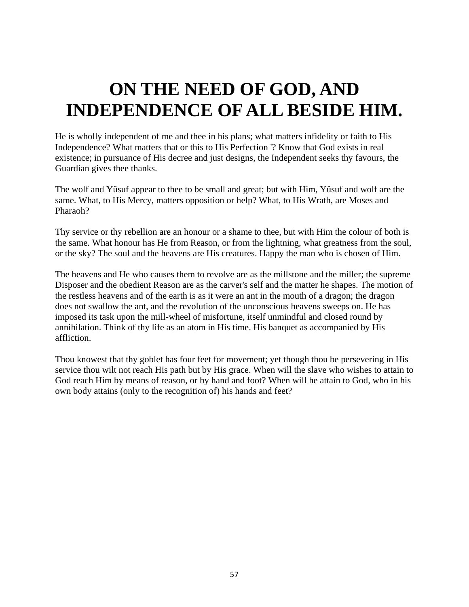### **ON THE NEED OF GOD, AND INDEPENDENCE OF ALL BESIDE HIM.**

He is wholly independent of me and thee in his plans; what matters infidelity or faith to His Independence? What matters that or this to His Perfection '? Know that God exists in real existence; in pursuance of His decree and just designs, the Independent seeks thy favours, the Guardian gives thee thanks.

The wolf and Yûsuf appear to thee to be small and great; but with Him, Yûsuf and wolf are the same. What, to His Mercy, matters opposition or help? What, to His Wrath, are Moses and Pharaoh?

Thy service or thy rebellion are an honour or a shame to thee, but with Him the colour of both is the same. What honour has He from Reason, or from the lightning, what greatness from the soul, or the sky? The soul and the heavens are His creatures. Happy the man who is chosen of Him.

The heavens and He who causes them to revolve are as the millstone and the miller; the supreme Disposer and the obedient Reason are as the carver's self and the matter he shapes. The motion of the restless heavens and of the earth is as it were an ant in the mouth of a dragon; the dragon does not swallow the ant, and the revolution of the unconscious heavens sweeps on. He has imposed its task upon the mill-wheel of misfortune, itself unmindful and closed round by annihilation. Think of thy life as an atom in His time. His banquet as accompanied by His affliction.

Thou knowest that thy goblet has four feet for movement; yet though thou be persevering in His service thou wilt not reach His path but by His grace. When will the slave who wishes to attain to God reach Him by means of reason, or by hand and foot? When will he attain to God, who in his own body attains (only to the recognition of) his hands and feet?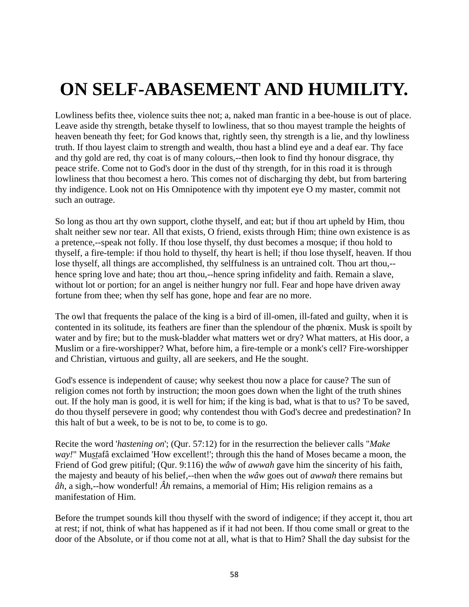# **ON SELF-ABASEMENT AND HUMILITY.**

Lowliness befits thee, violence suits thee not; a, naked man frantic in a bee-house is out of place. Leave aside thy strength, betake thyself to lowliness, that so thou mayest trample the heights of heaven beneath thy feet; for God knows that, rightly seen, thy strength is a lie, and thy lowliness truth. If thou layest claim to strength and wealth, thou hast a blind eye and a deaf ear. Thy face and thy gold are red, thy coat is of many colours,--then look to find thy honour disgrace, thy peace strife. Come not to God's door in the dust of thy strength, for in this road it is through lowliness that thou becomest a hero. This comes not of discharging thy debt, but from bartering thy indigence. Look not on His Omnipotence with thy impotent eye O my master, commit not such an outrage.

So long as thou art thy own support, clothe thyself, and eat; but if thou art upheld by Him, thou shalt neither sew nor tear. All that exists, O friend, exists through Him; thine own existence is as a pretence,--speak not folly. If thou lose thyself, thy dust becomes a mosque; if thou hold to thyself, a fire-temple: if thou hold to thyself, thy heart is hell; if thou lose thyself, heaven. If thou lose thyself, all things are accomplished, thy selffulness is an untrained colt. Thou art thou,- hence spring love and hate; thou art thou,--hence spring infidelity and faith. Remain a slave, without lot or portion; for an angel is neither hungry nor full. Fear and hope have driven away fortune from thee; when thy self has gone, hope and fear are no more.

The owl that frequents the palace of the king is a bird of ill-omen, ill-fated and guilty, when it is contented in its solitude, its feathers are finer than the splendour of the phœnix. Musk is spoilt by water and by fire; but to the musk-bladder what matters wet or dry? What matters, at His door, a Muslim or a fire-worshipper? What, before him, a fire-temple or a monk's cell? Fire-worshipper and Christian, virtuous and guilty, all are seekers, and He the sought.

God's essence is independent of cause; why seekest thou now a place for cause? The sun of religion comes not forth by instruction; the moon goes down when the light of the truth shines out. If the holy man is good, it is well for him; if the king is bad, what is that to us? To be saved, do thou thyself persevere in good; why contendest thou with God's decree and predestination? In this halt of but a week, to be is not to be, to come is to go.

Recite the word '*hastening on*'; (Qur. 57:12) for in the resurrection the believer calls "*Make way!*" Mu*st*afâ exclaimed 'How excellent!'; through this the hand of Moses became a moon, the Friend of God grew pitiful; (Qur. 9:116) the *wâw* of *awwah* gave him the sincerity of his faith, the majesty and beauty of his belief,--then when the *wâw* goes out of *awwah* there remains but *âh*, a sigh,--how wonderful! *Âh* remains, a memorial of Him; His religion remains as a manifestation of Him.

Before the trumpet sounds kill thou thyself with the sword of indigence; if they accept it, thou art at rest; if not, think of what has happened as if it had not been. If thou come small or great to the door of the Absolute, or if thou come not at all, what is that to Him? Shall the day subsist for the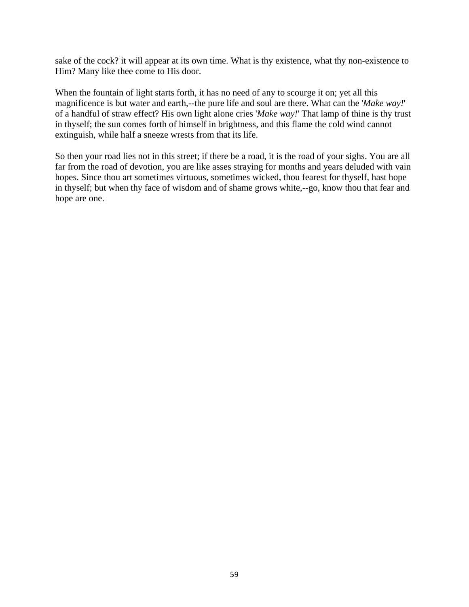sake of the cock? it will appear at its own time. What is thy existence, what thy non-existence to Him? Many like thee come to His door.

When the fountain of light starts forth, it has no need of any to scourge it on; yet all this magnificence is but water and earth,--the pure life and soul are there. What can the '*Make way!*' of a handful of straw effect? His own light alone cries '*Make way!*' That lamp of thine is thy trust in thyself; the sun comes forth of himself in brightness, and this flame the cold wind cannot extinguish, while half a sneeze wrests from that its life.

So then your road lies not in this street; if there be a road, it is the road of your sighs. You are all far from the road of devotion, you are like asses straying for months and years deluded with vain hopes. Since thou art sometimes virtuous, sometimes wicked, thou fearest for thyself, hast hope in thyself; but when thy face of wisdom and of shame grows white,--go, know thou that fear and hope are one.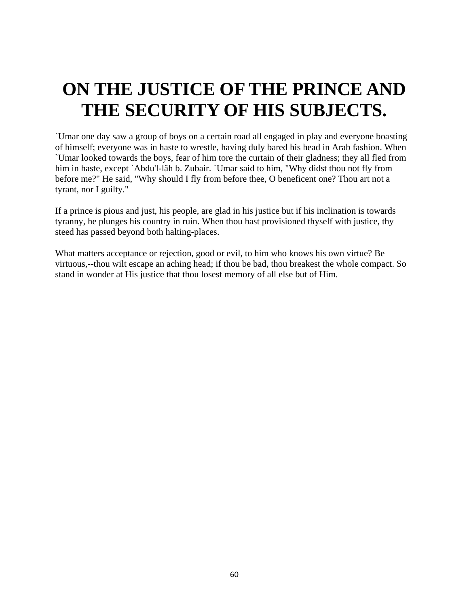### **ON THE JUSTICE OF THE PRINCE AND THE SECURITY OF HIS SUBJECTS.**

`Umar one day saw a group of boys on a certain road all engaged in play and everyone boasting of himself; everyone was in haste to wrestle, having duly bared his head in Arab fashion. When `Umar looked towards the boys, fear of him tore the curtain of their gladness; they all fled from him in haste, except `Abdu'l-lâh b. Zubair. `Umar said to him, "Why didst thou not fly from before me?" He said, "Why should I fly from before thee, O beneficent one? Thou art not a tyrant, nor I guilty."

If a prince is pious and just, his people, are glad in his justice but if his inclination is towards tyranny, he plunges his country in ruin. When thou hast provisioned thyself with justice, thy steed has passed beyond both halting-places.

What matters acceptance or rejection, good or evil, to him who knows his own virtue? Be virtuous,--thou wilt escape an aching head; if thou be bad, thou breakest the whole compact. So stand in wonder at His justice that thou losest memory of all else but of Him.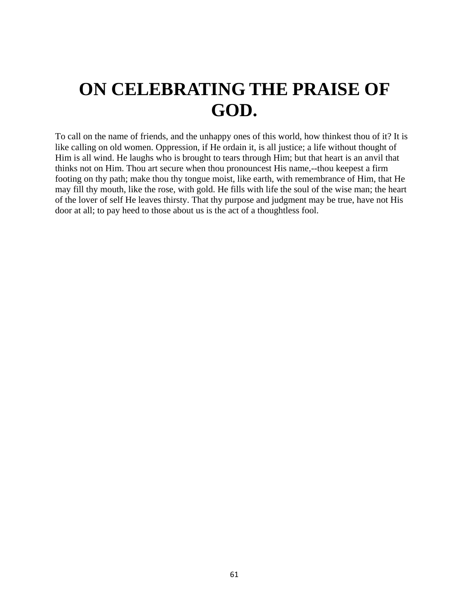#### **ON CELEBRATING THE PRAISE OF GOD.**

To call on the name of friends, and the unhappy ones of this world, how thinkest thou of it? It is like calling on old women. Oppression, if He ordain it, is all justice; a life without thought of Him is all wind. He laughs who is brought to tears through Him; but that heart is an anvil that thinks not on Him. Thou art secure when thou pronouncest His name,--thou keepest a firm footing on thy path; make thou thy tongue moist, like earth, with remembrance of Him, that He may fill thy mouth, like the rose, with gold. He fills with life the soul of the wise man; the heart of the lover of self He leaves thirsty. That thy purpose and judgment may be true, have not His door at all; to pay heed to those about us is the act of a thoughtless fool.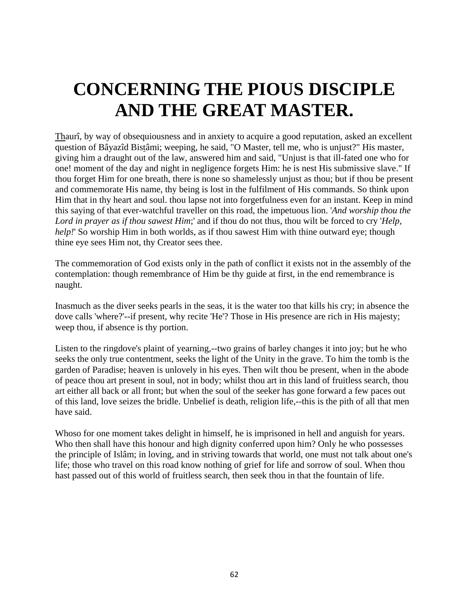## **CONCERNING THE PIOUS DISCIPLE AND THE GREAT MASTER.**

Thaurî, by way of obsequiousness and in anxiety to acquire a good reputation, asked an excellent question of Bâyazîd Bistâmi; weeping, he said, "O Master, tell me, who is unjust?" His master, giving him a draught out of the law, answered him and said, "Unjust is that ill-fated one who for one! moment of the day and night in negligence forgets Him: he is nest His submissive slave." If thou forget Him for one breath, there is none so shamelessly unjust as thou; but if thou be present and commemorate His name, thy being is lost in the fulfilment of His commands. So think upon Him that in thy heart and soul. thou lapse not into forgetfulness even for an instant. Keep in mind this saying of that ever-watchful traveller on this road, the impetuous lion. '*And worship thou the Lord in prayer as if thou sawest Him*;' and if thou do not thus, thou wilt be forced to cry '*Help, help!*' So worship Him in both worlds, as if thou sawest Him with thine outward eye; though thine eye sees Him not, thy Creator sees thee.

The commemoration of God exists only in the path of conflict it exists not in the assembly of the contemplation: though remembrance of Him be thy guide at first, in the end remembrance is naught.

Inasmuch as the diver seeks pearls in the seas, it is the water too that kills his cry; in absence the dove calls 'where?'--if present, why recite 'He'? Those in His presence are rich in His majesty; weep thou, if absence is thy portion.

Listen to the ringdove's plaint of yearning,--two grains of barley changes it into joy; but he who seeks the only true contentment, seeks the light of the Unity in the grave. To him the tomb is the garden of Paradise; heaven is unlovely in his eyes. Then wilt thou be present, when in the abode of peace thou art present in soul, not in body; whilst thou art in this land of fruitless search, thou art either all back or all front; but when the soul of the seeker has gone forward a few paces out of this land, love seizes the bridle. Unbelief is death, religion life,--this is the pith of all that men have said.

Whoso for one moment takes delight in himself, he is imprisoned in hell and anguish for years. Who then shall have this honour and high dignity conferred upon him? Only he who possesses the principle of Islâm; in loving, and in striving towards that world, one must not talk about one's life; those who travel on this road know nothing of grief for life and sorrow of soul. When thou hast passed out of this world of fruitless search, then seek thou in that the fountain of life.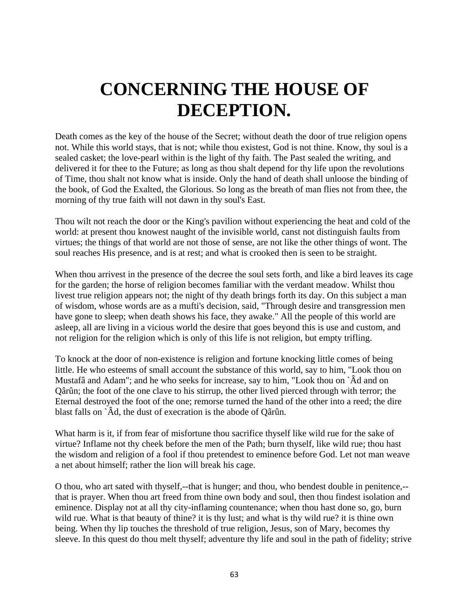### **CONCERNING THE HOUSE OF DECEPTION.**

Death comes as the key of the house of the Secret; without death the door of true religion opens not. While this world stays, that is not; while thou existest, God is not thine. Know, thy soul is a sealed casket; the love-pearl within is the light of thy faith. The Past sealed the writing, and delivered it for thee to the Future; as long as thou shalt depend for thy life upon the revolutions of Time, thou shalt not know what is inside. Only the hand of death shall unloose the binding of the book, of God the Exalted, the Glorious. So long as the breath of man flies not from thee, the morning of thy true faith will not dawn in thy soul's East.

Thou wilt not reach the door or the King's pavilion without experiencing the heat and cold of the world: at present thou knowest naught of the invisible world, canst not distinguish faults from virtues; the things of that world are not those of sense, are not like the other things of wont. The soul reaches His presence, and is at rest; and what is crooked then is seen to be straight.

When thou arrivest in the presence of the decree the soul sets forth, and like a bird leaves its cage for the garden; the horse of religion becomes familiar with the verdant meadow. Whilst thou livest true religion appears not; the night of thy death brings forth its day. On this subject a man of wisdom, whose words are as a mufti's decision, said, "Through desire and transgression men have gone to sleep; when death shows his face, they awake." All the people of this world are asleep, all are living in a vicious world the desire that goes beyond this is use and custom, and not religion for the religion which is only of this life is not religion, but empty trifling.

To knock at the door of non-existence is religion and fortune knocking little comes of being little. He who esteems of small account the substance of this world, say to him, "Look thou on Mustafâ and Adam"; and he who seeks for increase, say to him, "Look thou on `Âd and on Qârûn; the foot of the one clave to his stirrup, the other lived pierced through with terror; the Eternal destroyed the foot of the one; remorse turned the hand of the other into a reed; the dire blast falls on `Âd, the dust of execration is the abode of Qârûn.

What harm is it, if from fear of misfortune thou sacrifice thyself like wild rue for the sake of virtue? Inflame not thy cheek before the men of the Path; burn thyself, like wild rue; thou hast the wisdom and religion of a fool if thou pretendest to eminence before God. Let not man weave a net about himself; rather the lion will break his cage.

O thou, who art sated with thyself,--that is hunger; and thou, who bendest double in penitence,- that is prayer. When thou art freed from thine own body and soul, then thou findest isolation and eminence. Display not at all thy city-inflaming countenance; when thou hast done so, go, burn wild rue. What is that beauty of thine? it is thy lust; and what is thy wild rue? it is thine own being. When thy lip touches the threshold of true religion, Jesus, son of Mary, becomes thy sleeve. In this quest do thou melt thyself; adventure thy life and soul in the path of fidelity; strive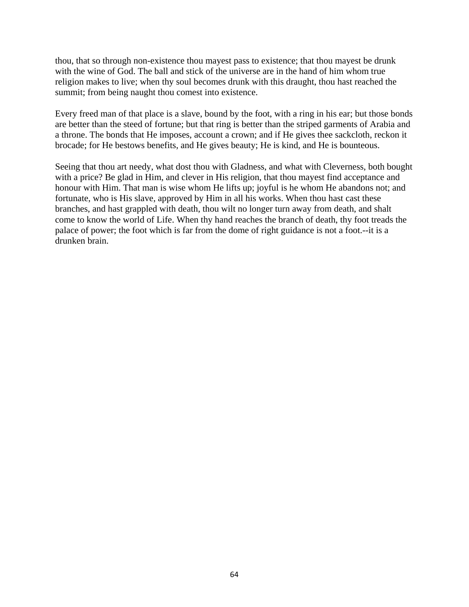thou, that so through non-existence thou mayest pass to existence; that thou mayest be drunk with the wine of God. The ball and stick of the universe are in the hand of him whom true religion makes to live; when thy soul becomes drunk with this draught, thou hast reached the summit; from being naught thou comest into existence.

Every freed man of that place is a slave, bound by the foot, with a ring in his ear; but those bonds are better than the steed of fortune; but that ring is better than the striped garments of Arabia and a throne. The bonds that He imposes, account a crown; and if He gives thee sackcloth, reckon it brocade; for He bestows benefits, and He gives beauty; He is kind, and He is bounteous.

Seeing that thou art needy, what dost thou with Gladness, and what with Cleverness, both bought with a price? Be glad in Him, and clever in His religion, that thou mayest find acceptance and honour with Him. That man is wise whom He lifts up; joyful is he whom He abandons not; and fortunate, who is His slave, approved by Him in all his works. When thou hast cast these branches, and hast grappled with death, thou wilt no longer turn away from death, and shalt come to know the world of Life. When thy hand reaches the branch of death, thy foot treads the palace of power; the foot which is far from the dome of right guidance is not a foot.--it is a drunken brain.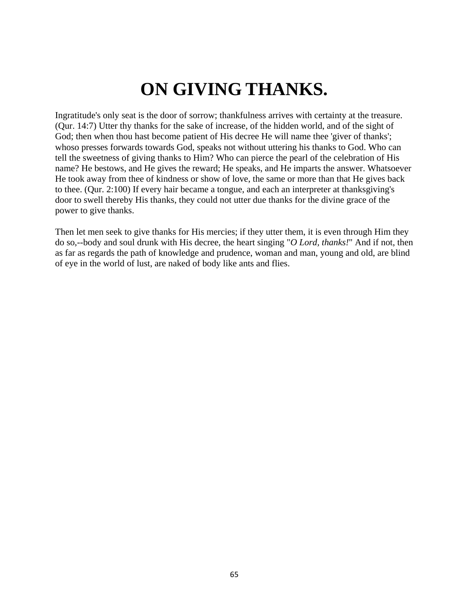# **ON GIVING THANKS.**

Ingratitude's only seat is the door of sorrow; thankfulness arrives with certainty at the treasure. (Qur. 14:7) Utter thy thanks for the sake of increase, of the hidden world, and of the sight of God; then when thou hast become patient of His decree He will name thee 'giver of thanks'; whoso presses forwards towards God, speaks not without uttering his thanks to God. Who can tell the sweetness of giving thanks to Him? Who can pierce the pearl of the celebration of His name? He bestows, and He gives the reward; He speaks, and He imparts the answer. Whatsoever He took away from thee of kindness or show of love, the same or more than that He gives back to thee. (Qur. 2:100) If every hair became a tongue, and each an interpreter at thanksgiving's door to swell thereby His thanks, they could not utter due thanks for the divine grace of the power to give thanks.

Then let men seek to give thanks for His mercies; if they utter them, it is even through Him they do so,--body and soul drunk with His decree, the heart singing "*O Lord, thanks!*" And if not, then as far as regards the path of knowledge and prudence, woman and man, young and old, are blind of eye in the world of lust, are naked of body like ants and flies.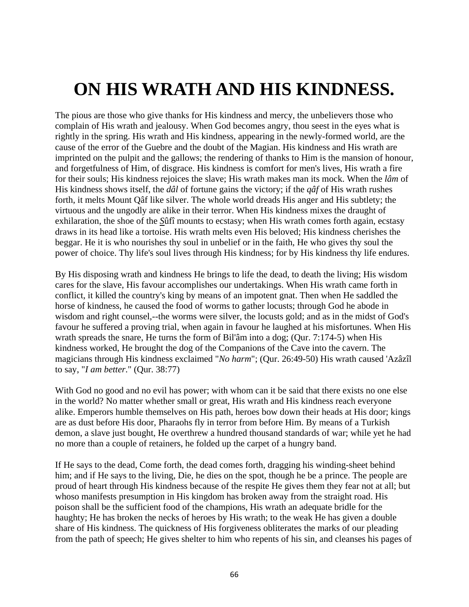# **ON HIS WRATH AND HIS KINDNESS.**

The pious are those who give thanks for His kindness and mercy, the unbelievers those who complain of His wrath and jealousy. When God becomes angry, thou seest in the eyes what is rightly in the spring. His wrath and His kindness, appearing in the newly-formed world, are the cause of the error of the Guebre and the doubt of the Magian. His kindness and His wrath are imprinted on the pulpit and the gallows; the rendering of thanks to Him is the mansion of honour, and forgetfulness of Him, of disgrace. His kindness is comfort for men's lives, His wrath a fire for their souls; His kindness rejoices the slave; His wrath makes man its mock. When the *lâm* of His kindness shows itself, the *dâl* of fortune gains the victory; if the *qâf* of His wrath rushes forth, it melts Mount Qâf like silver. The whole world dreads His anger and His subtlety; the virtuous and the ungodly are alike in their terror. When His kindness mixes the draught of exhilaration, the shoe of the *S*ûfî mounts to ecstasy; when His wrath comes forth again, ecstasy draws in its head like a tortoise. His wrath melts even His beloved; His kindness cherishes the beggar. He it is who nourishes thy soul in unbelief or in the faith, He who gives thy soul the power of choice. Thy life's soul lives through His kindness; for by His kindness thy life endures.

By His disposing wrath and kindness He brings to life the dead, to death the living; His wisdom cares for the slave, His favour accomplishes our undertakings. When His wrath came forth in conflict, it killed the country's king by means of an impotent gnat. Then when He saddled the horse of kindness, he caused the food of worms to gather locusts; through God he abode in wisdom and right counsel,--the worms were silver, the locusts gold; and as in the midst of God's favour he suffered a proving trial, when again in favour he laughed at his misfortunes. When His wrath spreads the snare, He turns the form of Bil'âm into a dog; (Qur. 7:174-5) when His kindness worked, He brought the dog of the Companions of the Cave into the cavern. The magicians through His kindness exclaimed "*No harm*"; (Qur. 26:49-50) His wrath caused 'Azâzîl to say, "*I am better*." (Qur. 38:77)

With God no good and no evil has power; with whom can it be said that there exists no one else in the world? No matter whether small or great, His wrath and His kindness reach everyone alike. Emperors humble themselves on His path, heroes bow down their heads at His door; kings are as dust before His door, Pharaohs fly in terror from before Him. By means of a Turkish demon, a slave just bought, He overthrew a hundred thousand standards of war; while yet he had no more than a couple of retainers, he folded up the carpet of a hungry band.

If He says to the dead, Come forth, the dead comes forth, dragging his winding-sheet behind him; and if He says to the living, Die, he dies on the spot, though he be a prince. The people are proud of heart through His kindness because of the respite He gives them they fear not at all; but whoso manifests presumption in His kingdom has broken away from the straight road. His poison shall be the sufficient food of the champions, His wrath an adequate bridle for the haughty; He has broken the necks of heroes by His wrath; to the weak He has given a double share of His kindness. The quickness of His forgiveness obliterates the marks of our pleading from the path of speech; He gives shelter to him who repents of his sin, and cleanses his pages of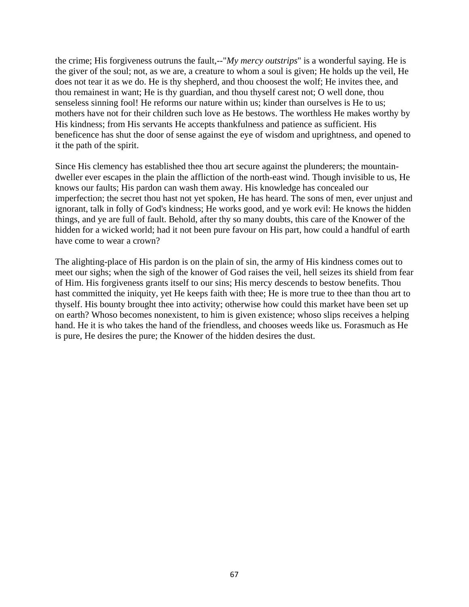the crime; His forgiveness outruns the fault,--"*My mercy outstrips*" is a wonderful saying. He is the giver of the soul; not, as we are, a creature to whom a soul is given; He holds up the veil, He does not tear it as we do. He is thy shepherd, and thou choosest the wolf; He invites thee, and thou remainest in want; He is thy guardian, and thou thyself carest not; O well done, thou senseless sinning fool! He reforms our nature within us; kinder than ourselves is He to us; mothers have not for their children such love as He bestows. The worthless He makes worthy by His kindness; from His servants He accepts thankfulness and patience as sufficient. His beneficence has shut the door of sense against the eye of wisdom and uprightness, and opened to it the path of the spirit.

Since His clemency has established thee thou art secure against the plunderers; the mountaindweller ever escapes in the plain the affliction of the north-east wind. Though invisible to us, He knows our faults; His pardon can wash them away. His knowledge has concealed our imperfection; the secret thou hast not yet spoken, He has heard. The sons of men, ever unjust and ignorant, talk in folly of God's kindness; He works good, and ye work evil: He knows the hidden things, and ye are full of fault. Behold, after thy so many doubts, this care of the Knower of the hidden for a wicked world; had it not been pure favour on His part, how could a handful of earth have come to wear a crown?

The alighting-place of His pardon is on the plain of sin, the army of His kindness comes out to meet our sighs; when the sigh of the knower of God raises the veil, hell seizes its shield from fear of Him. His forgiveness grants itself to our sins; His mercy descends to bestow benefits. Thou hast committed the iniquity, yet He keeps faith with thee; He is more true to thee than thou art to thyself. His bounty brought thee into activity; otherwise how could this market have been set up on earth? Whoso becomes nonexistent, to him is given existence; whoso slips receives a helping hand. He it is who takes the hand of the friendless, and chooses weeds like us. Forasmuch as He is pure, He desires the pure; the Knower of the hidden desires the dust.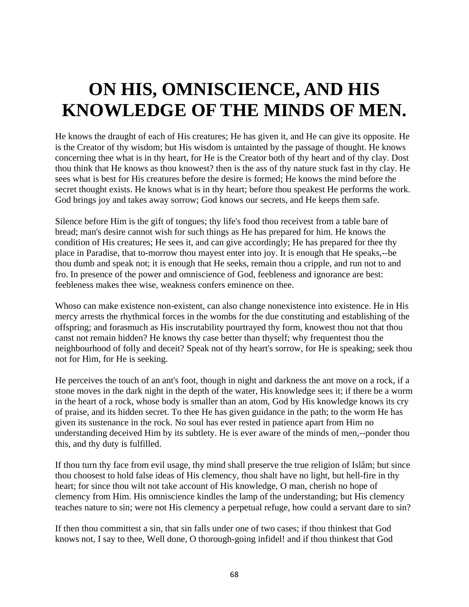## **ON HIS, OMNISCIENCE, AND HIS KNOWLEDGE OF THE MINDS OF MEN.**

He knows the draught of each of His creatures; He has given it, and He can give its opposite. He is the Creator of thy wisdom; but His wisdom is untainted by the passage of thought. He knows concerning thee what is in thy heart, for He is the Creator both of thy heart and of thy clay. Dost thou think that He knows as thou knowest? then is the ass of thy nature stuck fast in thy clay. He sees what is best for His creatures before the desire is formed; He knows the mind before the secret thought exists. He knows what is in thy heart; before thou speakest He performs the work. God brings joy and takes away sorrow; God knows our secrets, and He keeps them safe.

Silence before Him is the gift of tongues; thy life's food thou receivest from a table bare of bread; man's desire cannot wish for such things as He has prepared for him. He knows the condition of His creatures; He sees it, and can give accordingly; He has prepared for thee thy place in Paradise, that to-morrow thou mayest enter into joy. It is enough that He speaks,--be thou dumb and speak not; it is enough that He seeks, remain thou a cripple, and run not to and fro. In presence of the power and omniscience of God, feebleness and ignorance are best: feebleness makes thee wise, weakness confers eminence on thee.

Whoso can make existence non-existent, can also change nonexistence into existence. He in His mercy arrests the rhythmical forces in the wombs for the due constituting and establishing of the offspring; and forasmuch as His inscrutability pourtrayed thy form, knowest thou not that thou canst not remain hidden? He knows thy case better than thyself; why frequentest thou the neighbourhood of folly and deceit? Speak not of thy heart's sorrow, for He is speaking; seek thou not for Him, for He is seeking.

He perceives the touch of an ant's foot, though in night and darkness the ant move on a rock, if a stone moves in the dark night in the depth of the water, His knowledge sees it; if there be a worm in the heart of a rock, whose body is smaller than an atom, God by His knowledge knows its cry of praise, and its hidden secret. To thee He has given guidance in the path; to the worm He has given its sustenance in the rock. No soul has ever rested in patience apart from Him no understanding deceived Him by its subtlety. He is ever aware of the minds of men,--ponder thou this, and thy duty is fulfilled.

If thou turn thy face from evil usage, thy mind shall preserve the true religion of Islâm; but since thou choosest to hold false ideas of His clemency, thou shalt have no light, but hell-fire in thy heart; for since thou wilt not take account of His knowledge, O man, cherish no hope of clemency from Him. His omniscience kindles the lamp of the understanding; but His clemency teaches nature to sin; were not His clemency a perpetual refuge, how could a servant dare to sin?

If then thou committest a sin, that sin falls under one of two cases; if thou thinkest that God knows not, I say to thee, Well done, O thorough-going infidel! and if thou thinkest that God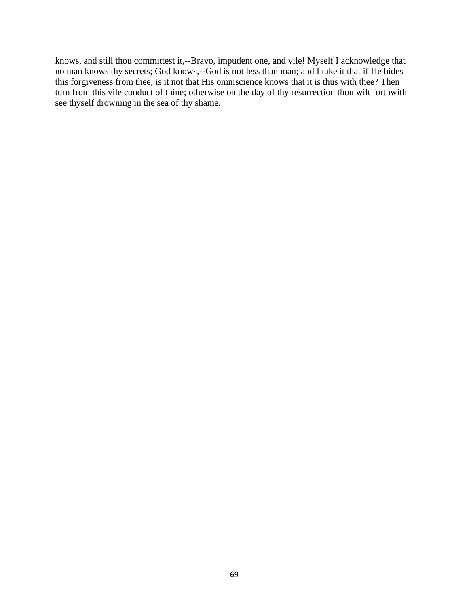knows, and still thou committest it,--Bravo, impudent one, and vile! Myself I acknowledge that no man knows thy secrets; God knows,--God is not less than man; and I take it that if He hides this forgiveness from thee, is it not that His omniscience knows that it is thus with thee? Then turn from this vile conduct of thine; otherwise on the day of thy resurrection thou wilt forthwith see thyself drowning in the sea of thy shame.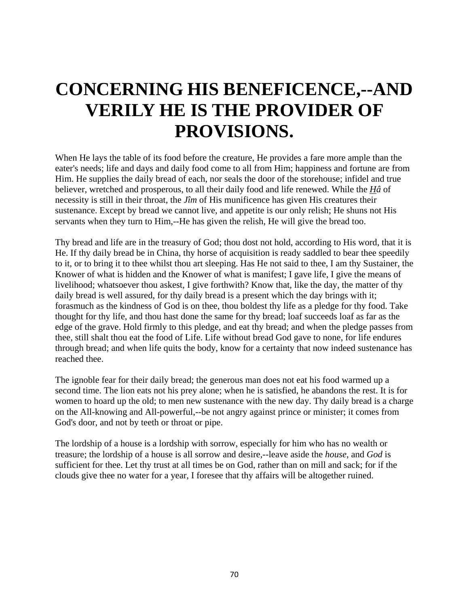#### **CONCERNING HIS BENEFICENCE,--AND VERILY HE IS THE PROVIDER OF PROVISIONS.**

When He lays the table of its food before the creature, He provides a fare more ample than the eater's needs; life and days and daily food come to all from Him; happiness and fortune are from Him. He supplies the daily bread of each, nor seals the door of the storehouse; infidel and true believer, wretched and prosperous, to all their daily food and life renewed. While the *Hâ* of necessity is still in their throat, the *Jîm* of His munificence has given His creatures their sustenance. Except by bread we cannot live, and appetite is our only relish; He shuns not His servants when they turn to Him,--He has given the relish, He will give the bread too.

Thy bread and life are in the treasury of God; thou dost not hold, according to His word, that it is He. If thy daily bread be in China, thy horse of acquisition is ready saddled to bear thee speedily to it, or to bring it to thee whilst thou art sleeping. Has He not said to thee, I am thy Sustainer, the Knower of what is hidden and the Knower of what is manifest; I gave life, I give the means of livelihood; whatsoever thou askest, I give forthwith? Know that, like the day, the matter of thy daily bread is well assured, for thy daily bread is a present which the day brings with it; forasmuch as the kindness of God is on thee, thou boldest thy life as a pledge for thy food. Take thought for thy life, and thou hast done the same for thy bread; loaf succeeds loaf as far as the edge of the grave. Hold firmly to this pledge, and eat thy bread; and when the pledge passes from thee, still shalt thou eat the food of Life. Life without bread God gave to none, for life endures through bread; and when life quits the body, know for a certainty that now indeed sustenance has reached thee.

The ignoble fear for their daily bread; the generous man does not eat his food warmed up a second time. The lion eats not his prey alone; when he is satisfied, he abandons the rest. It is for women to hoard up the old; to men new sustenance with the new day. Thy daily bread is a charge on the All-knowing and All-powerful,--be not angry against prince or minister; it comes from God's door, and not by teeth or throat or pipe.

The lordship of a house is a lordship with sorrow, especially for him who has no wealth or treasure; the lordship of a house is all sorrow and desire,--leave aside the *house*, and *God* is sufficient for thee. Let thy trust at all times be on God, rather than on mill and sack; for if the clouds give thee no water for a year, I foresee that thy affairs will be altogether ruined.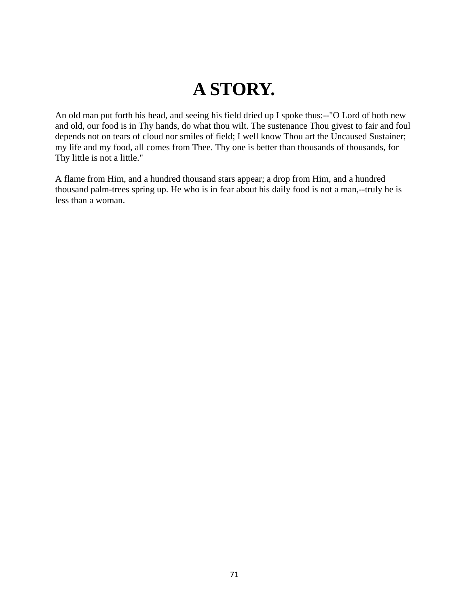## **A STORY.**

An old man put forth his head, and seeing his field dried up I spoke thus:--"O Lord of both new and old, our food is in Thy hands, do what thou wilt. The sustenance Thou givest to fair and foul depends not on tears of cloud nor smiles of field; I well know Thou art the Uncaused Sustainer; my life and my food, all comes from Thee. Thy one is better than thousands of thousands, for Thy little is not a little."

A flame from Him, and a hundred thousand stars appear; a drop from Him, and a hundred thousand palm-trees spring up. He who is in fear about his daily food is not a man,--truly he is less than a woman.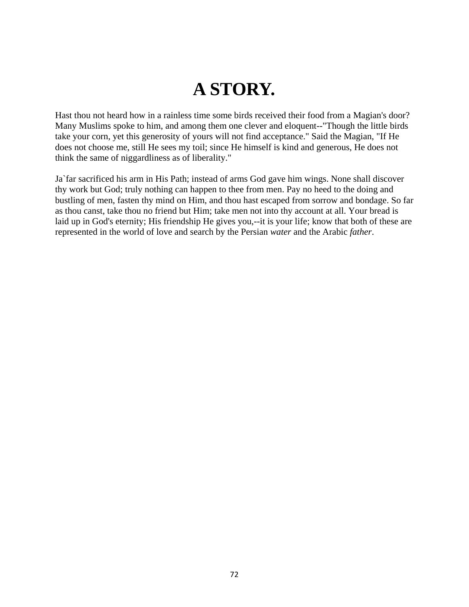## **A STORY.**

Hast thou not heard how in a rainless time some birds received their food from a Magian's door? Many Muslims spoke to him, and among them one clever and eloquent--"Though the little birds take your corn, yet this generosity of yours will not find acceptance." Said the Magian, "If He does not choose me, still He sees my toil; since He himself is kind and generous, He does not think the same of niggardliness as of liberality."

Ja`far sacrificed his arm in His Path; instead of arms God gave him wings. None shall discover thy work but God; truly nothing can happen to thee from men. Pay no heed to the doing and bustling of men, fasten thy mind on Him, and thou hast escaped from sorrow and bondage. So far as thou canst, take thou no friend but Him; take men not into thy account at all. Your bread is laid up in God's eternity; His friendship He gives you,--it is your life; know that both of these are represented in the world of love and search by the Persian *water* and the Arabic *father*.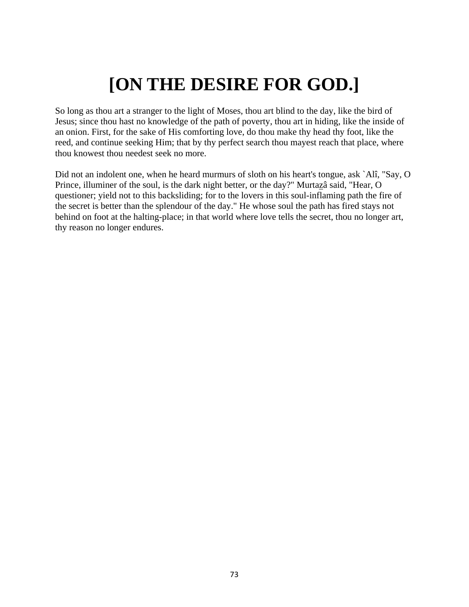## **[ON THE DESIRE FOR GOD.]**

So long as thou art a stranger to the light of Moses, thou art blind to the day, like the bird of Jesus; since thou hast no knowledge of the path of poverty, thou art in hiding, like the inside of an onion. First, for the sake of His comforting love, do thou make thy head thy foot, like the reed, and continue seeking Him; that by thy perfect search thou mayest reach that place, where thou knowest thou needest seek no more.

Did not an indolent one, when he heard murmurs of sloth on his heart's tongue, ask `Alî, "Say, O Prince, illuminer of the soul, is the dark night better, or the day?" Murtazâ said, "Hear, O questioner; yield not to this backsliding; for to the lovers in this soul-inflaming path the fire of the secret is better than the splendour of the day." He whose soul the path has fired stays not behind on foot at the halting-place; in that world where love tells the secret, thou no longer art, thy reason no longer endures.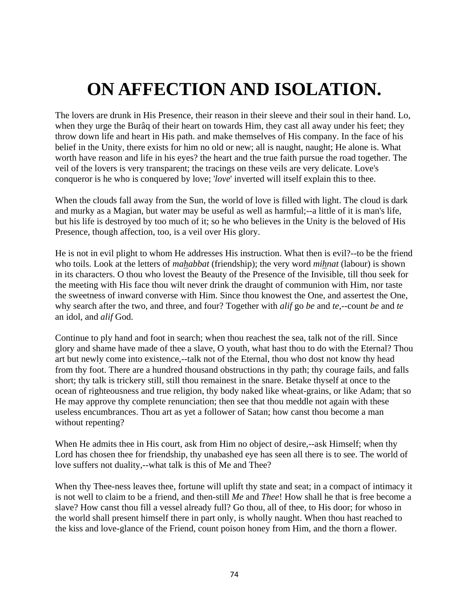# **ON AFFECTION AND ISOLATION.**

The lovers are drunk in His Presence, their reason in their sleeve and their soul in their hand. Lo, when they urge the Burâq of their heart on towards Him, they cast all away under his feet; they throw down life and heart in His path. and make themselves of His company. In the face of his belief in the Unity, there exists for him no old or new; all is naught, naught; He alone is. What worth have reason and life in his eyes? the heart and the true faith pursue the road together. The veil of the lovers is very transparent; the tracings on these veils are very delicate. Love's conqueror is he who is conquered by love; '*love*' inverted will itself explain this to thee.

When the clouds fall away from the Sun, the world of love is filled with light. The cloud is dark and murky as a Magian, but water may be useful as well as harmful;--a little of it is man's life, but his life is destroyed by too much of it; so he who believes in the Unity is the beloved of His Presence, though affection, too, is a veil over His glory.

He is not in evil plight to whom He addresses His instruction. What then is evil?--to be the friend who toils. Look at the letters of *mahabbat* (friendship); the very word *mihnat* (labour) is shown in its characters. O thou who lovest the Beauty of the Presence of the Invisible, till thou seek for the meeting with His face thou wilt never drink the draught of communion with Him, nor taste the sweetness of inward converse with Him. Since thou knowest the One, and assertest the One, why search after the two, and three, and four? Together with *alif* go *be* and *te*,--count *be* and *te* an idol, and *alif* God.

Continue to ply hand and foot in search; when thou reachest the sea, talk not of the rill. Since glory and shame have made of thee a slave, O youth, what hast thou to do with the Eternal? Thou art but newly come into existence,--talk not of the Eternal, thou who dost not know thy head from thy foot. There are a hundred thousand obstructions in thy path; thy courage fails, and falls short; thy talk is trickery still, still thou remainest in the snare. Betake thyself at once to the ocean of righteousness and true religion, thy body naked like wheat-grains, or like Adam; that so He may approve thy complete renunciation; then see that thou meddle not again with these useless encumbrances. Thou art as yet a follower of Satan; how canst thou become a man without repenting?

When He admits thee in His court, ask from Him no object of desire,--ask Himself; when thy Lord has chosen thee for friendship, thy unabashed eye has seen all there is to see. The world of love suffers not duality,--what talk is this of Me and Thee?

When thy Thee-ness leaves thee, fortune will uplift thy state and seat; in a compact of intimacy it is not well to claim to be a friend, and then-still *Me* and *Thee*! How shall he that is free become a slave? How canst thou fill a vessel already full? Go thou, all of thee, to His door; for whoso in the world shall present himself there in part only, is wholly naught. When thou hast reached to the kiss and love-glance of the Friend, count poison honey from Him, and the thorn a flower.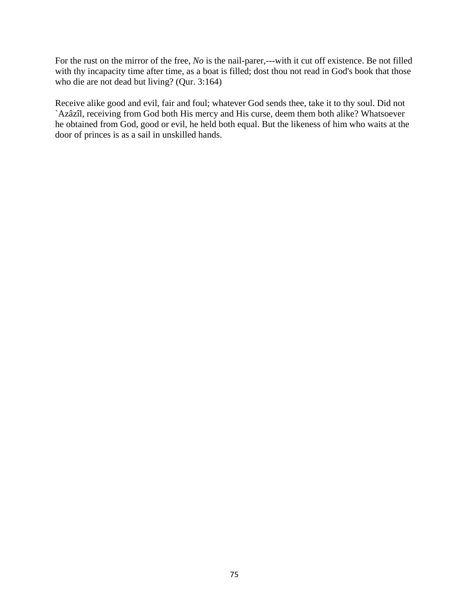For the rust on the mirror of the free, *No* is the nail-parer,---with it cut off existence. Be not filled with thy incapacity time after time, as a boat is filled; dost thou not read in God's book that those who die are not dead but living? (Qur. 3:164)

Receive alike good and evil, fair and foul; whatever God sends thee, take it to thy soul. Did not `Azâzîl, receiving from God both His mercy and His curse, deem them both alike? Whatsoever he obtained from God, good or evil, he held both equal. But the likeness of him who waits at the door of princes is as a sail in unskilled hands.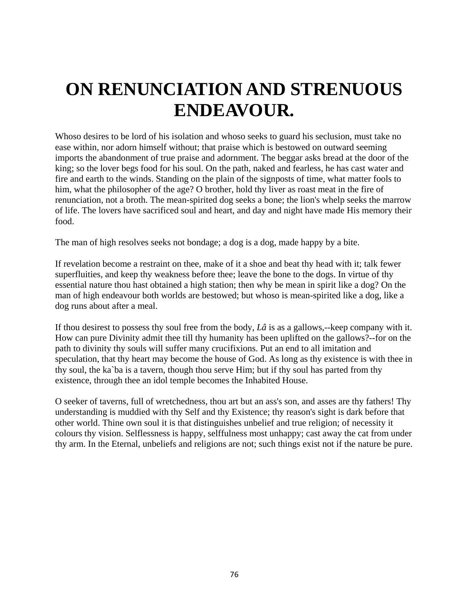#### **ON RENUNCIATION AND STRENUOUS ENDEAVOUR.**

Whoso desires to be lord of his isolation and whoso seeks to guard his seclusion, must take no ease within, nor adorn himself without; that praise which is bestowed on outward seeming imports the abandonment of true praise and adornment. The beggar asks bread at the door of the king; so the lover begs food for his soul. On the path, naked and fearless, he has cast water and fire and earth to the winds. Standing on the plain of the signposts of time, what matter fools to him, what the philosopher of the age? O brother, hold thy liver as roast meat in the fire of renunciation, not a broth. The mean-spirited dog seeks a bone; the lion's whelp seeks the marrow of life. The lovers have sacrificed soul and heart, and day and night have made His memory their food.

The man of high resolves seeks not bondage; a dog is a dog, made happy by a bite.

If revelation become a restraint on thee, make of it a shoe and beat thy head with it; talk fewer superfluities, and keep thy weakness before thee; leave the bone to the dogs. In virtue of thy essential nature thou hast obtained a high station; then why be mean in spirit like a dog? On the man of high endeavour both worlds are bestowed; but whoso is mean-spirited like a dog, like a dog runs about after a meal.

If thou desirest to possess thy soul free from the body, *Lâ* is as a gallows,--keep company with it. How can pure Divinity admit thee till thy humanity has been uplifted on the gallows?--for on the path to divinity thy souls will suffer many crucifixions. Put an end to all imitation and speculation, that thy heart may become the house of God. As long as thy existence is with thee in thy soul, the ka`ba is a tavern, though thou serve Him; but if thy soul has parted from thy existence, through thee an idol temple becomes the Inhabited House.

O seeker of taverns, full of wretchedness, thou art but an ass's son, and asses are thy fathers! Thy understanding is muddied with thy Self and thy Existence; thy reason's sight is dark before that other world. Thine own soul it is that distinguishes unbelief and true religion; of necessity it colours thy vision. Selflessness is happy, selffulness most unhappy; cast away the cat from under thy arm. In the Eternal, unbeliefs and religions are not; such things exist not if the nature be pure.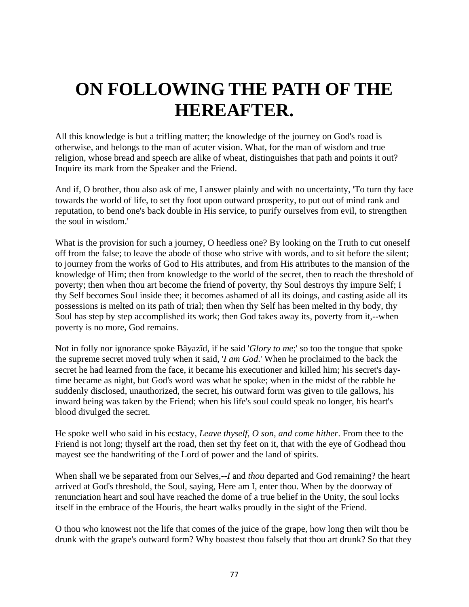#### **ON FOLLOWING THE PATH OF THE HEREAFTER.**

All this knowledge is but a trifling matter; the knowledge of the journey on God's road is otherwise, and belongs to the man of acuter vision. What, for the man of wisdom and true religion, whose bread and speech are alike of wheat, distinguishes that path and points it out? Inquire its mark from the Speaker and the Friend.

And if, O brother, thou also ask of me, I answer plainly and with no uncertainty, 'To turn thy face towards the world of life, to set thy foot upon outward prosperity, to put out of mind rank and reputation, to bend one's back double in His service, to purify ourselves from evil, to strengthen the soul in wisdom.'

What is the provision for such a journey, O heedless one? By looking on the Truth to cut oneself off from the false; to leave the abode of those who strive with words, and to sit before the silent; to journey from the works of God to His attributes, and from His attributes to the mansion of the knowledge of Him; then from knowledge to the world of the secret, then to reach the threshold of poverty; then when thou art become the friend of poverty, thy Soul destroys thy impure Self; I thy Self becomes Soul inside thee; it becomes ashamed of all its doings, and casting aside all its possessions is melted on its path of trial; then when thy Self has been melted in thy body, thy Soul has step by step accomplished its work; then God takes away its, poverty from it,--when poverty is no more, God remains.

Not in folly nor ignorance spoke Bâyazîd, if he said '*Glory to me*;' so too the tongue that spoke the supreme secret moved truly when it said, '*I am God*.' When he proclaimed to the back the secret he had learned from the face, it became his executioner and killed him; his secret's daytime became as night, but God's word was what he spoke; when in the midst of the rabble he suddenly disclosed, unauthorized, the secret, his outward form was given to tile gallows, his inward being was taken by the Friend; when his life's soul could speak no longer, his heart's blood divulged the secret.

He spoke well who said in his ecstacy, *Leave thyself, O son, and come hither*. From thee to the Friend is not long; thyself art the road, then set thy feet on it, that with the eye of Godhead thou mayest see the handwriting of the Lord of power and the land of spirits.

When shall we be separated from our Selves,--*I* and *thou* departed and God remaining? the heart arrived at God's threshold, the Soul, saying, Here am I, enter thou. When by the doorway of renunciation heart and soul have reached the dome of a true belief in the Unity, the soul locks itself in the embrace of the Houris, the heart walks proudly in the sight of the Friend.

O thou who knowest not the life that comes of the juice of the grape, how long then wilt thou be drunk with the grape's outward form? Why boastest thou falsely that thou art drunk? So that they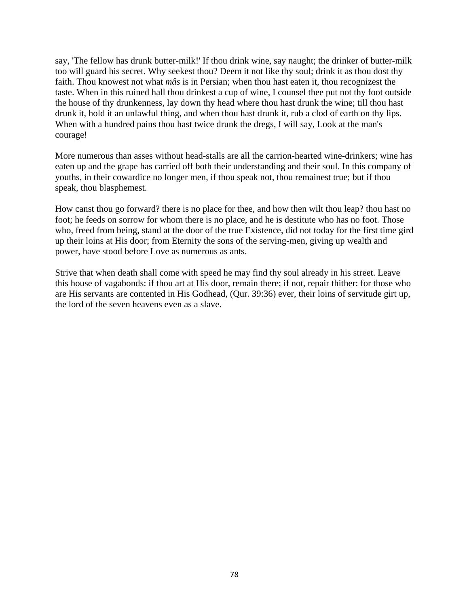say, 'The fellow has drunk butter-milk!' If thou drink wine, say naught; the drinker of butter-milk too will guard his secret. Why seekest thou? Deem it not like thy soul; drink it as thou dost thy faith. Thou knowest not what *mâs* is in Persian; when thou hast eaten it, thou recognizest the taste. When in this ruined hall thou drinkest a cup of wine, I counsel thee put not thy foot outside the house of thy drunkenness, lay down thy head where thou hast drunk the wine; till thou hast drunk it, hold it an unlawful thing, and when thou hast drunk it, rub a clod of earth on thy lips. When with a hundred pains thou hast twice drunk the dregs, I will say, Look at the man's courage!

More numerous than asses without head-stalls are all the carrion-hearted wine-drinkers; wine has eaten up and the grape has carried off both their understanding and their soul. In this company of youths, in their cowardice no longer men, if thou speak not, thou remainest true; but if thou speak, thou blasphemest.

How canst thou go forward? there is no place for thee, and how then wilt thou leap? thou hast no foot; he feeds on sorrow for whom there is no place, and he is destitute who has no foot. Those who, freed from being, stand at the door of the true Existence, did not today for the first time gird up their loins at His door; from Eternity the sons of the serving-men, giving up wealth and power, have stood before Love as numerous as ants.

Strive that when death shall come with speed he may find thy soul already in his street. Leave this house of vagabonds: if thou art at His door, remain there; if not, repair thither: for those who are His servants are contented in His Godhead, (Qur. 39:36) ever, their loins of servitude girt up, the lord of the seven heavens even as a slave.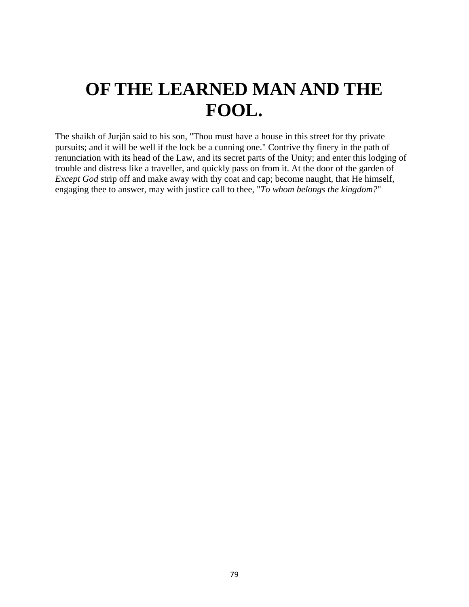#### **OF THE LEARNED MAN AND THE FOOL.**

The shaikh of Jurjân said to his son, "Thou must have a house in this street for thy private pursuits; and it will be well if the lock be a cunning one." Contrive thy finery in the path of renunciation with its head of the Law, and its secret parts of the Unity; and enter this lodging of trouble and distress like a traveller, and quickly pass on from it. At the door of the garden of *Except God* strip off and make away with thy coat and cap; become naught, that He himself, engaging thee to answer, may with justice call to thee, "*To whom belongs the kingdom?*"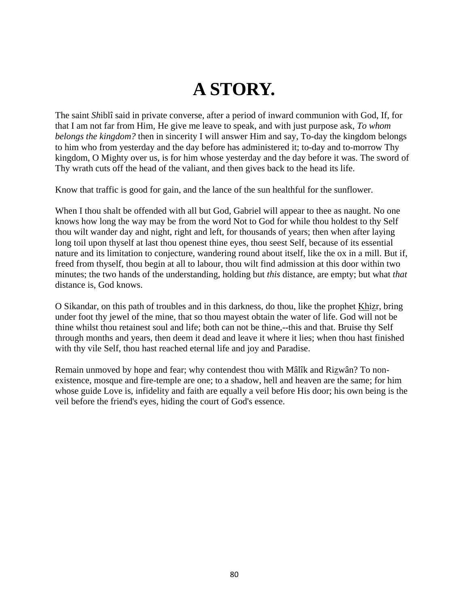## **A STORY.**

The saint *Sh*iblî said in private converse, after a period of inward communion with God, If, for that I am not far from Him, He give me leave to speak, and with just purpose ask, *To whom belongs the kingdom?* then in sincerity I will answer Him and say, To-day the kingdom belongs to him who from yesterday and the day before has administered it; to-day and to-morrow Thy kingdom, O Mighty over us, is for him whose yesterday and the day before it was. The sword of Thy wrath cuts off the head of the valiant, and then gives back to the head its life.

Know that traffic is good for gain, and the lance of the sun healthful for the sunflower.

When I thou shalt be offended with all but God, Gabriel will appear to thee as naught. No one knows how long the way may be from the word Not to God for while thou holdest to thy Self thou wilt wander day and night, right and left, for thousands of years; then when after laying long toil upon thyself at last thou openest thine eyes, thou seest Self, because of its essential nature and its limitation to conjecture, wandering round about itself, like the ox in a mill. But if, freed from thyself, thou begin at all to labour, thou wilt find admission at this door within two minutes; the two hands of the understanding, holding but *this* distance, are empty; but what *that* distance is, God knows.

O Sikandar, on this path of troubles and in this darkness, do thou, like the prophet Khizr, bring under foot thy jewel of the mine, that so thou mayest obtain the water of life. God will not be thine whilst thou retainest soul and life; both can not be thine,--this and that. Bruise thy Self through months and years, then deem it dead and leave it where it lies; when thou hast finished with thy vile Self, thou hast reached eternal life and joy and Paradise.

Remain unmoved by hope and fear; why contendest thou with Mâlîk and Rizwân? To nonexistence, mosque and fire-temple are one; to a shadow, hell and heaven are the same; for him whose guide Love is, infidelity and faith are equally a veil before His door; his own being is the veil before the friend's eyes, hiding the court of God's essence.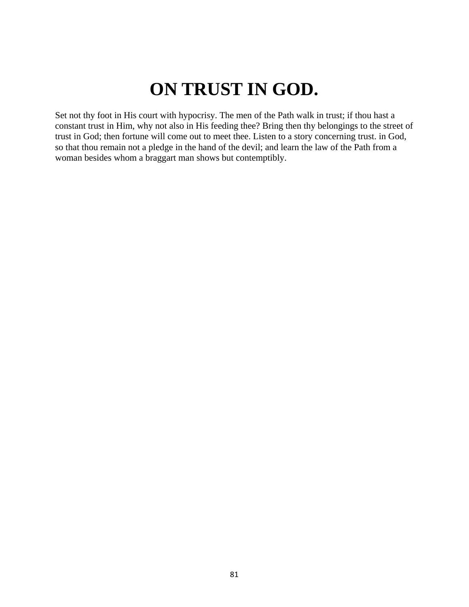## **ON TRUST IN GOD.**

Set not thy foot in His court with hypocrisy. The men of the Path walk in trust; if thou hast a constant trust in Him, why not also in His feeding thee? Bring then thy belongings to the street of trust in God; then fortune will come out to meet thee. Listen to a story concerning trust. in God, so that thou remain not a pledge in the hand of the devil; and learn the law of the Path from a woman besides whom a braggart man shows but contemptibly.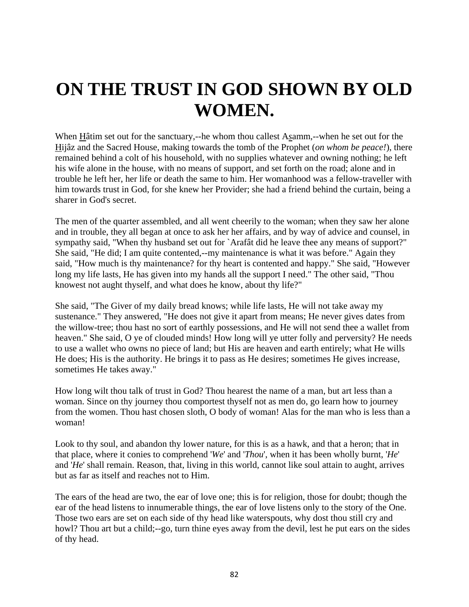#### **ON THE TRUST IN GOD SHOWN BY OLD WOMEN.**

When Hâtim set out for the sanctuary,--he whom thou callest A*s*amm,--when he set out for the Hijâz and the Sacred House, making towards the tomb of the Prophet (*on whom be peace!*), there remained behind a colt of his household, with no supplies whatever and owning nothing; he left his wife alone in the house, with no means of support, and set forth on the road; alone and in trouble he left her, her life or death the same to him. Her womanhood was a fellow-traveller with him towards trust in God, for she knew her Provider; she had a friend behind the curtain, being a sharer in God's secret.

The men of the quarter assembled, and all went cheerily to the woman; when they saw her alone and in trouble, they all began at once to ask her her affairs, and by way of advice and counsel, in sympathy said, "When thy husband set out for `Arafât did he leave thee any means of support?" She said, "He did; I am quite contented,--my maintenance is what it was before." Again they said, "How much is thy maintenance? for thy heart is contented and happy." She said, "However long my life lasts, He has given into my hands all the support I need." The other said, "Thou knowest not aught thyself, and what does he know, about thy life?"

She said, "The Giver of my daily bread knows; while life lasts, He will not take away my sustenance." They answered, "He does not give it apart from means; He never gives dates from the willow-tree; thou hast no sort of earthly possessions, and He will not send thee a wallet from heaven." She said, O ye of clouded minds! How long will ye utter folly and perversity? He needs to use a wallet who owns no piece of land; but His are heaven and earth entirely; what He wills He does; His is the authority. He brings it to pass as He desires; sometimes He gives increase, sometimes He takes away."

How long wilt thou talk of trust in God? Thou hearest the name of a man, but art less than a woman. Since on thy journey thou comportest thyself not as men do, go learn how to journey from the women. Thou hast chosen sloth, O body of woman! Alas for the man who is less than a woman!

Look to thy soul, and abandon thy lower nature, for this is as a hawk, and that a heron; that in that place, where it conies to comprehend '*We*' and '*Thou*', when it has been wholly burnt, '*He*' and '*He*' shall remain. Reason, that, living in this world, cannot like soul attain to aught, arrives but as far as itself and reaches not to Him.

The ears of the head are two, the ear of love one; this is for religion, those for doubt; though the ear of the head listens to innumerable things, the ear of love listens only to the story of the One. Those two ears are set on each side of thy head like waterspouts, why dost thou still cry and howl? Thou art but a child;--go, turn thine eyes away from the devil, lest he put ears on the sides of thy head.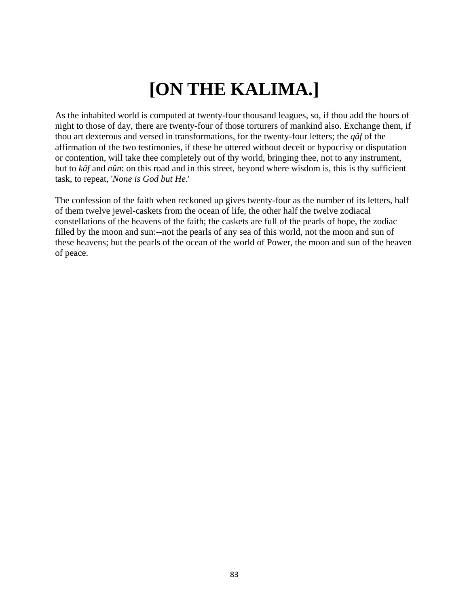# **[ON THE KALIMA.]**

As the inhabited world is computed at twenty-four thousand leagues, so, if thou add the hours of night to those of day, there are twenty-four of those torturers of mankind also. Exchange them, if thou art dexterous and versed in transformations, for the twenty-four letters; the *qâf* of the affirmation of the two testimonies, if these be uttered without deceit or hypocrisy or disputation or contention, will take thee completely out of thy world, bringing thee, not to any instrument, but to *kâf* and *nûn*: on this road and in this street, beyond where wisdom is, this is thy sufficient task, to repeat, '*None is God but He*.'

The confession of the faith when reckoned up gives twenty-four as the number of its letters, half of them twelve jewel-caskets from the ocean of life, the other half the twelve zodiacal constellations of the heavens of the faith; the caskets are full of the pearls of hope, the zodiac filled by the moon and sun:--not the pearls of any sea of this world, not the moon and sun of these heavens; but the pearls of the ocean of the world of Power, the moon and sun of the heaven of peace.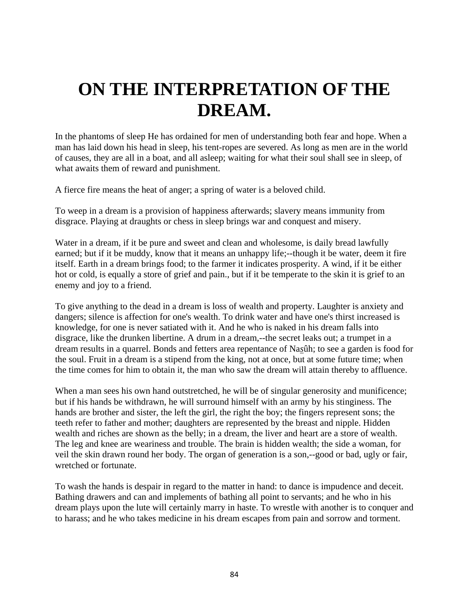### **ON THE INTERPRETATION OF THE DREAM.**

In the phantoms of sleep He has ordained for men of understanding both fear and hope. When a man has laid down his head in sleep, his tent-ropes are severed. As long as men are in the world of causes, they are all in a boat, and all asleep; waiting for what their soul shall see in sleep, of what awaits them of reward and punishment.

A fierce fire means the heat of anger; a spring of water is a beloved child.

To weep in a dream is a provision of happiness afterwards; slavery means immunity from disgrace. Playing at draughts or chess in sleep brings war and conquest and misery.

Water in a dream, if it be pure and sweet and clean and wholesome, is daily bread lawfully earned; but if it be muddy, know that it means an unhappy life;--though it be water, deem it fire itself. Earth in a dream brings food; to the farmer it indicates prosperity. A wind, if it be either hot or cold, is equally a store of grief and pain., but if it be temperate to the skin it is grief to an enemy and joy to a friend.

To give anything to the dead in a dream is loss of wealth and property. Laughter is anxiety and dangers; silence is affection for one's wealth. To drink water and have one's thirst increased is knowledge, for one is never satiated with it. And he who is naked in his dream falls into disgrace, like the drunken libertine. A drum in a dream,--the secret leaks out; a trumpet in a dream results in a quarrel. Bonds and fetters area repentance of Na*s*ûh; to see a garden is food for the soul. Fruit in a dream is a stipend from the king, not at once, but at some future time; when the time comes for him to obtain it, the man who saw the dream will attain thereby to affluence.

When a man sees his own hand outstretched, he will be of singular generosity and munificence; but if his hands be withdrawn, he will surround himself with an army by his stinginess. The hands are brother and sister, the left the girl, the right the boy; the fingers represent sons; the teeth refer to father and mother; daughters are represented by the breast and nipple. Hidden wealth and riches are shown as the belly; in a dream, the liver and heart are a store of wealth. The leg and knee are weariness and trouble. The brain is hidden wealth; the side a woman, for veil the skin drawn round her body. The organ of generation is a son,--good or bad, ugly or fair, wretched or fortunate.

To wash the hands is despair in regard to the matter in hand: to dance is impudence and deceit. Bathing drawers and can and implements of bathing all point to servants; and he who in his dream plays upon the lute will certainly marry in haste. To wrestle with another is to conquer and to harass; and he who takes medicine in his dream escapes from pain and sorrow and torment.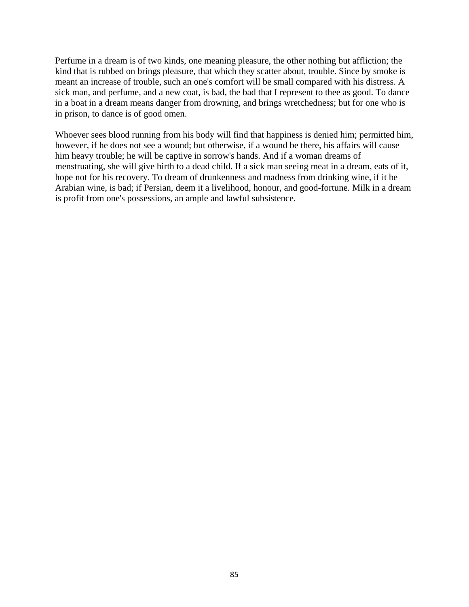Perfume in a dream is of two kinds, one meaning pleasure, the other nothing but affliction; the kind that is rubbed on brings pleasure, that which they scatter about, trouble. Since by smoke is meant an increase of trouble, such an one's comfort will be small compared with his distress. A sick man, and perfume, and a new coat, is bad, the bad that I represent to thee as good. To dance in a boat in a dream means danger from drowning, and brings wretchedness; but for one who is in prison, to dance is of good omen.

Whoever sees blood running from his body will find that happiness is denied him; permitted him, however, if he does not see a wound; but otherwise, if a wound be there, his affairs will cause him heavy trouble; he will be captive in sorrow's hands. And if a woman dreams of menstruating, she will give birth to a dead child. If a sick man seeing meat in a dream, eats of it, hope not for his recovery. To dream of drunkenness and madness from drinking wine, if it be Arabian wine, is bad; if Persian, deem it a livelihood, honour, and good-fortune. Milk in a dream is profit from one's possessions, an ample and lawful subsistence.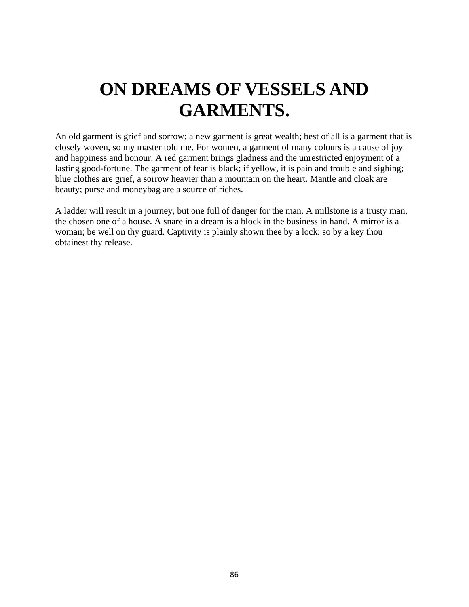#### **ON DREAMS OF VESSELS AND GARMENTS.**

An old garment is grief and sorrow; a new garment is great wealth; best of all is a garment that is closely woven, so my master told me. For women, a garment of many colours is a cause of joy and happiness and honour. A red garment brings gladness and the unrestricted enjoyment of a lasting good-fortune. The garment of fear is black; if yellow, it is pain and trouble and sighing; blue clothes are grief, a sorrow heavier than a mountain on the heart. Mantle and cloak are beauty; purse and moneybag are a source of riches.

A ladder will result in a journey, but one full of danger for the man. A millstone is a trusty man, the chosen one of a house. A snare in a dream is a block in the business in hand. A mirror is a woman; be well on thy guard. Captivity is plainly shown thee by a lock; so by a key thou obtainest thy release.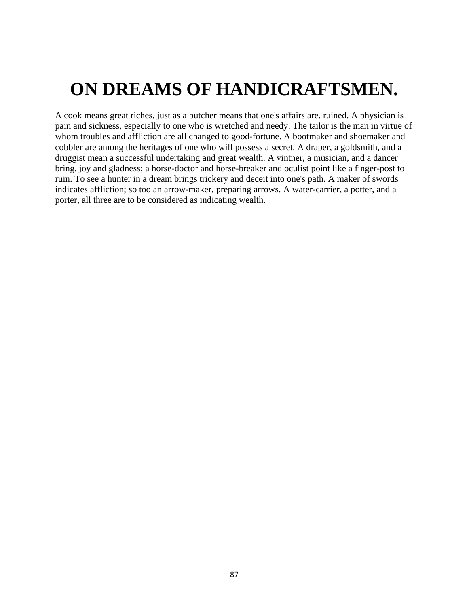# **ON DREAMS OF HANDICRAFTSMEN.**

A cook means great riches, just as a butcher means that one's affairs are. ruined. A physician is pain and sickness, especially to one who is wretched and needy. The tailor is the man in virtue of whom troubles and affliction are all changed to good-fortune. A bootmaker and shoemaker and cobbler are among the heritages of one who will possess a secret. A draper, a goldsmith, and a druggist mean a successful undertaking and great wealth. A vintner, a musician, and a dancer bring, joy and gladness; a horse-doctor and horse-breaker and oculist point like a finger-post to ruin. To see a hunter in a dream brings trickery and deceit into one's path. A maker of swords indicates affliction; so too an arrow-maker, preparing arrows. A water-carrier, a potter, and a porter, all three are to be considered as indicating wealth.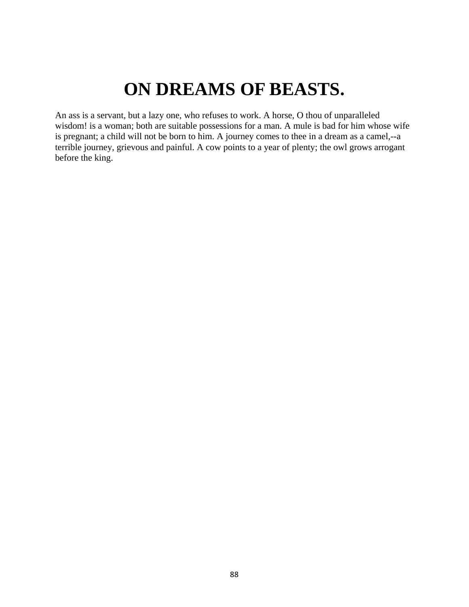## **ON DREAMS OF BEASTS.**

An ass is a servant, but a lazy one, who refuses to work. A horse, O thou of unparalleled wisdom! is a woman; both are suitable possessions for a man. A mule is bad for him whose wife is pregnant; a child will not be born to him. A journey comes to thee in a dream as a camel,--a terrible journey, grievous and painful. A cow points to a year of plenty; the owl grows arrogant before the king.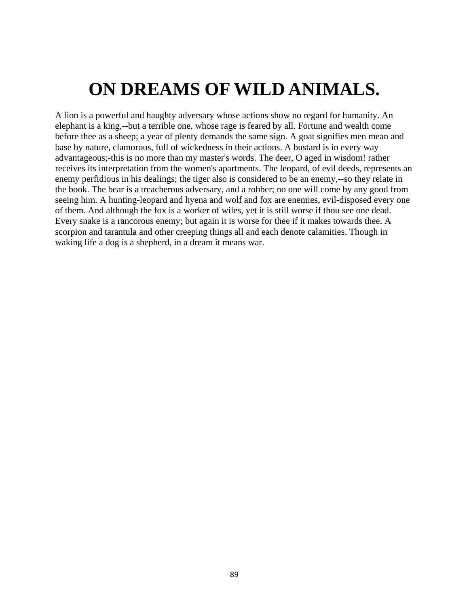## **ON DREAMS OF WILD ANIMALS.**

A lion is a powerful and haughty adversary whose actions show no regard for humanity. An elephant is a king,--but a terrible one, whose rage is feared by all. Fortune and wealth come before thee as a sheep; a year of plenty demands the same sign. A goat signifies men mean and base by nature, clamorous, full of wickedness in their actions. A bustard is in every way advantageous;-this is no more than my master's words. The deer, O aged in wisdom! rather receives its interpretation from the women's apartments. The leopard, of evil deeds, represents an enemy perfidious in his dealings; the tiger also is considered to be an enemy,--so they relate in the book. The bear is a treacherous adversary, and a robber; no one will come by any good from seeing him. A hunting-leopard and hyena and wolf and fox are enemies, evil-disposed every one of them. And although the fox is a worker of wiles, yet it is still worse if thou see one dead. Every snake is a rancorous enemy; but again it is worse for thee if it makes towards thee. A scorpion and tarantula and other creeping things all and each denote calamities. Though in waking life a dog is a shepherd, in a dream it means war.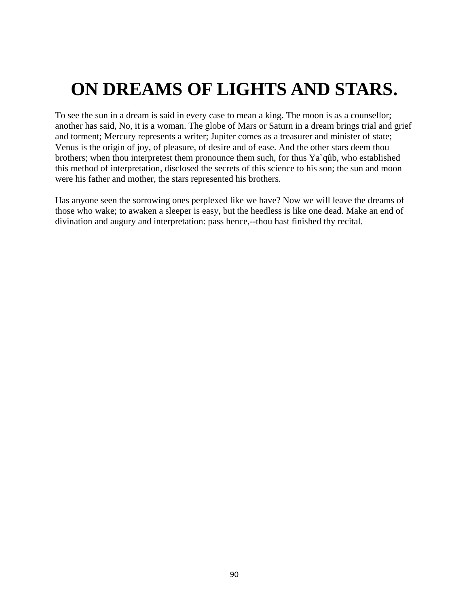# **ON DREAMS OF LIGHTS AND STARS.**

To see the sun in a dream is said in every case to mean a king. The moon is as a counsellor; another has said, No, it is a woman. The globe of Mars or Saturn in a dream brings trial and grief and torment; Mercury represents a writer; Jupiter comes as a treasurer and minister of state; Venus is the origin of joy, of pleasure, of desire and of ease. And the other stars deem thou brothers; when thou interpretest them pronounce them such, for thus Ya`qûb, who established this method of interpretation, disclosed the secrets of this science to his son; the sun and moon were his father and mother, the stars represented his brothers.

Has anyone seen the sorrowing ones perplexed like we have? Now we will leave the dreams of those who wake; to awaken a sleeper is easy, but the heedless is like one dead. Make an end of divination and augury and interpretation: pass hence,--thou hast finished thy recital.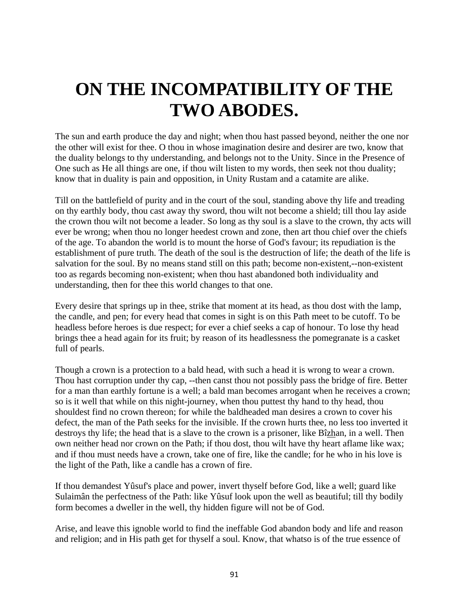#### **ON THE INCOMPATIBILITY OF THE TWO ABODES.**

The sun and earth produce the day and night; when thou hast passed beyond, neither the one nor the other will exist for thee. O thou in whose imagination desire and desirer are two, know that the duality belongs to thy understanding, and belongs not to the Unity. Since in the Presence of One such as He all things are one, if thou wilt listen to my words, then seek not thou duality; know that in duality is pain and opposition, in Unity Rustam and a catamite are alike.

Till on the battlefield of purity and in the court of the soul, standing above thy life and treading on thy earthly body, thou cast away thy sword, thou wilt not become a shield; till thou lay aside the crown thou wilt not become a leader. So long as thy soul is a slave to the crown, thy acts will ever be wrong; when thou no longer heedest crown and zone, then art thou chief over the chiefs of the age. To abandon the world is to mount the horse of God's favour; its repudiation is the establishment of pure truth. The death of the soul is the destruction of life; the death of the life is salvation for the soul. By no means stand still on this path; become non-existent,--non-existent too as regards becoming non-existent; when thou hast abandoned both individuality and understanding, then for thee this world changes to that one.

Every desire that springs up in thee, strike that moment at its head, as thou dost with the lamp, the candle, and pen; for every head that comes in sight is on this Path meet to be cutoff. To be headless before heroes is due respect; for ever a chief seeks a cap of honour. To lose thy head brings thee a head again for its fruit; by reason of its headlessness the pomegranate is a casket full of pearls.

Though a crown is a protection to a bald head, with such a head it is wrong to wear a crown. Thou hast corruption under thy cap, --then canst thou not possibly pass the bridge of fire. Better for a man than earthly fortune is a well; a bald man becomes arrogant when he receives a crown; so is it well that while on this night-journey, when thou puttest thy hand to thy head, thou shouldest find no crown thereon; for while the baldheaded man desires a crown to cover his defect, the man of the Path seeks for the invisible. If the crown hurts thee, no less too inverted it destroys thy life; the head that is a slave to the crown is a prisoner, like Bîzhan, in a well. Then own neither head nor crown on the Path; if thou dost, thou wilt have thy heart aflame like wax; and if thou must needs have a crown, take one of fire, like the candle; for he who in his love is the light of the Path, like a candle has a crown of fire.

If thou demandest Yûsuf's place and power, invert thyself before God, like a well; guard like Sulaimân the perfectness of the Path: like Yûsuf look upon the well as beautiful; till thy bodily form becomes a dweller in the well, thy hidden figure will not be of God.

Arise, and leave this ignoble world to find the ineffable God abandon body and life and reason and religion; and in His path get for thyself a soul. Know, that whatso is of the true essence of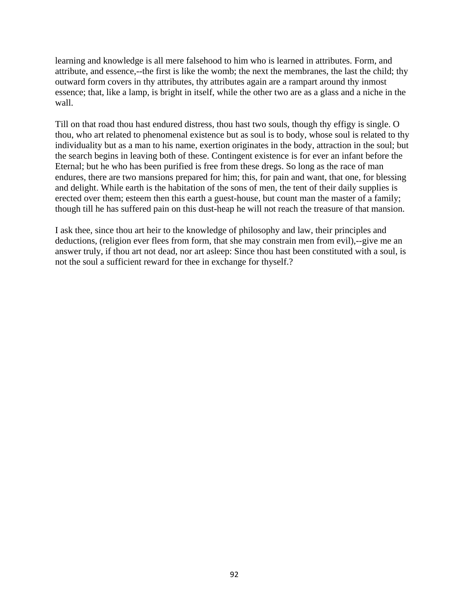learning and knowledge is all mere falsehood to him who is learned in attributes. Form, and attribute, and essence,--the first is like the womb; the next the membranes, the last the child; thy outward form covers in thy attributes, thy attributes again are a rampart around thy inmost essence; that, like a lamp, is bright in itself, while the other two are as a glass and a niche in the wall.

Till on that road thou hast endured distress, thou hast two souls, though thy effigy is single. O thou, who art related to phenomenal existence but as soul is to body, whose soul is related to thy individuality but as a man to his name, exertion originates in the body, attraction in the soul; but the search begins in leaving both of these. Contingent existence is for ever an infant before the Eternal; but he who has been purified is free from these dregs. So long as the race of man endures, there are two mansions prepared for him; this, for pain and want, that one, for blessing and delight. While earth is the habitation of the sons of men, the tent of their daily supplies is erected over them; esteem then this earth a guest-house, but count man the master of a family; though till he has suffered pain on this dust-heap he will not reach the treasure of that mansion.

I ask thee, since thou art heir to the knowledge of philosophy and law, their principles and deductions, (religion ever flees from form, that she may constrain men from evil),--give me an answer truly, if thou art not dead, nor art asleep: Since thou hast been constituted with a soul, is not the soul a sufficient reward for thee in exchange for thyself.?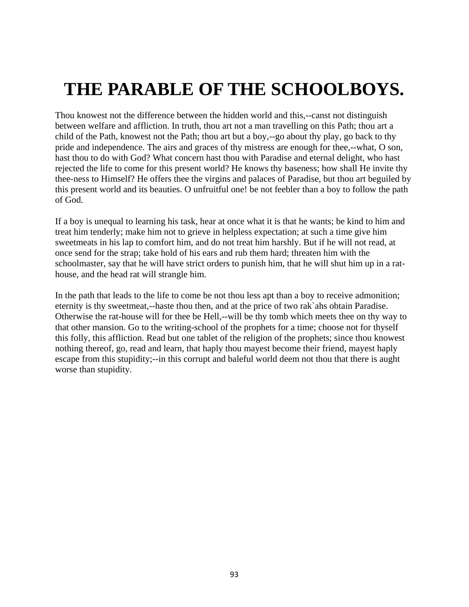# **THE PARABLE OF THE SCHOOLBOYS.**

Thou knowest not the difference between the hidden world and this,--canst not distinguish between welfare and affliction. In truth, thou art not a man travelling on this Path; thou art a child of the Path, knowest not the Path; thou art but a boy,--go about thy play, go back to thy pride and independence. The airs and graces of thy mistress are enough for thee,--what, O son, hast thou to do with God? What concern hast thou with Paradise and eternal delight, who hast rejected the life to come for this present world? He knows thy baseness; how shall He invite thy thee-ness to Himself? He offers thee the virgins and palaces of Paradise, but thou art beguiled by this present world and its beauties. O unfruitful one! be not feebler than a boy to follow the path of God.

If a boy is unequal to learning his task, hear at once what it is that he wants; be kind to him and treat him tenderly; make him not to grieve in helpless expectation; at such a time give him sweetmeats in his lap to comfort him, and do not treat him harshly. But if he will not read, at once send for the strap; take hold of his ears and rub them hard; threaten him with the schoolmaster, say that he will have strict orders to punish him, that he will shut him up in a rathouse, and the head rat will strangle him.

In the path that leads to the life to come be not thou less apt than a boy to receive admonition; eternity is thy sweetmeat,--haste thou then, and at the price of two rak`ahs obtain Paradise. Otherwise the rat-house will for thee be Hell,--will be thy tomb which meets thee on thy way to that other mansion. Go to the writing-school of the prophets for a time; choose not for thyself this folly, this affliction. Read but one tablet of the religion of the prophets; since thou knowest nothing thereof, go, read and learn, that haply thou mayest become their friend, mayest haply escape from this stupidity;--in this corrupt and baleful world deem not thou that there is aught worse than stupidity.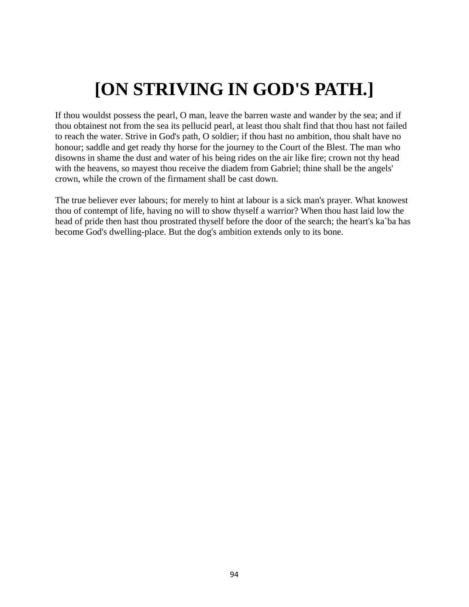# **[ON STRIVING IN GOD'S PATH.]**

If thou wouldst possess the pearl, O man, leave the barren waste and wander by the sea; and if thou obtainest not from the sea its pellucid pearl, at least thou shalt find that thou hast not failed to reach the water. Strive in God's path, O soldier; if thou hast no ambition, thou shalt have no honour; saddle and get ready thy horse for the journey to the Court of the Blest. The man who disowns in shame the dust and water of his being rides on the air like fire; crown not thy head with the heavens, so mayest thou receive the diadem from Gabriel; thine shall be the angels' crown, while the crown of the firmament shall be cast down.

The true believer ever labours; for merely to hint at labour is a sick man's prayer. What knowest thou of contempt of life, having no will to show thyself a warrior? When thou hast laid low the head of pride then hast thou prostrated thyself before the door of the search; the heart's ka`ba has become God's dwelling-place. But the dog's ambition extends only to its bone.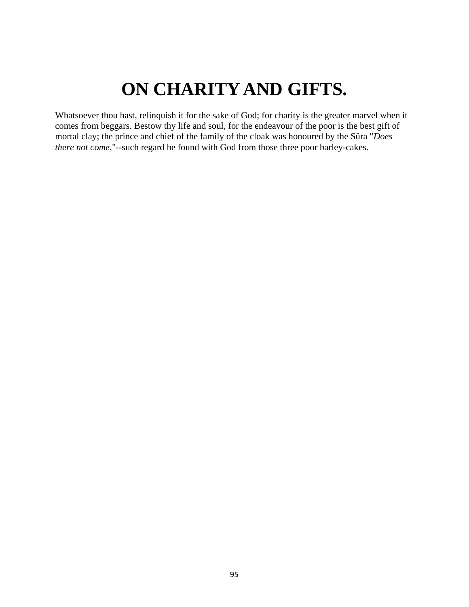## **ON CHARITY AND GIFTS.**

Whatsoever thou hast, relinquish it for the sake of God; for charity is the greater marvel when it comes from beggars. Bestow thy life and soul, for the endeavour of the poor is the best gift of mortal clay; the prince and chief of the family of the cloak was honoured by the Sûra "*Does there not come*,"--such regard he found with God from those three poor barley-cakes.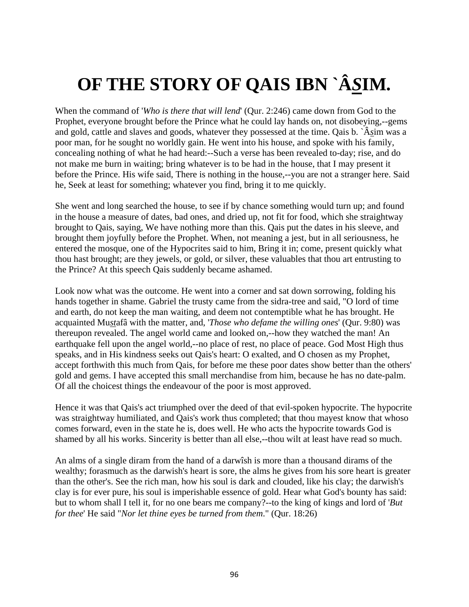# **OF THE STORY OF QAIS IBN `Â***S***IM.**

When the command of '*Who is there that will lend*' (Qur. 2:246) came down from God to the Prophet, everyone brought before the Prince what he could lay hands on, not disobeying,--gems and gold, cattle and slaves and goods, whatever they possessed at the time. Qais b. `Â*s*im was a poor man, for he sought no worldly gain. He went into his house, and spoke with his family, concealing nothing of what he had heard:--Such a verse has been revealed to-day; rise, and do not make me burn in waiting; bring whatever is to be had in the house, that I may present it before the Prince. His wife said, There is nothing in the house,--you are not a stranger here. Said he, Seek at least for something; whatever you find, bring it to me quickly.

She went and long searched the house, to see if by chance something would turn up; and found in the house a measure of dates, bad ones, and dried up, not fit for food, which she straightway brought to Qais, saying, We have nothing more than this. Qais put the dates in his sleeve, and brought them joyfully before the Prophet. When, not meaning a jest, but in all seriousness, he entered the mosque, one of the Hypocrites said to him, Bring it in; come, present quickly what thou hast brought; are they jewels, or gold, or silver, these valuables that thou art entrusting to the Prince? At this speech Qais suddenly became ashamed.

Look now what was the outcome. He went into a corner and sat down sorrowing, folding his hands together in shame. Gabriel the trusty came from the sidra-tree and said, "O lord of time and earth, do not keep the man waiting, and deem not contemptible what he has brought. He acquainted Mu*st*afâ with the matter, and, '*Those who defame the willing ones*' (Qur. 9:80) was thereupon revealed. The angel world came and looked on,--how they watched the man! An earthquake fell upon the angel world,--no place of rest, no place of peace. God Most High thus speaks, and in His kindness seeks out Qais's heart: O exalted, and O chosen as my Prophet, accept forthwith this much from Qais, for before me these poor dates show better than the others' gold and gems. I have accepted this small merchandise from him, because he has no date-palm. Of all the choicest things the endeavour of the poor is most approved.

Hence it was that Qais's act triumphed over the deed of that evil-spoken hypocrite. The hypocrite was straightway humiliated, and Qais's work thus completed; that thou mayest know that whoso comes forward, even in the state he is, does well. He who acts the hypocrite towards God is shamed by all his works. Sincerity is better than all else,--thou wilt at least have read so much.

An alms of a single diram from the hand of a darwîsh is more than a thousand dirams of the wealthy; forasmuch as the darwish's heart is sore, the alms he gives from his sore heart is greater than the other's. See the rich man, how his soul is dark and clouded, like his clay; the darwish's clay is for ever pure, his soul is imperishable essence of gold. Hear what God's bounty has said: but to whom shall I tell it, for no one bears me company?--to the king of kings and lord of '*But for thee*' He said "*Nor let thine eyes be turned from them*." (Qur. 18:26)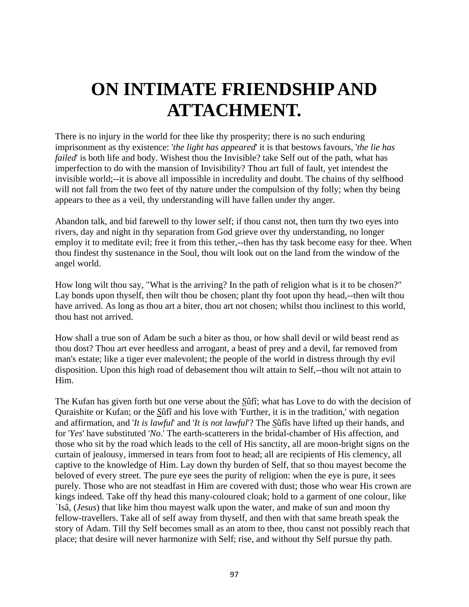#### **ON INTIMATE FRIENDSHIP AND ATTACHMENT.**

There is no injury in the world for thee like thy prosperity; there is no such enduring imprisonment as thy existence: '*the light has appeared*' it is that bestows favours, '*the lie has failed*' is both life and body. Wishest thou the Invisible? take Self out of the path, what has imperfection to do with the mansion of Invisibility? Thou art full of fault, yet intendest the invisible world;--it is above all impossible in incredulity and doubt. The chains of thy selfhood will not fall from the two feet of thy nature under the compulsion of thy folly; when thy being appears to thee as a veil, thy understanding will have fallen under thy anger.

Abandon talk, and bid farewell to thy lower self; if thou canst not, then turn thy two eyes into rivers, day and night in thy separation from God grieve over thy understanding, no longer employ it to meditate evil; free it from this tether,--then has thy task become easy for thee. When thou findest thy sustenance in the Soul, thou wilt look out on the land from the window of the angel world.

How long wilt thou say, "What is the arriving? In the path of religion what is it to be chosen?" Lay bonds upon thyself, then wilt thou be chosen; plant thy foot upon thy head,--then wilt thou have arrived. As long as thou art a biter, thou art not chosen; whilst thou inclinest to this world, thou hast not arrived.

How shall a true son of Adam be such a biter as thou, or how shall devil or wild beast rend as thou dost? Thou art ever heedless and arrogant, a beast of prey and a devil, far removed from man's estate; like a tiger ever malevolent; the people of the world in distress through thy evil disposition. Upon this high road of debasement thou wilt attain to Self,--thou wilt not attain to Him.

The Kufan has given forth but one verse about the *S*ûfî; what has Love to do with the decision of Quraishite or Kufan; or the *S*ûfî and his love with 'Further, it is in the tradition,' with negation and affirmation, and '*It is lawful*' and '*It is not lawful*'? The *S*ûfîs have lifted up their hands, and for '*Yes*' have substituted '*No*.' The earth-scatterers in the bridal-chamber of His affection, and those who sit by the road which leads to the cell of His sanctity, all are moon-bright signs on the curtain of jealousy, immersed in tears from foot to head; all are recipients of His clemency, all captive to the knowledge of Him. Lay down thy burden of Self, that so thou mayest become the beloved of every street. The pure eye sees the purity of religion: when the eye is pure, it sees purely. Those who are not steadfast in Him are covered with dust; those who wear His crown are kings indeed. Take off thy head this many-coloured cloak; hold to a garment of one colour, like `Isâ, (*Jesus*) that like him thou mayest walk upon the water, and make of sun and moon thy fellow-travellers. Take all of self away from thyself, and then with that same breath speak the story of Adam. Till thy Self becomes small as an atom to thee, thou canst not possibly reach that place; that desire will never harmonize with Self; rise, and without thy Self pursue thy path.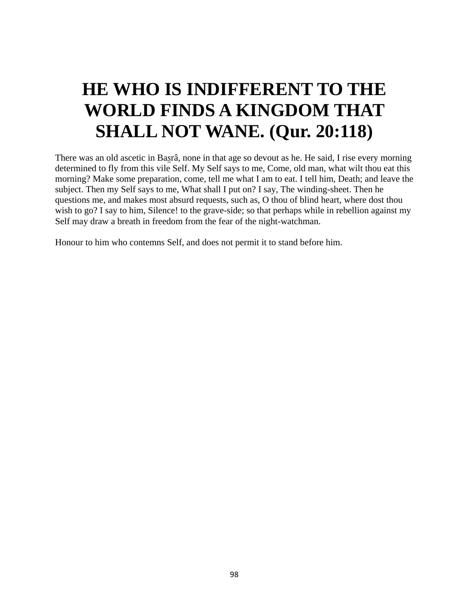#### **HE WHO IS INDIFFERENT TO THE WORLD FINDS A KINGDOM THAT SHALL NOT WANE. (Qur. 20:118)**

There was an old ascetic in Ba*s*râ, none in that age so devout as he. He said, I rise every morning determined to fly from this vile Self. My Self says to me, Come, old man, what wilt thou eat this morning? Make some preparation, come, tell me what I am to eat. I tell him, Death; and leave the subject. Then my Self says to me, What shall I put on? I say, The winding-sheet. Then he questions me, and makes most absurd requests, such as, O thou of blind heart, where dost thou wish to go? I say to him, Silence! to the grave-side; so that perhaps while in rebellion against my Self may draw a breath in freedom from the fear of the night-watchman.

Honour to him who contemns Self, and does not permit it to stand before him.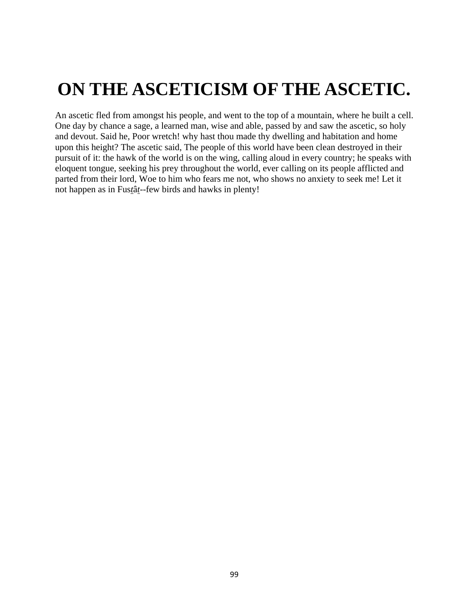# **ON THE ASCETICISM OF THE ASCETIC.**

An ascetic fled from amongst his people, and went to the top of a mountain, where he built a cell. One day by chance a sage, a learned man, wise and able, passed by and saw the ascetic, so holy and devout. Said he, Poor wretch! why hast thou made thy dwelling and habitation and home upon this height? The ascetic said, The people of this world have been clean destroyed in their pursuit of it: the hawk of the world is on the wing, calling aloud in every country; he speaks with eloquent tongue, seeking his prey throughout the world, ever calling on its people afflicted and parted from their lord, Woe to him who fears me not, who shows no anxiety to seek me! Let it not happen as in Fus*t*â*t*--few birds and hawks in plenty!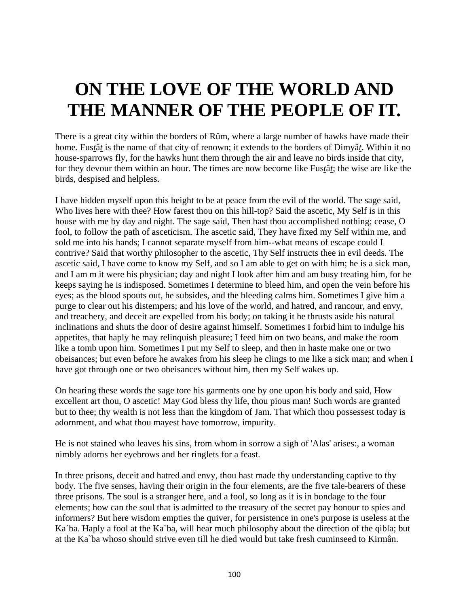### **ON THE LOVE OF THE WORLD AND THE MANNER OF THE PEOPLE OF IT.**

There is a great city within the borders of Rûm, where a large number of hawks have made their home. Fus*t*â*t* is the name of that city of renown; it extends to the borders of Dimyâ*t*. Within it no house-sparrows fly, for the hawks hunt them through the air and leave no birds inside that city, for they devour them within an hour. The times are now become like Fus*t*â*t*; the wise are like the birds, despised and helpless.

I have hidden myself upon this height to be at peace from the evil of the world. The sage said, Who lives here with thee? How farest thou on this hill-top? Said the ascetic, My Self is in this house with me by day and night. The sage said, Then hast thou accomplished nothing; cease, O fool, to follow the path of asceticism. The ascetic said, They have fixed my Self within me, and sold me into his hands; I cannot separate myself from him--what means of escape could I contrive? Said that worthy philosopher to the ascetic, Thy Self instructs thee in evil deeds. The ascetic said, I have come to know my Self, and so I am able to get on with him; he is a sick man, and I am m it were his physician; day and night I look after him and am busy treating him, for he keeps saying he is indisposed. Sometimes I determine to bleed him, and open the vein before his eyes; as the blood spouts out, he subsides, and the bleeding calms him. Sometimes I give him a purge to clear out his distempers; and his love of the world, and hatred, and rancour, and envy, and treachery, and deceit are expelled from his body; on taking it he thrusts aside his natural inclinations and shuts the door of desire against himself. Sometimes I forbid him to indulge his appetites, that haply he may relinquish pleasure; I feed him on two beans, and make the room like a tomb upon him. Sometimes I put my Self to sleep, and then in haste make one or two obeisances; but even before he awakes from his sleep he clings to me like a sick man; and when I have got through one or two obeisances without him, then my Self wakes up.

On hearing these words the sage tore his garments one by one upon his body and said, How excellent art thou, O ascetic! May God bless thy life, thou pious man! Such words are granted but to thee; thy wealth is not less than the kingdom of Jam. That which thou possessest today is adornment, and what thou mayest have tomorrow, impurity.

He is not stained who leaves his sins, from whom in sorrow a sigh of 'Alas' arises:, a woman nimbly adorns her eyebrows and her ringlets for a feast.

In three prisons, deceit and hatred and envy, thou hast made thy understanding captive to thy body. The five senses, having their origin in the four elements, are the five tale-bearers of these three prisons. The soul is a stranger here, and a fool, so long as it is in bondage to the four elements; how can the soul that is admitted to the treasury of the secret pay honour to spies and informers? But here wisdom empties the quiver, for persistence in one's purpose is useless at the Ka`ba. Haply a fool at the Ka`ba, will hear much philosophy about the direction of the qibla; but at the Ka`ba whoso should strive even till he died would but take fresh cuminseed to Kirmân.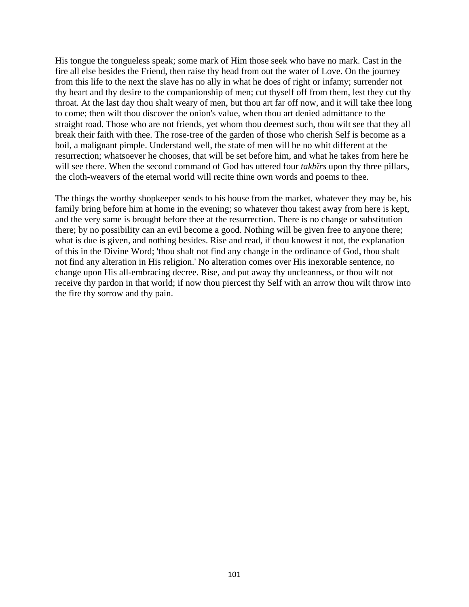His tongue the tongueless speak; some mark of Him those seek who have no mark. Cast in the fire all else besides the Friend, then raise thy head from out the water of Love. On the journey from this life to the next the slave has no ally in what he does of right or infamy; surrender not thy heart and thy desire to the companionship of men; cut thyself off from them, lest they cut thy throat. At the last day thou shalt weary of men, but thou art far off now, and it will take thee long to come; then wilt thou discover the onion's value, when thou art denied admittance to the straight road. Those who are not friends, yet whom thou deemest such, thou wilt see that they all break their faith with thee. The rose-tree of the garden of those who cherish Self is become as a boil, a malignant pimple. Understand well, the state of men will be no whit different at the resurrection; whatsoever he chooses, that will be set before him, and what he takes from here he will see there. When the second command of God has uttered four *takbîrs* upon thy three pillars, the cloth-weavers of the eternal world will recite thine own words and poems to thee.

The things the worthy shopkeeper sends to his house from the market, whatever they may be, his family bring before him at home in the evening; so whatever thou takest away from here is kept, and the very same is brought before thee at the resurrection. There is no change or substitution there; by no possibility can an evil become a good. Nothing will be given free to anyone there; what is due is given, and nothing besides. Rise and read, if thou knowest it not, the explanation of this in the Divine Word; 'thou shalt not find any change in the ordinance of God, thou shalt not find any alteration in His religion.' No alteration comes over His inexorable sentence, no change upon His all-embracing decree. Rise, and put away thy uncleanness, or thou wilt not receive thy pardon in that world; if now thou piercest thy Self with an arrow thou wilt throw into the fire thy sorrow and thy pain.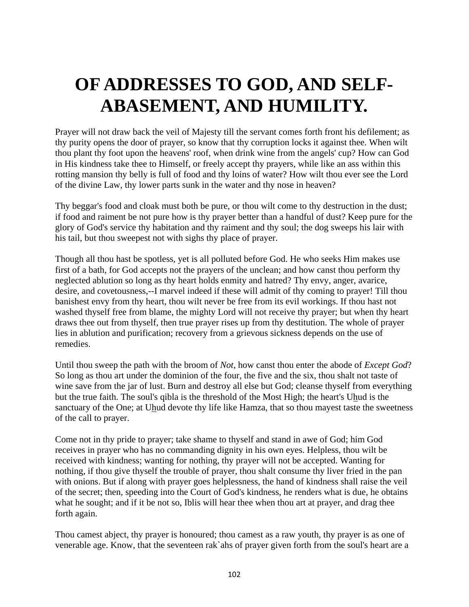### **OF ADDRESSES TO GOD, AND SELF-ABASEMENT, AND HUMILITY.**

Prayer will not draw back the veil of Majesty till the servant comes forth front his defilement; as thy purity opens the door of prayer, so know that thy corruption locks it against thee. When wilt thou plant thy foot upon the heavens' roof, when drink wine from the angels' cup? How can God in His kindness take thee to Himself, or freely accept thy prayers, while like an ass within this rotting mansion thy belly is full of food and thy loins of water? How wilt thou ever see the Lord of the divine Law, thy lower parts sunk in the water and thy nose in heaven?

Thy beggar's food and cloak must both be pure, or thou wilt come to thy destruction in the dust; if food and raiment be not pure how is thy prayer better than a handful of dust? Keep pure for the glory of God's service thy habitation and thy raiment and thy soul; the dog sweeps his lair with his tail, but thou sweepest not with sighs thy place of prayer.

Though all thou hast be spotless, yet is all polluted before God. He who seeks Him makes use first of a bath, for God accepts not the prayers of the unclean; and how canst thou perform thy neglected ablution so long as thy heart holds enmity and hatred? Thy envy, anger, avarice, desire, and covetousness,--I marvel indeed if these will admit of thy coming to prayer! Till thou banishest envy from thy heart, thou wilt never be free from its evil workings. If thou hast not washed thyself free from blame, the mighty Lord will not receive thy prayer; but when thy heart draws thee out from thyself, then true prayer rises up from thy destitution. The whole of prayer lies in ablution and purification; recovery from a grievous sickness depends on the use of remedies.

Until thou sweep the path with the broom of *Not*, how canst thou enter the abode of *Except God*? So long as thou art under the dominion of the four, the five and the six, thou shalt not taste of wine save from the jar of lust. Burn and destroy all else but God; cleanse thyself from everything but the true faith. The soul's qibla is the threshold of the Most High; the heart's Uhud is the sanctuary of the One; at Uhud devote thy life like Hamza, that so thou may est taste the sweetness of the call to prayer.

Come not in thy pride to prayer; take shame to thyself and stand in awe of God; him God receives in prayer who has no commanding dignity in his own eyes. Helpless, thou wilt be received with kindness; wanting for nothing, thy prayer will not be accepted. Wanting for nothing, if thou give thyself the trouble of prayer, thou shalt consume thy liver fried in the pan with onions. But if along with prayer goes helplessness, the hand of kindness shall raise the veil of the secret; then, speeding into the Court of God's kindness, he renders what is due, he obtains what he sought; and if it be not so, Iblis will hear thee when thou art at prayer, and drag thee forth again.

Thou camest abject, thy prayer is honoured; thou camest as a raw youth, thy prayer is as one of venerable age. Know, that the seventeen rak`ahs of prayer given forth from the soul's heart are a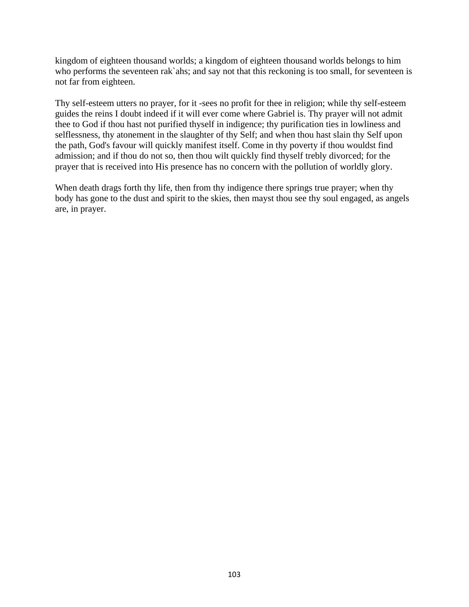kingdom of eighteen thousand worlds; a kingdom of eighteen thousand worlds belongs to him who performs the seventeen rak`ahs; and say not that this reckoning is too small, for seventeen is not far from eighteen.

Thy self-esteem utters no prayer, for it -sees no profit for thee in religion; while thy self-esteem guides the reins I doubt indeed if it will ever come where Gabriel is. Thy prayer will not admit thee to God if thou hast not purified thyself in indigence; thy purification ties in lowliness and selflessness, thy atonement in the slaughter of thy Self; and when thou hast slain thy Self upon the path, God's favour will quickly manifest itself. Come in thy poverty if thou wouldst find admission; and if thou do not so, then thou wilt quickly find thyself trebly divorced; for the prayer that is received into His presence has no concern with the pollution of worldly glory.

When death drags forth thy life, then from thy indigence there springs true prayer; when thy body has gone to the dust and spirit to the skies, then mayst thou see thy soul engaged, as angels are, in prayer.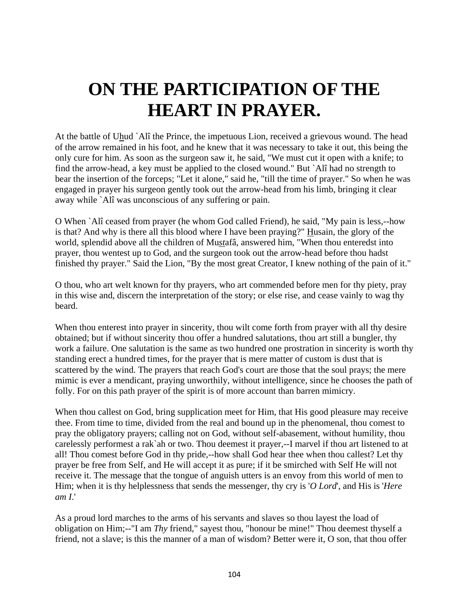## **ON THE PARTICIPATION OF THE HEART IN PRAYER.**

At the battle of Uhud `Alî the Prince, the impetuous Lion, received a grievous wound. The head of the arrow remained in his foot, and he knew that it was necessary to take it out, this being the only cure for him. As soon as the surgeon saw it, he said, "We must cut it open with a knife; to find the arrow-head, a key must be applied to the closed wound." But `Alî had no strength to bear the insertion of the forceps; "Let it alone," said he, "till the time of prayer." So when he was engaged in prayer his surgeon gently took out the arrow-head from his limb, bringing it clear away while `Alî was unconscious of any suffering or pain.

O When `Alî ceased from prayer (he whom God called Friend), he said, "My pain is less,--how is that? And why is there all this blood where I have been praying?" Husain, the glory of the world, splendid above all the children of Mu*st*afâ, answered him, "When thou enteredst into prayer, thou wentest up to God, and the surgeon took out the arrow-head before thou hadst finished thy prayer." Said the Lion, "By the most great Creator, I knew nothing of the pain of it."

O thou, who art welt known for thy prayers, who art commended before men for thy piety, pray in this wise and, discern the interpretation of the story; or else rise, and cease vainly to wag thy beard.

When thou enterest into prayer in sincerity, thou wilt come forth from prayer with all thy desire obtained; but if without sincerity thou offer a hundred salutations, thou art still a bungler, thy work a failure. One salutation is the same as two hundred one prostration in sincerity is worth thy standing erect a hundred times, for the prayer that is mere matter of custom is dust that is scattered by the wind. The prayers that reach God's court are those that the soul prays; the mere mimic is ever a mendicant, praying unworthily, without intelligence, since he chooses the path of folly. For on this path prayer of the spirit is of more account than barren mimicry.

When thou callest on God, bring supplication meet for Him, that His good pleasure may receive thee. From time to time, divided from the real and bound up in the phenomenal, thou comest to pray the obligatory prayers; calling not on God, without self-abasement, without humility, thou carelessly performest a rak`ah or two. Thou deemest it prayer,--I marvel if thou art listened to at all! Thou comest before God in thy pride,--how shall God hear thee when thou callest? Let thy prayer be free from Self, and He will accept it as pure; if it be smirched with Self He will not receive it. The message that the tongue of anguish utters is an envoy from this world of men to Him; when it is thy helplessness that sends the messenger, thy cry is '*O Lord*', and His is '*Here am I*.'

As a proud lord marches to the arms of his servants and slaves so thou layest the load of obligation on Him;--"I am *Thy* friend," sayest thou, "honour be mine!" Thou deemest thyself a friend, not a slave; is this the manner of a man of wisdom? Better were it, O son, that thou offer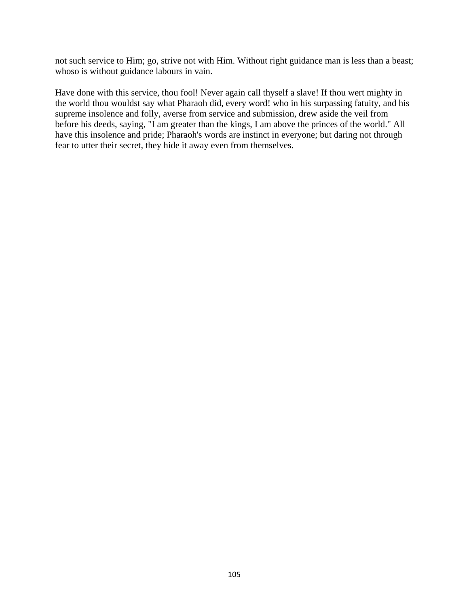not such service to Him; go, strive not with Him. Without right guidance man is less than a beast; whoso is without guidance labours in vain.

Have done with this service, thou fool! Never again call thyself a slave! If thou wert mighty in the world thou wouldst say what Pharaoh did, every word! who in his surpassing fatuity, and his supreme insolence and folly, averse from service and submission, drew aside the veil from before his deeds, saying, "I am greater than the kings, I am above the princes of the world." All have this insolence and pride; Pharaoh's words are instinct in everyone; but daring not through fear to utter their secret, they hide it away even from themselves.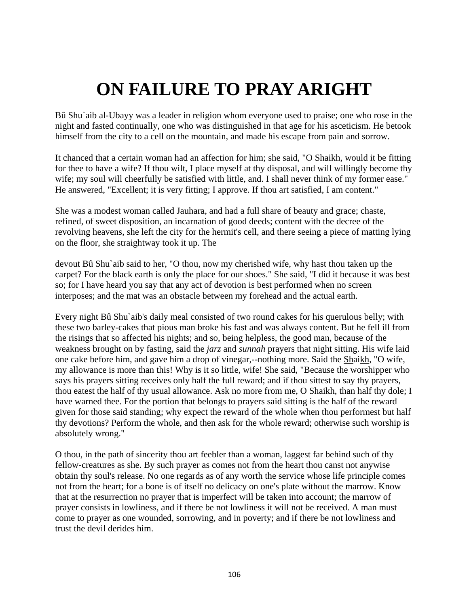# **ON FAILURE TO PRAY ARIGHT**

Bû Shu`aib al-Ubayy was a leader in religion whom everyone used to praise; one who rose in the night and fasted continually, one who was distinguished in that age for his asceticism. He betook himself from the city to a cell on the mountain, and made his escape from pain and sorrow.

It chanced that a certain woman had an affection for him; she said, "O Shaikh, would it be fitting for thee to have a wife? If thou wilt, I place myself at thy disposal, and will willingly become thy wife; my soul will cheerfully be satisfied with little, and. I shall never think of my former ease." He answered, "Excellent; it is very fitting; I approve. If thou art satisfied, I am content."

She was a modest woman called Jauhara, and had a full share of beauty and grace; chaste, refined, of sweet disposition, an incarnation of good deeds; content with the decree of the revolving heavens, she left the city for the hermit's cell, and there seeing a piece of matting lying on the floor, she straightway took it up. The

devout Bû Shu`aib said to her, "O thou, now my cherished wife, why hast thou taken up the carpet? For the black earth is only the place for our shoes." She said, "I did it because it was best so; for I have heard you say that any act of devotion is best performed when no screen interposes; and the mat was an obstacle between my forehead and the actual earth.

Every night Bû Shu`aib's daily meal consisted of two round cakes for his querulous belly; with these two barley-cakes that pious man broke his fast and was always content. But he fell ill from the risings that so affected his nights; and so, being helpless, the good man, because of the weakness brought on by fasting, said the *jarz* and *sunnah* prayers that night sitting. His wife laid one cake before him, and gave him a drop of vinegar,--nothing more. Said the Shaikh, "O wife, my allowance is more than this! Why is it so little, wife! She said, "Because the worshipper who says his prayers sitting receives only half the full reward; and if thou sittest to say thy prayers, thou eatest the half of thy usual allowance. Ask no more from me, O Shaikh, than half thy dole; I have warned thee. For the portion that belongs to prayers said sitting is the half of the reward given for those said standing; why expect the reward of the whole when thou performest but half thy devotions? Perform the whole, and then ask for the whole reward; otherwise such worship is absolutely wrong."

O thou, in the path of sincerity thou art feebler than a woman, laggest far behind such of thy fellow-creatures as she. By such prayer as comes not from the heart thou canst not anywise obtain thy soul's release. No one regards as of any worth the service whose life principle comes not from the heart; for a bone is of itself no delicacy on one's plate without the marrow. Know that at the resurrection no prayer that is imperfect will be taken into account; the marrow of prayer consists in lowliness, and if there be not lowliness it will not be received. A man must come to prayer as one wounded, sorrowing, and in poverty; and if there be not lowliness and trust the devil derides him.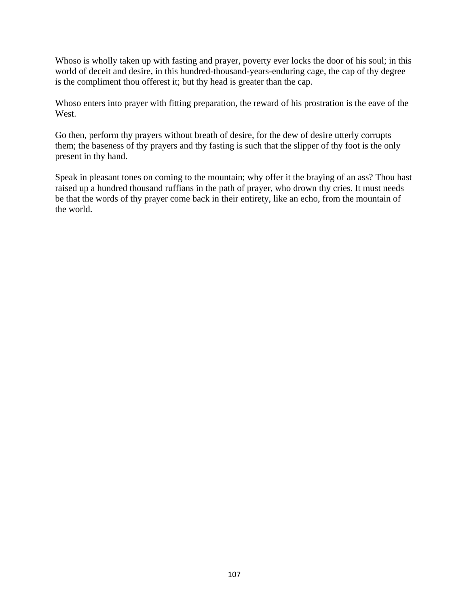Whoso is wholly taken up with fasting and prayer, poverty ever locks the door of his soul; in this world of deceit and desire, in this hundred-thousand-years-enduring cage, the cap of thy degree is the compliment thou offerest it; but thy head is greater than the cap.

Whoso enters into prayer with fitting preparation, the reward of his prostration is the eave of the West.

Go then, perform thy prayers without breath of desire, for the dew of desire utterly corrupts them; the baseness of thy prayers and thy fasting is such that the slipper of thy foot is the only present in thy hand.

Speak in pleasant tones on coming to the mountain; why offer it the braying of an ass? Thou hast raised up a hundred thousand ruffians in the path of prayer, who drown thy cries. It must needs be that the words of thy prayer come back in their entirety, like an echo, from the mountain of the world.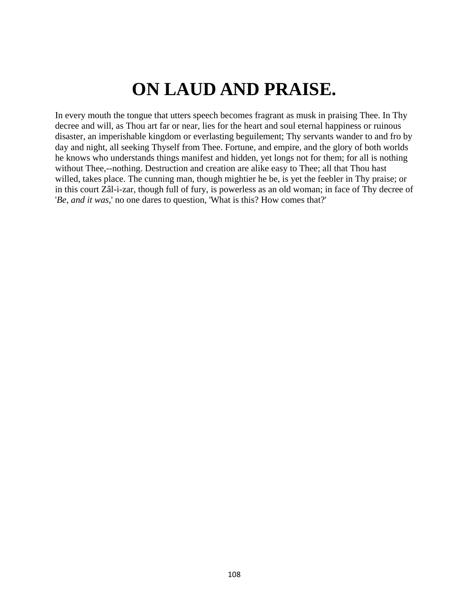### **ON LAUD AND PRAISE.**

In every mouth the tongue that utters speech becomes fragrant as musk in praising Thee. In Thy decree and will, as Thou art far or near, lies for the heart and soul eternal happiness or ruinous disaster, an imperishable kingdom or everlasting beguilement; Thy servants wander to and fro by day and night, all seeking Thyself from Thee. Fortune, and empire, and the glory of both worlds he knows who understands things manifest and hidden, yet longs not for them; for all is nothing without Thee,--nothing. Destruction and creation are alike easy to Thee; all that Thou hast willed, takes place. The cunning man, though mightier he be, is yet the feebler in Thy praise; or in this court Zâl-i-zar, though full of fury, is powerless as an old woman; in face of Thy decree of '*Be, and it was*,' no one dares to question, 'What is this? How comes that?'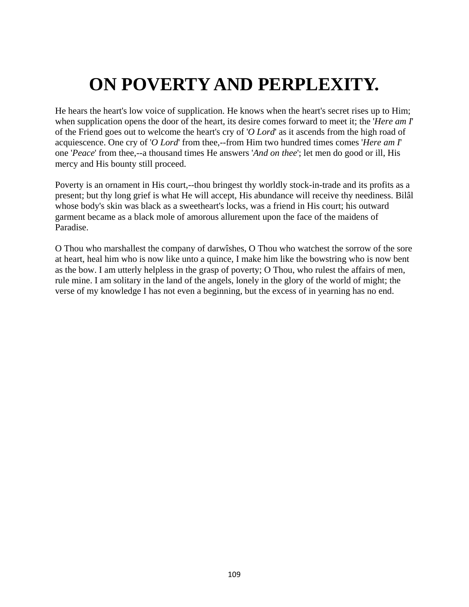# **ON POVERTY AND PERPLEXITY.**

He hears the heart's low voice of supplication. He knows when the heart's secret rises up to Him; when supplication opens the door of the heart, its desire comes forward to meet it; the '*Here am I*' of the Friend goes out to welcome the heart's cry of '*O Lord*' as it ascends from the high road of acquiescence. One cry of '*O Lord*' from thee,--from Him two hundred times comes '*Here am I*' one '*Peace*' from thee,--a thousand times He answers '*And on thee*'; let men do good or ill, His mercy and His bounty still proceed.

Poverty is an ornament in His court,--thou bringest thy worldly stock-in-trade and its profits as a present; but thy long grief is what He will accept, His abundance will receive thy neediness. Bilâl whose body's skin was black as a sweetheart's locks, was a friend in His court; his outward garment became as a black mole of amorous allurement upon the face of the maidens of Paradise.

O Thou who marshallest the company of darwîshes, O Thou who watchest the sorrow of the sore at heart, heal him who is now like unto a quince, I make him like the bowstring who is now bent as the bow. I am utterly helpless in the grasp of poverty; O Thou, who rulest the affairs of men, rule mine. I am solitary in the land of the angels, lonely in the glory of the world of might; the verse of my knowledge I has not even a beginning, but the excess of in yearning has no end.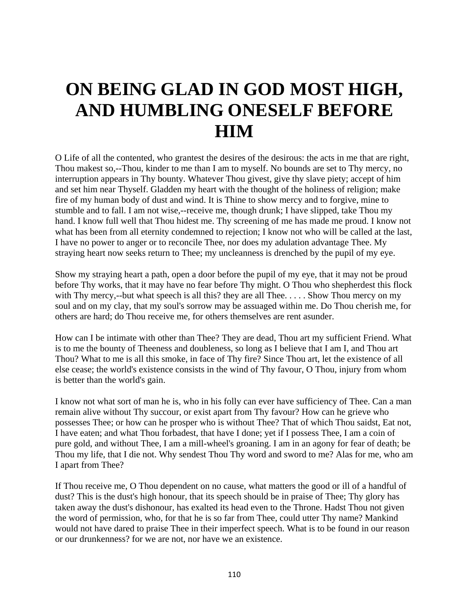### **ON BEING GLAD IN GOD MOST HIGH, AND HUMBLING ONESELF BEFORE HIM**

O Life of all the contented, who grantest the desires of the desirous: the acts in me that are right, Thou makest so,--Thou, kinder to me than I am to myself. No bounds are set to Thy mercy, no interruption appears in Thy bounty. Whatever Thou givest, give thy slave piety; accept of him and set him near Thyself. Gladden my heart with the thought of the holiness of religion; make fire of my human body of dust and wind. It is Thine to show mercy and to forgive, mine to stumble and to fall. I am not wise,--receive me, though drunk; I have slipped, take Thou my hand. I know full well that Thou hidest me. Thy screening of me has made me proud. I know not what has been from all eternity condemned to rejection; I know not who will be called at the last, I have no power to anger or to reconcile Thee, nor does my adulation advantage Thee. My straying heart now seeks return to Thee; my uncleanness is drenched by the pupil of my eye.

Show my straying heart a path, open a door before the pupil of my eye, that it may not be proud before Thy works, that it may have no fear before Thy might. O Thou who shepherdest this flock with Thy mercy,--but what speech is all this? they are all Thee. . . . . Show Thou mercy on my soul and on my clay, that my soul's sorrow may be assuaged within me. Do Thou cherish me, for others are hard; do Thou receive me, for others themselves are rent asunder.

How can I be intimate with other than Thee? They are dead, Thou art my sufficient Friend. What is to me the bounty of Theeness and doubleness, so long as I believe that I am I, and Thou art Thou? What to me is all this smoke, in face of Thy fire? Since Thou art, let the existence of all else cease; the world's existence consists in the wind of Thy favour, O Thou, injury from whom is better than the world's gain.

I know not what sort of man he is, who in his folly can ever have sufficiency of Thee. Can a man remain alive without Thy succour, or exist apart from Thy favour? How can he grieve who possesses Thee; or how can he prosper who is without Thee? That of which Thou saidst, Eat not, I have eaten; and what Thou forbadest, that have I done; yet if I possess Thee, I am a coin of pure gold, and without Thee, I am a mill-wheel's groaning. I am in an agony for fear of death; be Thou my life, that I die not. Why sendest Thou Thy word and sword to me? Alas for me, who am I apart from Thee?

If Thou receive me, O Thou dependent on no cause, what matters the good or ill of a handful of dust? This is the dust's high honour, that its speech should be in praise of Thee; Thy glory has taken away the dust's dishonour, has exalted its head even to the Throne. Hadst Thou not given the word of permission, who, for that he is so far from Thee, could utter Thy name? Mankind would not have dared to praise Thee in their imperfect speech. What is to be found in our reason or our drunkenness? for we are not, nor have we an existence.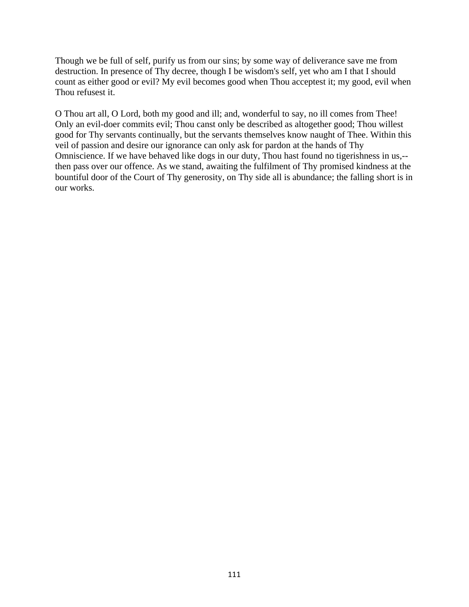Though we be full of self, purify us from our sins; by some way of deliverance save me from destruction. In presence of Thy decree, though I be wisdom's self, yet who am I that I should count as either good or evil? My evil becomes good when Thou acceptest it; my good, evil when Thou refusest it.

O Thou art all, O Lord, both my good and ill; and, wonderful to say, no ill comes from Thee! Only an evil-doer commits evil; Thou canst only be described as altogether good; Thou willest good for Thy servants continually, but the servants themselves know naught of Thee. Within this veil of passion and desire our ignorance can only ask for pardon at the hands of Thy Omniscience. If we have behaved like dogs in our duty, Thou hast found no tigerishness in us,- then pass over our offence. As we stand, awaiting the fulfilment of Thy promised kindness at the bountiful door of the Court of Thy generosity, on Thy side all is abundance; the falling short is in our works.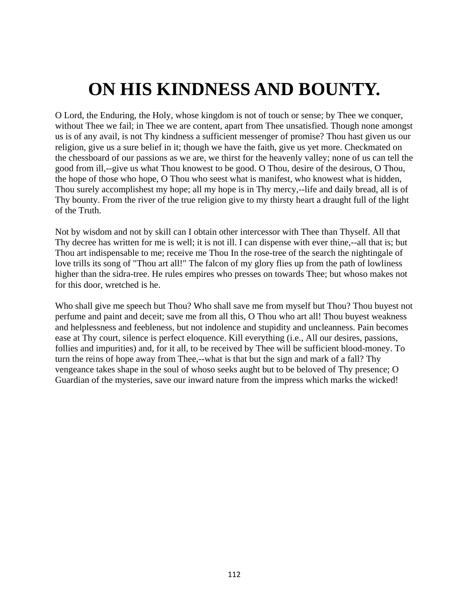# **ON HIS KINDNESS AND BOUNTY.**

O Lord, the Enduring, the Holy, whose kingdom is not of touch or sense; by Thee we conquer, without Thee we fail; in Thee we are content, apart from Thee unsatisfied. Though none amongst us is of any avail, is not Thy kindness a sufficient messenger of promise? Thou hast given us our religion, give us a sure belief in it; though we have the faith, give us yet more. Checkmated on the chessboard of our passions as we are, we thirst for the heavenly valley; none of us can tell the good from ill,--give us what Thou knowest to be good. O Thou, desire of the desirous, O Thou, the hope of those who hope, O Thou who seest what is manifest, who knowest what is hidden, Thou surely accomplishest my hope; all my hope is in Thy mercy,--life and daily bread, all is of Thy bounty. From the river of the true religion give to my thirsty heart a draught full of the light of the Truth.

Not by wisdom and not by skill can I obtain other intercessor with Thee than Thyself. All that Thy decree has written for me is well; it is not ill. I can dispense with ever thine,--all that is; but Thou art indispensable to me; receive me Thou In the rose-tree of the search the nightingale of love trills its song of "Thou art all!" The falcon of my glory flies up from the path of lowliness higher than the sidra-tree. He rules empires who presses on towards Thee; but whoso makes not for this door, wretched is he.

Who shall give me speech but Thou? Who shall save me from myself but Thou? Thou buyest not perfume and paint and deceit; save me from all this, O Thou who art all! Thou buyest weakness and helplessness and feebleness, but not indolence and stupidity and uncleanness. Pain becomes ease at Thy court, silence is perfect eloquence. Kill everything (i.e., All our desires, passions, follies and impurities) and, for it all, to be received by Thee will be sufficient blood-money. To turn the reins of hope away from Thee,--what is that but the sign and mark of a fall? Thy vengeance takes shape in the soul of whoso seeks aught but to be beloved of Thy presence; O Guardian of the mysteries, save our inward nature from the impress which marks the wicked!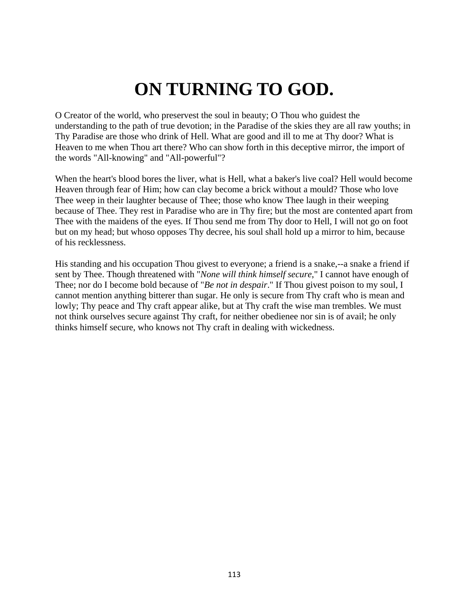## **ON TURNING TO GOD.**

O Creator of the world, who preservest the soul in beauty; O Thou who guidest the understanding to the path of true devotion; in the Paradise of the skies they are all raw youths; in Thy Paradise are those who drink of Hell. What are good and ill to me at Thy door? What is Heaven to me when Thou art there? Who can show forth in this deceptive mirror, the import of the words "All-knowing" and "All-powerful"?

When the heart's blood bores the liver, what is Hell, what a baker's live coal? Hell would become Heaven through fear of Him; how can clay become a brick without a mould? Those who love Thee weep in their laughter because of Thee; those who know Thee laugh in their weeping because of Thee. They rest in Paradise who are in Thy fire; but the most are contented apart from Thee with the maidens of the eyes. If Thou send me from Thy door to Hell, I will not go on foot but on my head; but whoso opposes Thy decree, his soul shall hold up a mirror to him, because of his recklessness.

His standing and his occupation Thou givest to everyone; a friend is a snake,--a snake a friend if sent by Thee. Though threatened with "*None will think himself secure*," I cannot have enough of Thee; nor do I become bold because of "*Be not in despair*." If Thou givest poison to my soul, I cannot mention anything bitterer than sugar. He only is secure from Thy craft who is mean and lowly; Thy peace and Thy craft appear alike, but at Thy craft the wise man trembles. We must not think ourselves secure against Thy craft, for neither obedienee nor sin is of avail; he only thinks himself secure, who knows not Thy craft in dealing with wickedness.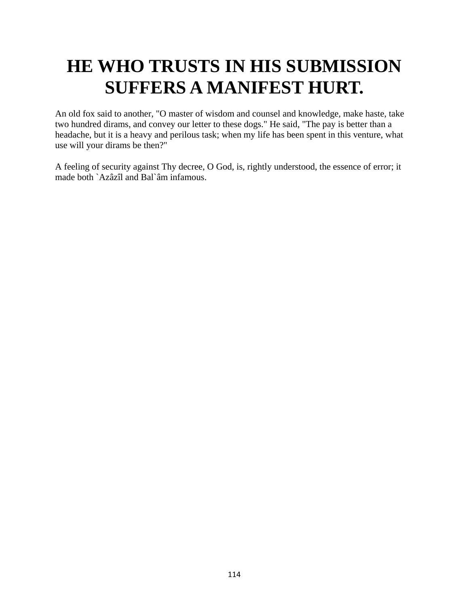### **HE WHO TRUSTS IN HIS SUBMISSION SUFFERS A MANIFEST HURT.**

An old fox said to another, "O master of wisdom and counsel and knowledge, make haste, take two hundred dirams, and convey our letter to these dogs." He said, "The pay is better than a headache, but it is a heavy and perilous task; when my life has been spent in this venture, what use will your dirams be then?"

A feeling of security against Thy decree, O God, is, rightly understood, the essence of error; it made both `Azâzîl and Bal`âm infamous.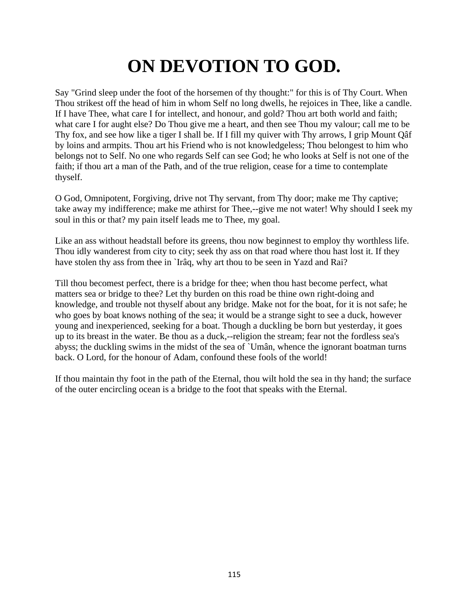## **ON DEVOTION TO GOD.**

Say "Grind sleep under the foot of the horsemen of thy thought:" for this is of Thy Court. When Thou strikest off the head of him in whom Self no long dwells, he rejoices in Thee, like a candle. If I have Thee, what care I for intellect, and honour, and gold? Thou art both world and faith; what care I for aught else? Do Thou give me a heart, and then see Thou my valour; call me to be Thy fox, and see how like a tiger I shall be. If I fill my quiver with Thy arrows, I grip Mount Qâf by loins and armpits. Thou art his Friend who is not knowledgeless; Thou belongest to him who belongs not to Self. No one who regards Self can see God; he who looks at Self is not one of the faith; if thou art a man of the Path, and of the true religion, cease for a time to contemplate thyself.

O God, Omnipotent, Forgiving, drive not Thy servant, from Thy door; make me Thy captive; take away my indifference; make me athirst for Thee,--give me not water! Why should I seek my soul in this or that? my pain itself leads me to Thee, my goal.

Like an ass without headstall before its greens, thou now beginnest to employ thy worthless life. Thou idly wanderest from city to city; seek thy ass on that road where thou hast lost it. If they have stolen thy ass from thee in `Irâq, why art thou to be seen in Yazd and Rai?

Till thou becomest perfect, there is a bridge for thee; when thou hast become perfect, what matters sea or bridge to thee? Let thy burden on this road be thine own right-doing and knowledge, and trouble not thyself about any bridge. Make not for the boat, for it is not safe; he who goes by boat knows nothing of the sea; it would be a strange sight to see a duck, however young and inexperienced, seeking for a boat. Though a duckling be born but yesterday, it goes up to its breast in the water. Be thou as a duck,--religion the stream; fear not the fordless sea's abyss; the duckling swims in the midst of the sea of `Umân, whence the ignorant boatman turns back. O Lord, for the honour of Adam, confound these fools of the world!

If thou maintain thy foot in the path of the Eternal, thou wilt hold the sea in thy hand; the surface of the outer encircling ocean is a bridge to the foot that speaks with the Eternal.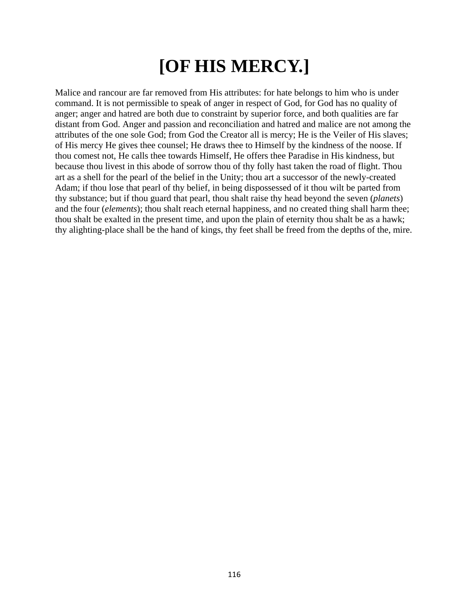# **[OF HIS MERCY.]**

Malice and rancour are far removed from His attributes: for hate belongs to him who is under command. It is not permissible to speak of anger in respect of God, for God has no quality of anger; anger and hatred are both due to constraint by superior force, and both qualities are far distant from God. Anger and passion and reconciliation and hatred and malice are not among the attributes of the one sole God; from God the Creator all is mercy; He is the Veiler of His slaves; of His mercy He gives thee counsel; He draws thee to Himself by the kindness of the noose. If thou comest not, He calls thee towards Himself, He offers thee Paradise in His kindness, but because thou livest in this abode of sorrow thou of thy folly hast taken the road of flight. Thou art as a shell for the pearl of the belief in the Unity; thou art a successor of the newly-created Adam; if thou lose that pearl of thy belief, in being dispossessed of it thou wilt be parted from thy substance; but if thou guard that pearl, thou shalt raise thy head beyond the seven (*planets*) and the four (*elements*); thou shalt reach eternal happiness, and no created thing shall harm thee; thou shalt be exalted in the present time, and upon the plain of eternity thou shalt be as a hawk; thy alighting-place shall be the hand of kings, thy feet shall be freed from the depths of the, mire.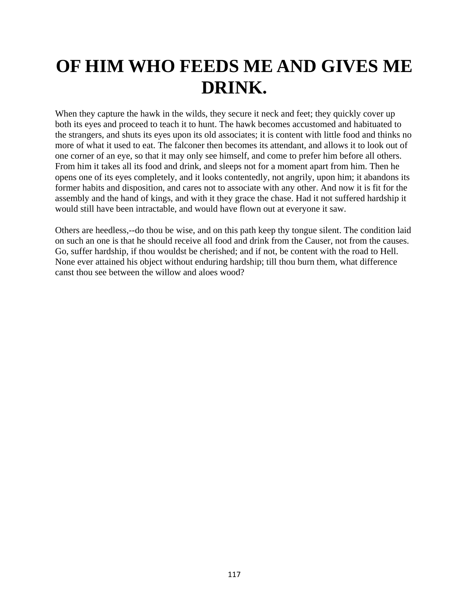### **OF HIM WHO FEEDS ME AND GIVES ME DRINK.**

When they capture the hawk in the wilds, they secure it neck and feet; they quickly cover up both its eyes and proceed to teach it to hunt. The hawk becomes accustomed and habituated to the strangers, and shuts its eyes upon its old associates; it is content with little food and thinks no more of what it used to eat. The falconer then becomes its attendant, and allows it to look out of one corner of an eye, so that it may only see himself, and come to prefer him before all others. From him it takes all its food and drink, and sleeps not for a moment apart from him. Then he opens one of its eyes completely, and it looks contentedly, not angrily, upon him; it abandons its former habits and disposition, and cares not to associate with any other. And now it is fit for the assembly and the hand of kings, and with it they grace the chase. Had it not suffered hardship it would still have been intractable, and would have flown out at everyone it saw.

Others are heedless,--do thou be wise, and on this path keep thy tongue silent. The condition laid on such an one is that he should receive all food and drink from the Causer, not from the causes. Go, suffer hardship, if thou wouldst be cherished; and if not, be content with the road to Hell. None ever attained his object without enduring hardship; till thou burn them, what difference canst thou see between the willow and aloes wood?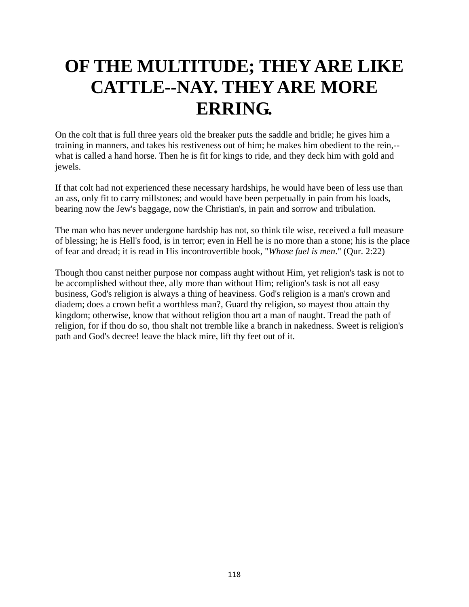### **OF THE MULTITUDE; THEY ARE LIKE CATTLE--NAY. THEY ARE MORE ERRING.**

On the colt that is full three years old the breaker puts the saddle and bridle; he gives him a training in manners, and takes his restiveness out of him; he makes him obedient to the rein,- what is called a hand horse. Then he is fit for kings to ride, and they deck him with gold and jewels.

If that colt had not experienced these necessary hardships, he would have been of less use than an ass, only fit to carry millstones; and would have been perpetually in pain from his loads, bearing now the Jew's baggage, now the Christian's, in pain and sorrow and tribulation.

The man who has never undergone hardship has not, so think tile wise, received a full measure of blessing; he is Hell's food, is in terror; even in Hell he is no more than a stone; his is the place of fear and dread; it is read in His incontrovertible book, "*Whose fuel is men*." (Qur. 2:22)

Though thou canst neither purpose nor compass aught without Him, yet religion's task is not to be accomplished without thee, ally more than without Him; religion's task is not all easy business, God's religion is always a thing of heaviness. God's religion is a man's crown and diadem; does a crown befit a worthless man?, Guard thy religion, so mayest thou attain thy kingdom; otherwise, know that without religion thou art a man of naught. Tread the path of religion, for if thou do so, thou shalt not tremble like a branch in nakedness. Sweet is religion's path and God's decree! leave the black mire, lift thy feet out of it.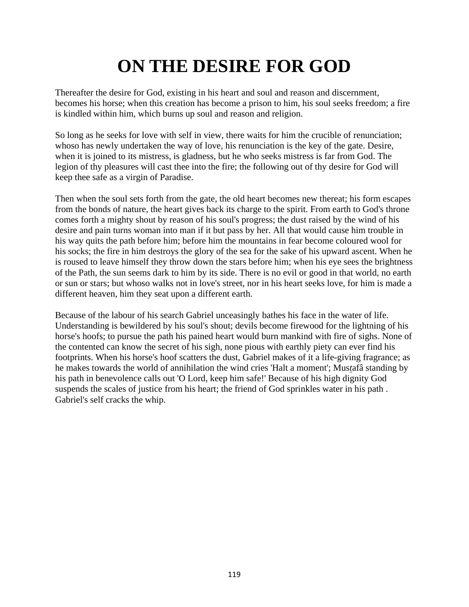## **ON THE DESIRE FOR GOD**

Thereafter the desire for God, existing in his heart and soul and reason and discernment, becomes his horse; when this creation has become a prison to him, his soul seeks freedom; a fire is kindled within him, which burns up soul and reason and religion.

So long as he seeks for love with self in view, there waits for him the crucible of renunciation; whoso has newly undertaken the way of love, his renunciation is the key of the gate. Desire, when it is joined to its mistress, is gladness, but he who seeks mistress is far from God. The legion of thy pleasures will cast thee into the fire; the following out of thy desire for God will keep thee safe as a virgin of Paradise.

Then when the soul sets forth from the gate, the old heart becomes new thereat; his form escapes from the bonds of nature, the heart gives back its charge to the spirit. From earth to God's throne comes forth a mighty shout by reason of his soul's progress; the dust raised by the wind of his desire and pain turns woman into man if it but pass by her. All that would cause him trouble in his way quits the path before him; before him the mountains in fear become coloured wool for his socks; the fire in him destroys the glory of the sea for the sake of his upward ascent. When he is roused to leave himself they throw down the stars before him; when his eye sees the brightness of the Path, the sun seems dark to him by its side. There is no evil or good in that world, no earth or sun or stars; but whoso walks not in love's street, nor in his heart seeks love, for him is made a different heaven, him they seat upon a different earth.

Because of the labour of his search Gabriel unceasingly bathes his face in the water of life. Understanding is bewildered by his soul's shout; devils become firewood for the lightning of his horse's hoofs; to pursue the path his pained heart would burn mankind with fire of sighs. None of the contented can know the secret of his sigh, none pious with earthly piety can ever find his footprints. When his horse's hoof scatters the dust, Gabriel makes of it a life-giving fragrance; as he makes towards the world of annihilation the wind cries 'Halt a moment'; Mus*t*afâ standing by his path in benevolence calls out 'O Lord, keep him safe!' Because of his high dignity God suspends the scales of justice from his heart; the friend of God sprinkles water in his path . Gabriel's self cracks the whip.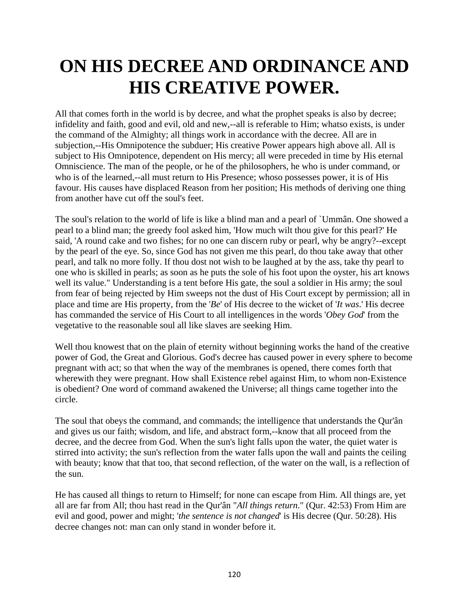### **ON HIS DECREE AND ORDINANCE AND HIS CREATIVE POWER.**

All that comes forth in the world is by decree, and what the prophet speaks is also by decree; infidelity and faith, good and evil, old and new,--all is referable to Him; whatso exists, is under the command of the Almighty; all things work in accordance with the decree. All are in subjection,--His Omnipotence the subduer; His creative Power appears high above all. All is subject to His Omnipotence, dependent on His mercy; all were preceded in time by His eternal Omniscience. The man of the people, or he of the philosophers, he who is under command, or who is of the learned,--all must return to His Presence; whoso possesses power, it is of His favour. His causes have displaced Reason from her position; His methods of deriving one thing from another have cut off the soul's feet.

The soul's relation to the world of life is like a blind man and a pearl of `Ummân. One showed a pearl to a blind man; the greedy fool asked him, 'How much wilt thou give for this pearl?' He said, 'A round cake and two fishes; for no one can discern ruby or pearl, why be angry?--except by the pearl of the eye. So, since God has not given me this pearl, do thou take away that other pearl, and talk no more folly. If thou dost not wish to be laughed at by the ass, take thy pearl to one who is skilled in pearls; as soon as he puts the sole of his foot upon the oyster, his art knows well its value." Understanding is a tent before His gate, the soul a soldier in His army; the soul from fear of being rejected by Him sweeps not the dust of His Court except by permission; all in place and time are His property, from the '*Be*' of His decree to the wicket of '*It was*.' His decree has commanded the service of His Court to all intelligences in the words '*Obey God*' from the vegetative to the reasonable soul all like slaves are seeking Him.

Well thou knowest that on the plain of eternity without beginning works the hand of the creative power of God, the Great and Glorious. God's decree has caused power in every sphere to become pregnant with act; so that when the way of the membranes is opened, there comes forth that wherewith they were pregnant. How shall Existence rebel against Him, to whom non-Existence is obedient? One word of command awakened the Universe; all things came together into the circle.

The soul that obeys the command, and commands; the intelligence that understands the Qur'ân and gives us our faith; wisdom, and life, and abstract form,--know that all proceed from the decree, and the decree from God. When the sun's light falls upon the water, the quiet water is stirred into activity; the sun's reflection from the water falls upon the wall and paints the ceiling with beauty; know that that too, that second reflection, of the water on the wall, is a reflection of the sun.

He has caused all things to return to Himself; for none can escape from Him. All things are, yet all are far from All; thou hast read in the Qur'ân "*All things return*." (Qur. 42:53) From Him are evil and good, power and might; '*the sentence is not changed*' is His decree (Qur. 50:28). His decree changes not: man can only stand in wonder before it.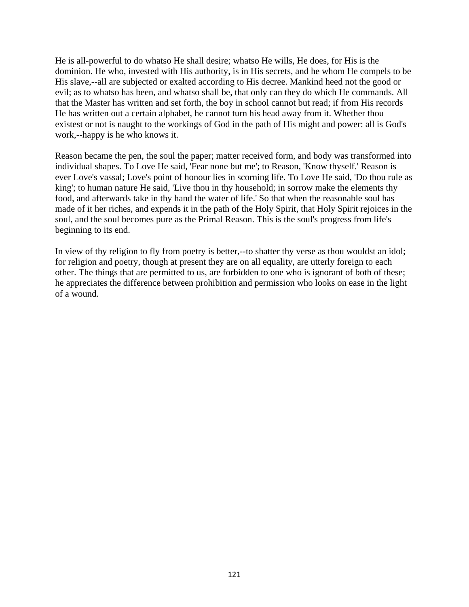He is all-powerful to do whatso He shall desire; whatso He wills, He does, for His is the dominion. He who, invested with His authority, is in His secrets, and he whom He compels to be His slave,--all are subjected or exalted according to His decree. Mankind heed not the good or evil; as to whatso has been, and whatso shall be, that only can they do which He commands. All that the Master has written and set forth, the boy in school cannot but read; if from His records He has written out a certain alphabet, he cannot turn his head away from it. Whether thou existest or not is naught to the workings of God in the path of His might and power: all is God's work,--happy is he who knows it.

Reason became the pen, the soul the paper; matter received form, and body was transformed into individual shapes. To Love He said, 'Fear none but me'; to Reason, 'Know thyself.' Reason is ever Love's vassal; Love's point of honour lies in scorning life. To Love He said, 'Do thou rule as king'; to human nature He said, 'Live thou in thy household; in sorrow make the elements thy food, and afterwards take in thy hand the water of life.' So that when the reasonable soul has made of it her riches, and expends it in the path of the Holy Spirit, that Holy Spirit rejoices in the soul, and the soul becomes pure as the Primal Reason. This is the soul's progress from life's beginning to its end.

In view of thy religion to fly from poetry is better,--to shatter thy verse as thou wouldst an idol; for religion and poetry, though at present they are on all equality, are utterly foreign to each other. The things that are permitted to us, are forbidden to one who is ignorant of both of these; he appreciates the difference between prohibition and permission who looks on ease in the light of a wound.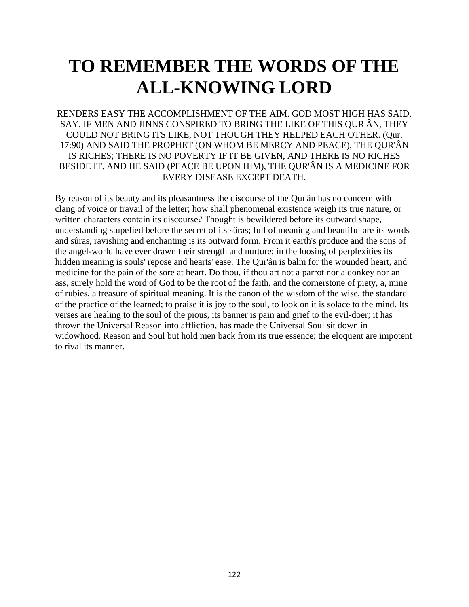#### **TO REMEMBER THE WORDS OF THE ALL-KNOWING LORD**

RENDERS EASY THE ACCOMPLISHMENT OF THE AIM. GOD MOST HIGH HAS SAID, SAY, IF MEN AND JINNS CONSPIRED TO BRING THE LIKE OF THIS QUR'ÂN, THEY COULD NOT BRING ITS LIKE, NOT THOUGH THEY HELPED EACH OTHER. (Qur. 17:90) AND SAID THE PROPHET (ON WHOM BE MERCY AND PEACE), THE QUR'ÂN IS RICHES; THERE IS NO POVERTY IF IT BE GIVEN, AND THERE IS NO RICHES BESIDE IT. AND HE SAID (PEACE BE UPON HIM), THE QUR'ÂN IS A MEDICINE FOR EVERY DISEASE EXCEPT DEATH.

By reason of its beauty and its pleasantness the discourse of the Qur'ân has no concern with clang of voice or travail of the letter; how shall phenomenal existence weigh its true nature, or written characters contain its discourse? Thought is bewildered before its outward shape, understanding stupefied before the secret of its sûras; full of meaning and beautiful are its words and sûras, ravishing and enchanting is its outward form. From it earth's produce and the sons of the angel-world have ever drawn their strength and nurture; in the loosing of perplexities its hidden meaning is souls' repose and hearts' ease. The Qur'ân is balm for the wounded heart, and medicine for the pain of the sore at heart. Do thou, if thou art not a parrot nor a donkey nor an ass, surely hold the word of God to be the root of the faith, and the cornerstone of piety, a, mine of rubies, a treasure of spiritual meaning. It is the canon of the wisdom of the wise, the standard of the practice of the learned; to praise it is joy to the soul, to look on it is solace to the mind. Its verses are healing to the soul of the pious, its banner is pain and grief to the evil-doer; it has thrown the Universal Reason into affliction, has made the Universal Soul sit down in widowhood. Reason and Soul but hold men back from its true essence; the eloquent are impotent to rival its manner.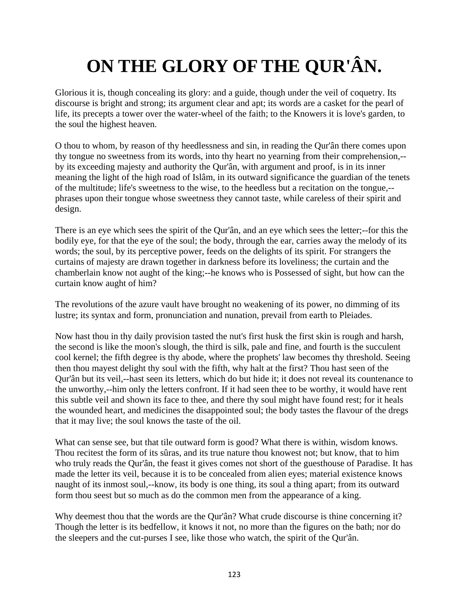# **ON THE GLORY OF THE QUR'ÂN.**

Glorious it is, though concealing its glory: and a guide, though under the veil of coquetry. Its discourse is bright and strong; its argument clear and apt; its words are a casket for the pearl of life, its precepts a tower over the water-wheel of the faith; to the Knowers it is love's garden, to the soul the highest heaven.

O thou to whom, by reason of thy heedlessness and sin, in reading the Qur'ân there comes upon thy tongue no sweetness from its words, into thy heart no yearning from their comprehension,- by its exceeding majesty and authority the Qur'ân, with argument and proof, is in its inner meaning the light of the high road of Islâm, in its outward significance the guardian of the tenets of the multitude; life's sweetness to the wise, to the heedless but a recitation on the tongue,- phrases upon their tongue whose sweetness they cannot taste, while careless of their spirit and design.

There is an eye which sees the spirit of the Qur'ân, and an eye which sees the letter;--for this the bodily eye, for that the eye of the soul; the body, through the ear, carries away the melody of its words; the soul, by its perceptive power, feeds on the delights of its spirit. For strangers the curtains of majesty are drawn together in darkness before its loveliness; the curtain and the chamberlain know not aught of the king;--he knows who is Possessed of sight, but how can the curtain know aught of him?

The revolutions of the azure vault have brought no weakening of its power, no dimming of its lustre; its syntax and form, pronunciation and nunation, prevail from earth to Pleiades.

Now hast thou in thy daily provision tasted the nut's first husk the first skin is rough and harsh, the second is like the moon's slough, the third is silk, pale and fine, and fourth is the succulent cool kernel; the fifth degree is thy abode, where the prophets' law becomes thy threshold. Seeing then thou mayest delight thy soul with the fifth, why halt at the first? Thou hast seen of the Qur'ân but its veil,--hast seen its letters, which do but hide it; it does not reveal its countenance to the unworthy,--him only the letters confront. If it had seen thee to be worthy, it would have rent this subtle veil and shown its face to thee, and there thy soul might have found rest; for it heals the wounded heart, and medicines the disappointed soul; the body tastes the flavour of the dregs that it may live; the soul knows the taste of the oil.

What can sense see, but that tile outward form is good? What there is within, wisdom knows. Thou recitest the form of its sûras, and its true nature thou knowest not; but know, that to him who truly reads the Qur'ân, the feast it gives comes not short of the guesthouse of Paradise. It has made the letter its veil, because it is to be concealed from alien eyes; material existence knows naught of its inmost soul,--know, its body is one thing, its soul a thing apart; from its outward form thou seest but so much as do the common men from the appearance of a king.

Why deemest thou that the words are the Qur'ân? What crude discourse is thine concerning it? Though the letter is its bedfellow, it knows it not, no more than the figures on the bath; nor do the sleepers and the cut-purses I see, like those who watch, the spirit of the Qur'ân.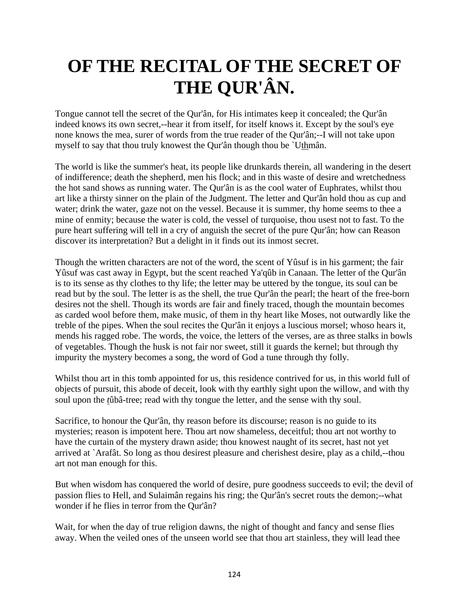### **OF THE RECITAL OF THE SECRET OF THE QUR'ÂN.**

Tongue cannot tell the secret of the Qur'ân, for His intimates keep it concealed; the Qur'ân indeed knows its own secret,--hear it from itself, for itself knows it. Except by the soul's eye none knows the mea, surer of words from the true reader of the Qur'ân;--I will not take upon myself to say that thou truly knowest the Qur'ân though thou be `Uthmân.

The world is like the summer's heat, its people like drunkards therein, all wandering in the desert of indifference; death the shepherd, men his flock; and in this waste of desire and wretchedness the hot sand shows as running water. The Qur'ân is as the cool water of Euphrates, whilst thou art like a thirsty sinner on the plain of the Judgment. The letter and Qur'ân hold thou as cup and water; drink the water, gaze not on the vessel. Because it is summer, thy home seems to thee a mine of enmity; because the water is cold, the vessel of turquoise, thou usest not to fast. To the pure heart suffering will tell in a cry of anguish the secret of the pure Qur'ân; how can Reason discover its interpretation? But a delight in it finds out its inmost secret.

Though the written characters are not of the word, the scent of Yûsuf is in his garment; the fair Yûsuf was cast away in Egypt, but the scent reached Ya'qûb in Canaan. The letter of the Qur'ân is to its sense as thy clothes to thy life; the letter may be uttered by the tongue, its soul can be read but by the soul. The letter is as the shell, the true Qur'ân the pearl; the heart of the free-born desires not the shell. Though its words are fair and finely traced, though the mountain becomes as carded wool before them, make music, of them in thy heart like Moses, not outwardly like the treble of the pipes. When the soul recites the Qur'ân it enjoys a luscious morsel; whoso hears it, mends his ragged robe. The words, the voice, the letters of the verses, are as three stalks in bowls of vegetables. Though the husk is not fair nor sweet, still it guards the kernel; but through thy impurity the mystery becomes a song, the word of God a tune through thy folly.

Whilst thou art in this tomb appointed for us, this residence contrived for us, in this world full of objects of pursuit, this abode of deceit, look with thy earthly sight upon the willow, and with thy soul upon the *t*ûbâ-tree; read with thy tongue the letter, and the sense with thy soul.

Sacrifice, to honour the Qur'ân, thy reason before its discourse; reason is no guide to its mysteries; reason is impotent here. Thou art now shameless, deceitful; thou art not worthy to have the curtain of the mystery drawn aside; thou knowest naught of its secret, hast not yet arrived at `Arafât. So long as thou desirest pleasure and cherishest desire, play as a child,--thou art not man enough for this.

But when wisdom has conquered the world of desire, pure goodness succeeds to evil; the devil of passion flies to Hell, and Sulaimân regains his ring; the Qur'ân's secret routs the demon;--what wonder if he flies in terror from the Qur'ân?

Wait, for when the day of true religion dawns, the night of thought and fancy and sense flies away. When the veiled ones of the unseen world see that thou art stainless, they will lead thee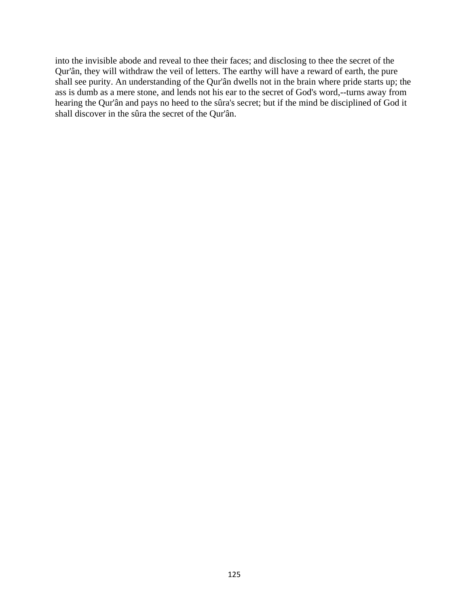into the invisible abode and reveal to thee their faces; and disclosing to thee the secret of the Qur'ân, they will withdraw the veil of letters. The earthy will have a reward of earth, the pure shall see purity. An understanding of the Qur'ân dwells not in the brain where pride starts up; the ass is dumb as a mere stone, and lends not his ear to the secret of God's word,--turns away from hearing the Qur'ân and pays no heed to the sûra's secret; but if the mind be disciplined of God it shall discover in the sûra the secret of the Qur'ân.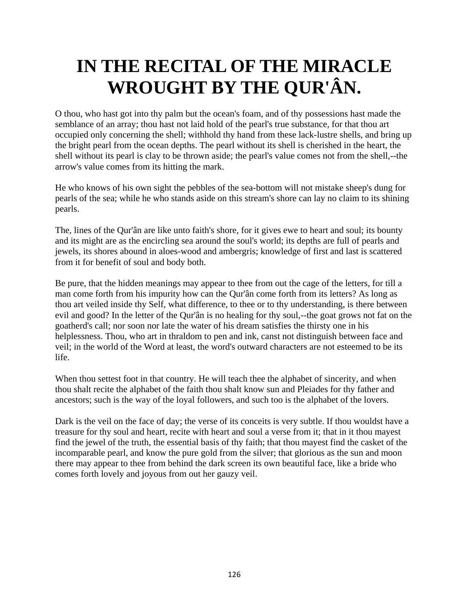### **IN THE RECITAL OF THE MIRACLE WROUGHT BY THE QUR'ÂN.**

O thou, who hast got into thy palm but the ocean's foam, and of thy possessions hast made the semblance of an array; thou hast not laid hold of the pearl's true substance, for that thou art occupied only concerning the shell; withhold thy hand from these lack-lustre shells, and bring up the bright pearl from the ocean depths. The pearl without its shell is cherished in the heart, the shell without its pearl is clay to be thrown aside; the pearl's value comes not from the shell,--the arrow's value comes from its hitting the mark.

He who knows of his own sight the pebbles of the sea-bottom will not mistake sheep's dung for pearls of the sea; while he who stands aside on this stream's shore can lay no claim to its shining pearls.

The, lines of the Qur'ân are like unto faith's shore, for it gives ewe to heart and soul; its bounty and its might are as the encircling sea around the soul's world; its depths are full of pearls and jewels, its shores abound in aloes-wood and ambergris; knowledge of first and last is scattered from it for benefit of soul and body both.

Be pure, that the hidden meanings may appear to thee from out the cage of the letters, for till a man come forth from his impurity how can the Qur'ân come forth from its letters? As long as thou art veiled inside thy Self, what difference, to thee or to thy understanding, is there between evil and good? In the letter of the Qur'ân is no healing for thy soul,--the goat grows not fat on the goatherd's call; nor soon nor late the water of his dream satisfies the thirsty one in his helplessness. Thou, who art in thraldom to pen and ink, canst not distinguish between face and veil; in the world of the Word at least, the word's outward characters are not esteemed to be its life.

When thou settest foot in that country. He will teach thee the alphabet of sincerity, and when thou shalt recite the alphabet of the faith thou shalt know sun and Pleiades for thy father and ancestors; such is the way of the loyal followers, and such too is the alphabet of the lovers.

Dark is the veil on the face of day; the verse of its conceits is very subtle. If thou wouldst have a treasure for thy soul and heart, recite with heart and soul a verse from it; that in it thou mayest find the jewel of the truth, the essential basis of thy faith; that thou mayest find the casket of the incomparable pearl, and know the pure gold from the silver; that glorious as the sun and moon there may appear to thee from behind the dark screen its own beautiful face, like a bride who comes forth lovely and joyous from out her gauzy veil.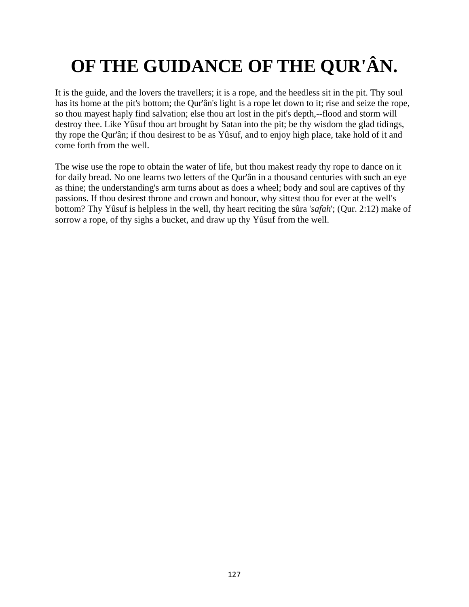# **OF THE GUIDANCE OF THE QUR'ÂN.**

It is the guide, and the lovers the travellers; it is a rope, and the heedless sit in the pit. Thy soul has its home at the pit's bottom; the Qur'ân's light is a rope let down to it; rise and seize the rope, so thou mayest haply find salvation; else thou art lost in the pit's depth,--flood and storm will destroy thee. Like Yûsuf thou art brought by Satan into the pit; be thy wisdom the glad tidings, thy rope the Qur'ân; if thou desirest to be as Yûsuf, and to enjoy high place, take hold of it and come forth from the well.

The wise use the rope to obtain the water of life, but thou makest ready thy rope to dance on it for daily bread. No one learns two letters of the Qur'ân in a thousand centuries with such an eye as thine; the understanding's arm turns about as does a wheel; body and soul are captives of thy passions. If thou desirest throne and crown and honour, why sittest thou for ever at the well's bottom? Thy Yûsuf is helpless in the well, thy heart reciting the sûra '*safah*'; (Qur. 2:12) make of sorrow a rope, of thy sighs a bucket, and draw up thy Yûsuf from the well.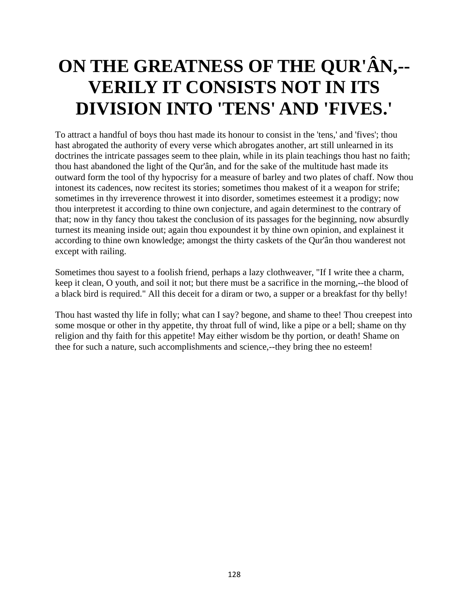### **ON THE GREATNESS OF THE QUR'ÂN,-- VERILY IT CONSISTS NOT IN ITS DIVISION INTO 'TENS' AND 'FIVES.'**

To attract a handful of boys thou hast made its honour to consist in the 'tens,' and 'fives'; thou hast abrogated the authority of every verse which abrogates another, art still unlearned in its doctrines the intricate passages seem to thee plain, while in its plain teachings thou hast no faith; thou hast abandoned the light of the Qur'ân, and for the sake of the multitude hast made its outward form the tool of thy hypocrisy for a measure of barley and two plates of chaff. Now thou intonest its cadences, now recitest its stories; sometimes thou makest of it a weapon for strife; sometimes in thy irreverence throwest it into disorder, sometimes esteemest it a prodigy; now thou interpretest it according to thine own conjecture, and again determinest to the contrary of that; now in thy fancy thou takest the conclusion of its passages for the beginning, now absurdly turnest its meaning inside out; again thou expoundest it by thine own opinion, and explainest it according to thine own knowledge; amongst the thirty caskets of the Qur'ân thou wanderest not except with railing.

Sometimes thou sayest to a foolish friend, perhaps a lazy clothweaver, "If I write thee a charm, keep it clean, O youth, and soil it not; but there must be a sacrifice in the morning,--the blood of a black bird is required." All this deceit for a diram or two, a supper or a breakfast for thy belly!

Thou hast wasted thy life in folly; what can I say? begone, and shame to thee! Thou creepest into some mosque or other in thy appetite, thy throat full of wind, like a pipe or a bell; shame on thy religion and thy faith for this appetite! May either wisdom be thy portion, or death! Shame on thee for such a nature, such accomplishments and science,--they bring thee no esteem!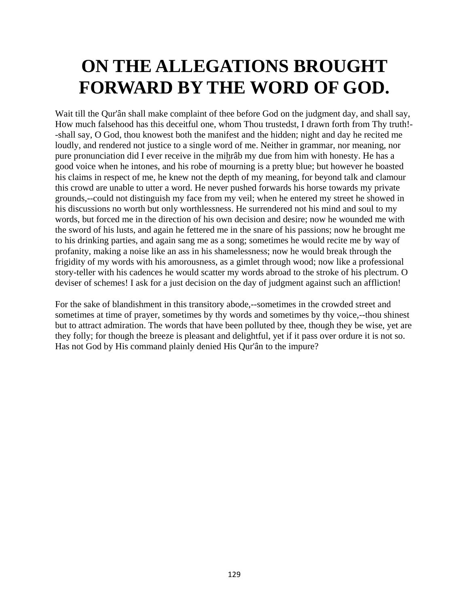### **ON THE ALLEGATIONS BROUGHT FORWARD BY THE WORD OF GOD.**

Wait till the Qur'ân shall make complaint of thee before God on the judgment day, and shall say, How much falsehood has this deceitful one, whom Thou trustedst, I drawn forth from Thy truth!- -shall say, O God, thou knowest both the manifest and the hidden; night and day he recited me loudly, and rendered not justice to a single word of me. Neither in grammar, nor meaning, nor pure pronunciation did I ever receive in the mihrâb my due from him with honesty. He has a good voice when he intones, and his robe of mourning is a pretty blue; but however he boasted his claims in respect of me, he knew not the depth of my meaning, for beyond talk and clamour this crowd are unable to utter a word. He never pushed forwards his horse towards my private grounds,--could not distinguish my face from my veil; when he entered my street he showed in his discussions no worth but only worthlessness. He surrendered not his mind and soul to my words, but forced me in the direction of his own decision and desire; now he wounded me with the sword of his lusts, and again he fettered me in the snare of his passions; now he brought me to his drinking parties, and again sang me as a song; sometimes he would recite me by way of profanity, making a noise like an ass in his shamelessness; now he would break through the frigidity of my words with his amorousness, as a gimlet through wood; now like a professional story-teller with his cadences he would scatter my words abroad to the stroke of his plectrum. O deviser of schemes! I ask for a just decision on the day of judgment against such an affliction!

For the sake of blandishment in this transitory abode,--sometimes in the crowded street and sometimes at time of prayer, sometimes by thy words and sometimes by thy voice,--thou shinest but to attract admiration. The words that have been polluted by thee, though they be wise, yet are they folly; for though the breeze is pleasant and delightful, yet if it pass over ordure it is not so. Has not God by His command plainly denied His Qur'ân to the impure?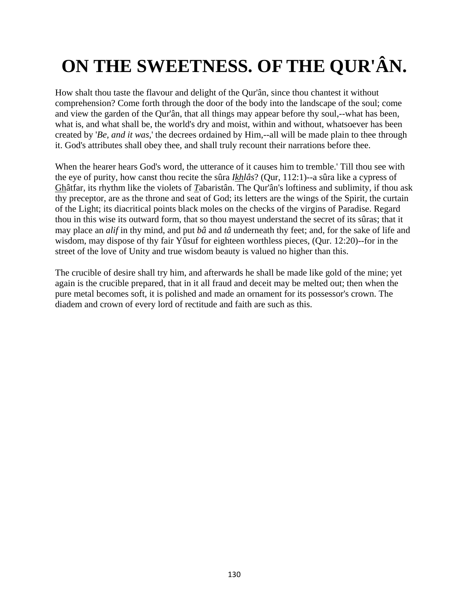# **ON THE SWEETNESS. OF THE QUR'ÂN.**

How shalt thou taste the flavour and delight of the Qur'ân, since thou chantest it without comprehension? Come forth through the door of the body into the landscape of the soul; come and view the garden of the Qur'ân, that all things may appear before thy soul,--what has been, what is, and what shall be, the world's dry and moist, within and without, whatsoever has been created by '*Be, and it was*,' the decrees ordained by Him,--all will be made plain to thee through it. God's attributes shall obey thee, and shall truly recount their narrations before thee.

When the hearer hears God's word, the utterance of it causes him to tremble.' Till thou see with the eye of purity, how canst thou recite the sûra *Ikhlâs*? (Qur, 112:1)--a sûra like a cypress of Ghâtfar, its rhythm like the violets of *T*abaristân. The Qur'ân's loftiness and sublimity, if thou ask thy preceptor, are as the throne and seat of God; its letters are the wings of the Spirit, the curtain of the Light; its diacritical points black moles on the checks of the virgins of Paradise. Regard thou in this wise its outward form, that so thou mayest understand the secret of its sûras; that it may place an *alif* in thy mind, and put *bâ* and *tâ* underneath thy feet; and, for the sake of life and wisdom, may dispose of thy fair Yûsuf for eighteen worthless pieces, (Qur. 12:20)--for in the street of the love of Unity and true wisdom beauty is valued no higher than this.

The crucible of desire shall try him, and afterwards he shall be made like gold of the mine; yet again is the crucible prepared, that in it all fraud and deceit may be melted out; then when the pure metal becomes soft, it is polished and made an ornament for its possessor's crown. The diadem and crown of every lord of rectitude and faith are such as this.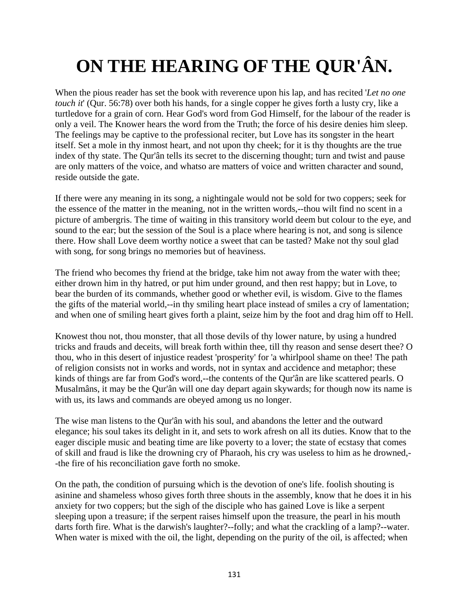# **ON THE HEARING OF THE QUR'ÂN.**

When the pious reader has set the book with reverence upon his lap, and has recited '*Let no one touch it*' (Qur. 56:78) over both his hands, for a single copper he gives forth a lusty cry, like a turtledove for a grain of corn. Hear God's word from God Himself, for the labour of the reader is only a veil. The Knower hears the word from the Truth; the force of his desire denies him sleep. The feelings may be captive to the professional reciter, but Love has its songster in the heart itself. Set a mole in thy inmost heart, and not upon thy cheek; for it is thy thoughts are the true index of thy state. The Qur'ân tells its secret to the discerning thought; turn and twist and pause are only matters of the voice, and whatso are matters of voice and written character and sound, reside outside the gate.

If there were any meaning in its song, a nightingale would not be sold for two coppers; seek for the essence of the matter in the meaning, not in the written words,--thou wilt find no scent in a picture of ambergris. The time of waiting in this transitory world deem but colour to the eye, and sound to the ear; but the session of the Soul is a place where hearing is not, and song is silence there. How shall Love deem worthy notice a sweet that can be tasted? Make not thy soul glad with song, for song brings no memories but of heaviness.

The friend who becomes thy friend at the bridge, take him not away from the water with thee; either drown him in thy hatred, or put him under ground, and then rest happy; but in Love, to bear the burden of its commands, whether good or whether evil, is wisdom. Give to the flames the gifts of the material world,--in thy smiling heart place instead of smiles a cry of lamentation; and when one of smiling heart gives forth a plaint, seize him by the foot and drag him off to Hell.

Knowest thou not, thou monster, that all those devils of thy lower nature, by using a hundred tricks and frauds and deceits, will break forth within thee, till thy reason and sense desert thee? O thou, who in this desert of injustice readest 'prosperity' for 'a whirlpool shame on thee! The path of religion consists not in works and words, not in syntax and accidence and metaphor; these kinds of things are far from God's word,--the contents of the Qur'ân are like scattered pearls. O Musalmâns, it may be the Qur'ân will one day depart again skywards; for though now its name is with us, its laws and commands are obeyed among us no longer.

The wise man listens to the Qur'ân with his soul, and abandons the letter and the outward elegance; his soul takes its delight in it, and sets to work afresh on all its duties. Know that to the eager disciple music and beating time are like poverty to a lover; the state of ecstasy that comes of skill and fraud is like the drowning cry of Pharaoh, his cry was useless to him as he drowned,- -the fire of his reconciliation gave forth no smoke.

On the path, the condition of pursuing which is the devotion of one's life. foolish shouting is asinine and shameless whoso gives forth three shouts in the assembly, know that he does it in his anxiety for two coppers; but the sigh of the disciple who has gained Love is like a serpent sleeping upon a treasure; if the serpent raises himself upon the treasure, the pearl in his mouth darts forth fire. What is the darwish's laughter?--folly; and what the crackling of a lamp?--water. When water is mixed with the oil, the light, depending on the purity of the oil, is affected; when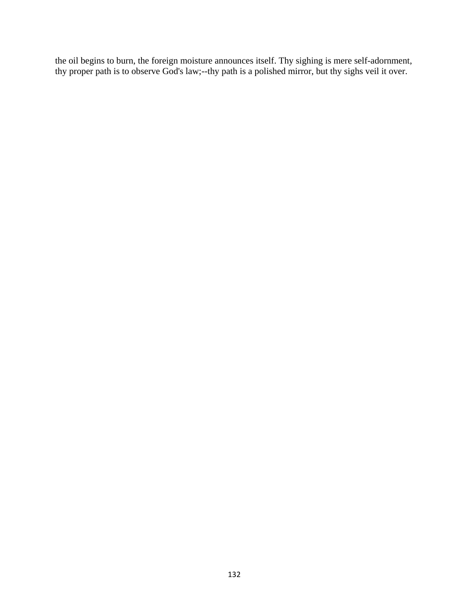the oil begins to burn, the foreign moisture announces itself. Thy sighing is mere self-adornment, thy proper path is to observe God's law;--thy path is a polished mirror, but thy sighs veil it over.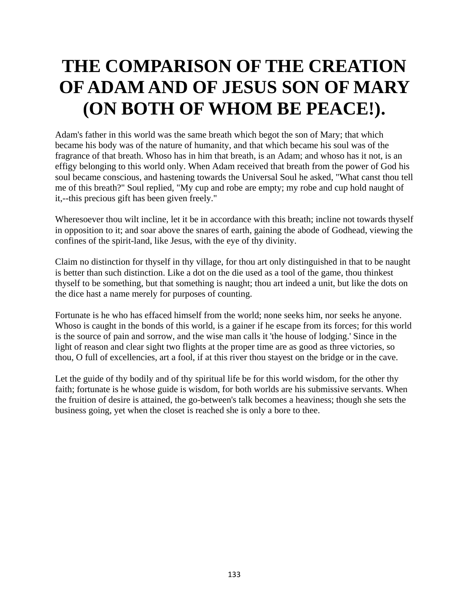### **THE COMPARISON OF THE CREATION OF ADAM AND OF JESUS SON OF MARY (ON BOTH OF WHOM BE PEACE!).**

Adam's father in this world was the same breath which begot the son of Mary; that which became his body was of the nature of humanity, and that which became his soul was of the fragrance of that breath. Whoso has in him that breath, is an Adam; and whoso has it not, is an effigy belonging to this world only. When Adam received that breath from the power of God his soul became conscious, and hastening towards the Universal Soul he asked, "What canst thou tell me of this breath?" Soul replied, "My cup and robe are empty; my robe and cup hold naught of it,--this precious gift has been given freely."

Wheresoever thou wilt incline, let it be in accordance with this breath; incline not towards thyself in opposition to it; and soar above the snares of earth, gaining the abode of Godhead, viewing the confines of the spirit-land, like Jesus, with the eye of thy divinity.

Claim no distinction for thyself in thy village, for thou art only distinguished in that to be naught is better than such distinction. Like a dot on the die used as a tool of the game, thou thinkest thyself to be something, but that something is naught; thou art indeed a unit, but like the dots on the dice hast a name merely for purposes of counting.

Fortunate is he who has effaced himself from the world; none seeks him, nor seeks he anyone. Whoso is caught in the bonds of this world, is a gainer if he escape from its forces; for this world is the source of pain and sorrow, and the wise man calls it 'the house of lodging.' Since in the light of reason and clear sight two flights at the proper time are as good as three victories, so thou, O full of excellencies, art a fool, if at this river thou stayest on the bridge or in the cave.

Let the guide of thy bodily and of thy spiritual life be for this world wisdom, for the other thy faith; fortunate is he whose guide is wisdom, for both worlds are his submissive servants. When the fruition of desire is attained, the go-between's talk becomes a heaviness; though she sets the business going, yet when the closet is reached she is only a bore to thee.